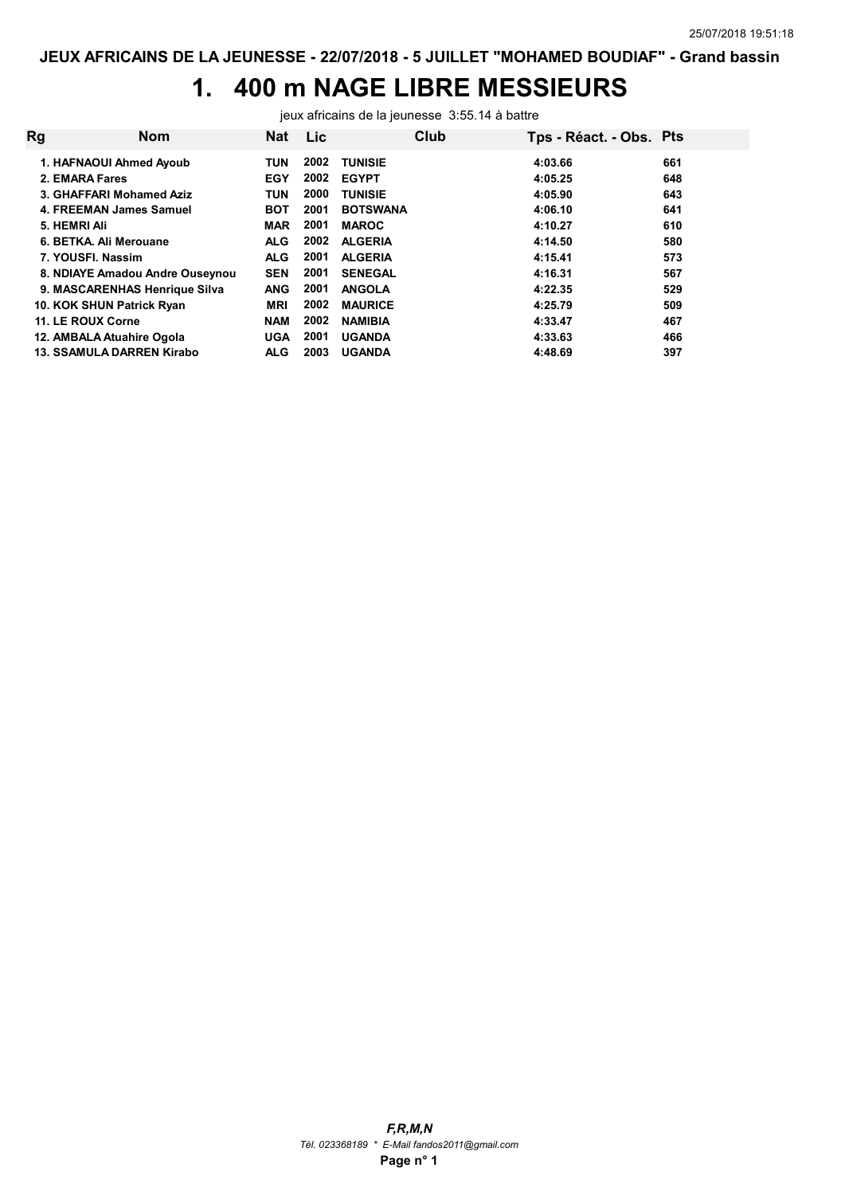## 1. 400 m NAGE LIBRE MESSIEURS

jeux africains de la jeunesse 3:55.14 à battre

| Rg | <b>Nom</b>                       | <b>Nat</b> | <b>Lic</b> | Club            | Tps - Réact. - Obs. Pts |     |
|----|----------------------------------|------------|------------|-----------------|-------------------------|-----|
|    | 1. HAFNAOUI Ahmed Ayoub          | <b>TUN</b> | 2002       | <b>TUNISIE</b>  | 4:03.66                 | 661 |
|    | 2. EMARA Fares                   | <b>EGY</b> | 2002       | <b>EGYPT</b>    | 4:05.25                 | 648 |
|    | 3. GHAFFARI Mohamed Aziz         | <b>TUN</b> | 2000       | <b>TUNISIE</b>  | 4:05.90                 | 643 |
|    | 4. FREEMAN James Samuel          | <b>BOT</b> | 2001       | <b>BOTSWANA</b> | 4:06.10                 | 641 |
|    | 5. HEMRI Ali                     | <b>MAR</b> | 2001       | <b>MAROC</b>    | 4:10.27                 | 610 |
|    | 6. BETKA, Ali Merouane           | <b>ALG</b> | 2002       | <b>ALGERIA</b>  | 4:14.50                 | 580 |
|    | 7. YOUSFI. Nassim                | <b>ALG</b> | 2001       | <b>ALGERIA</b>  | 4:15.41                 | 573 |
|    | 8. NDIAYE Amadou Andre Ouseynou  | <b>SEN</b> | 2001       | <b>SENEGAL</b>  | 4:16.31                 | 567 |
|    | 9. MASCARENHAS Henrique Silva    | <b>ANG</b> | 2001       | <b>ANGOLA</b>   | 4:22.35                 | 529 |
|    | 10. KOK SHUN Patrick Ryan        | <b>MRI</b> | 2002       | <b>MAURICE</b>  | 4:25.79                 | 509 |
|    | 11. LE ROUX Corne                | <b>NAM</b> | 2002       | <b>NAMIBIA</b>  | 4:33.47                 | 467 |
|    | 12. AMBALA Atuahire Ogola        | <b>UGA</b> | 2001       | <b>UGANDA</b>   | 4:33.63                 | 466 |
|    | <b>13. SSAMULA DARREN Kirabo</b> | <b>ALG</b> | 2003       | <b>UGANDA</b>   | 4:48.69                 | 397 |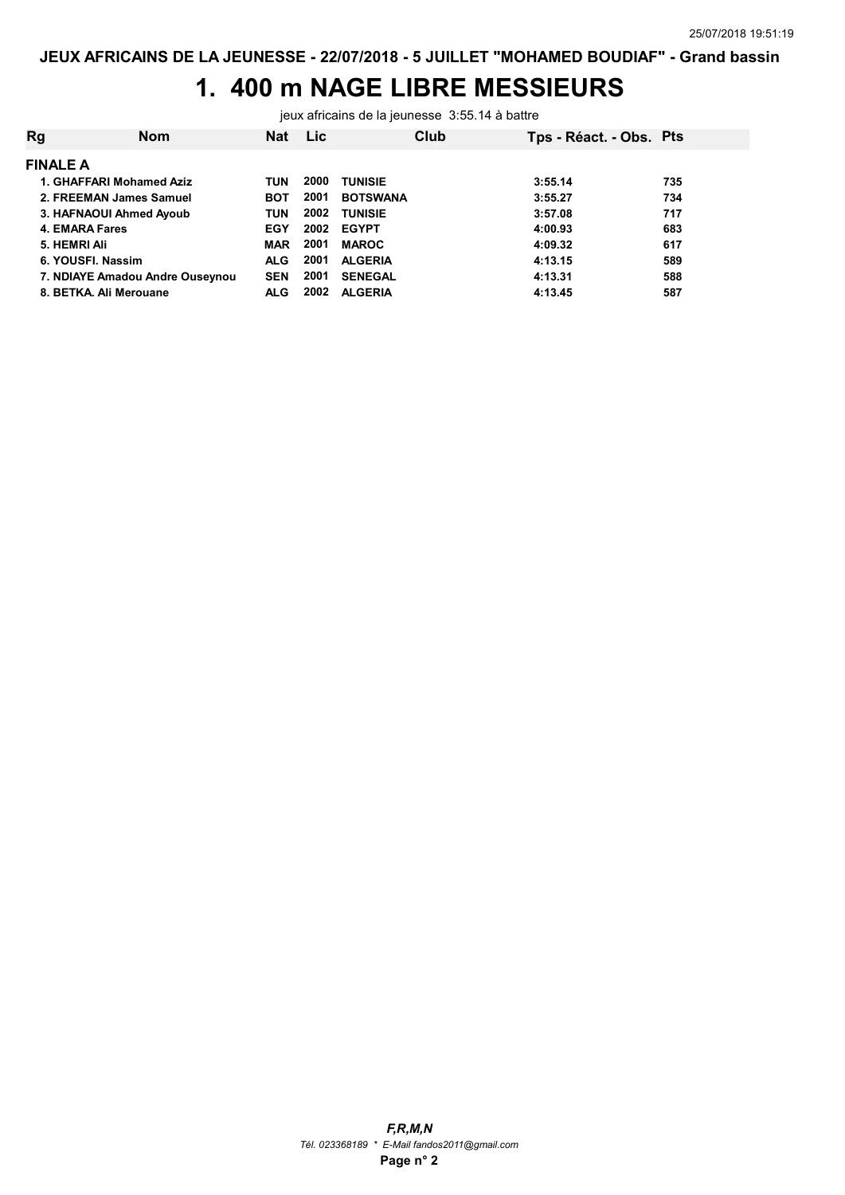### 1. 400 m NAGE LIBRE MESSIEURS

jeux africains de la jeunesse 3:55.14 à battre

| <b>Rg</b>       | <b>Nom</b>                      | <b>Nat</b> | <b>Lic</b> | Club            | Tps - Réact. - Obs. Pts |     |
|-----------------|---------------------------------|------------|------------|-----------------|-------------------------|-----|
| <b>FINALE A</b> |                                 |            |            |                 |                         |     |
|                 | 1. GHAFFARI Mohamed Aziz        | TUN        | 2000       | <b>TUNISIE</b>  | 3:55.14                 | 735 |
|                 | 2. FREEMAN James Samuel         | <b>BOT</b> | 2001       | <b>BOTSWANA</b> | 3:55.27                 | 734 |
|                 | 3. HAFNAOUI Ahmed Ayoub         | <b>TUN</b> | 2002       | <b>TUNISIE</b>  | 3:57.08                 | 717 |
|                 | <b>4. EMARA Fares</b>           | <b>EGY</b> | 2002       | <b>EGYPT</b>    | 4:00.93                 | 683 |
|                 | 5. HEMRI Ali                    | <b>MAR</b> | 2001       | <b>MAROC</b>    | 4:09.32                 | 617 |
|                 | 6. YOUSFI, Nassim               | <b>ALG</b> | 2001       | <b>ALGERIA</b>  | 4:13.15                 | 589 |
|                 | 7. NDIAYE Amadou Andre Ouseynou | <b>SEN</b> | 2001       | <b>SENEGAL</b>  | 4:13.31                 | 588 |
|                 | 8. BETKA, Ali Merouane          | <b>ALG</b> | 2002       | <b>ALGERIA</b>  | 4:13.45                 | 587 |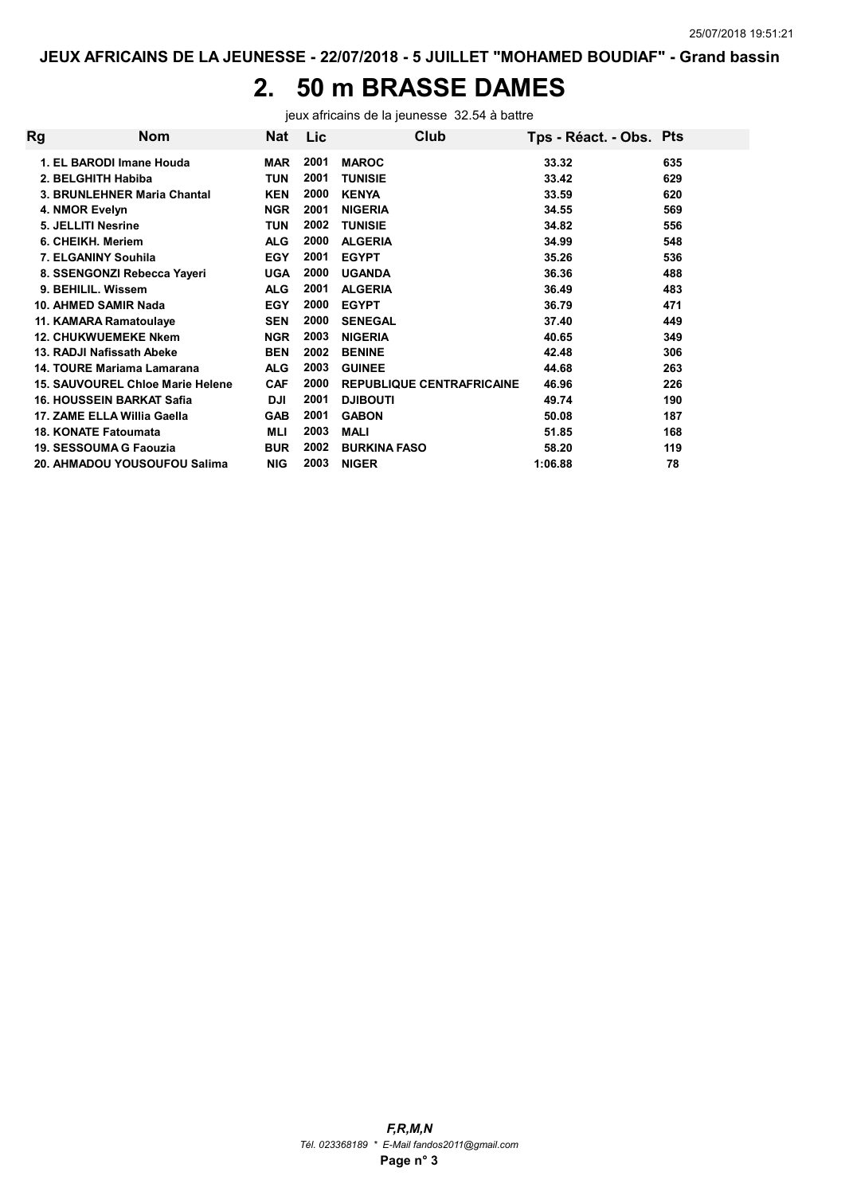# 2. 50 m BRASSE DAMES

jeux africains de la jeunesse 32.54 à battre

| Rg | <b>Nom</b>                       | <b>Nat</b> | Lic  | Club                             | Tps - Réact. - Obs. Pts |     |
|----|----------------------------------|------------|------|----------------------------------|-------------------------|-----|
|    | 1. EL BARODI Imane Houda         | <b>MAR</b> | 2001 | <b>MAROC</b>                     | 33.32                   | 635 |
|    | 2. BELGHITH Habiba               | TUN        | 2001 | <b>TUNISIE</b>                   | 33.42                   | 629 |
|    | 3. BRUNLEHNER Maria Chantal      | <b>KEN</b> | 2000 | <b>KENYA</b>                     | 33.59                   | 620 |
|    | 4. NMOR Evelyn                   | <b>NGR</b> | 2001 | <b>NIGERIA</b>                   | 34.55                   | 569 |
|    | 5. JELLITI Nesrine               | TUN        | 2002 | <b>TUNISIE</b>                   | 34.82                   | 556 |
|    | 6. CHEIKH. Meriem                | <b>ALG</b> | 2000 | <b>ALGERIA</b>                   | 34.99                   | 548 |
|    | 7. ELGANINY Souhila              | <b>EGY</b> | 2001 | <b>EGYPT</b>                     | 35.26                   | 536 |
|    | 8. SSENGONZI Rebecca Yayeri      | <b>UGA</b> | 2000 | <b>UGANDA</b>                    | 36.36                   | 488 |
|    | 9. BEHILIL. Wissem               | <b>ALG</b> | 2001 | <b>ALGERIA</b>                   | 36.49                   | 483 |
|    | 10. AHMED SAMIR Nada             | <b>EGY</b> | 2000 | <b>EGYPT</b>                     | 36.79                   | 471 |
|    | 11. KAMARA Ramatoulaye           | <b>SEN</b> | 2000 | <b>SENEGAL</b>                   | 37.40                   | 449 |
|    | <b>12. CHUKWUEMEKE Nkem</b>      | <b>NGR</b> | 2003 | <b>NIGERIA</b>                   | 40.65                   | 349 |
|    | 13. RADJI Nafissath Abeke        | <b>BEN</b> | 2002 | <b>BENINE</b>                    | 42.48                   | 306 |
|    | 14. TOURE Mariama Lamarana       | <b>ALG</b> | 2003 | <b>GUINEE</b>                    | 44.68                   | 263 |
|    | 15. SAUVOUREL Chloe Marie Helene | <b>CAF</b> | 2000 | <b>REPUBLIQUE CENTRAFRICAINE</b> | 46.96                   | 226 |
|    | <b>16. HOUSSEIN BARKAT Safia</b> | <b>DJI</b> | 2001 | <b>DJIBOUTI</b>                  | 49.74                   | 190 |
|    | 17. ZAME ELLA Willia Gaella      | GAB        | 2001 | <b>GABON</b>                     | 50.08                   | 187 |
|    | <b>18. KONATE Fatoumata</b>      | MLI        | 2003 | <b>MALI</b>                      | 51.85                   | 168 |
|    | 19. SESSOUMA G Faouzia           | <b>BUR</b> | 2002 | <b>BURKINA FASO</b>              | 58.20                   | 119 |
|    | 20. AHMADOU YOUSOUFOU Salima     | <b>NIG</b> | 2003 | <b>NIGER</b>                     | 1:06.88                 | 78  |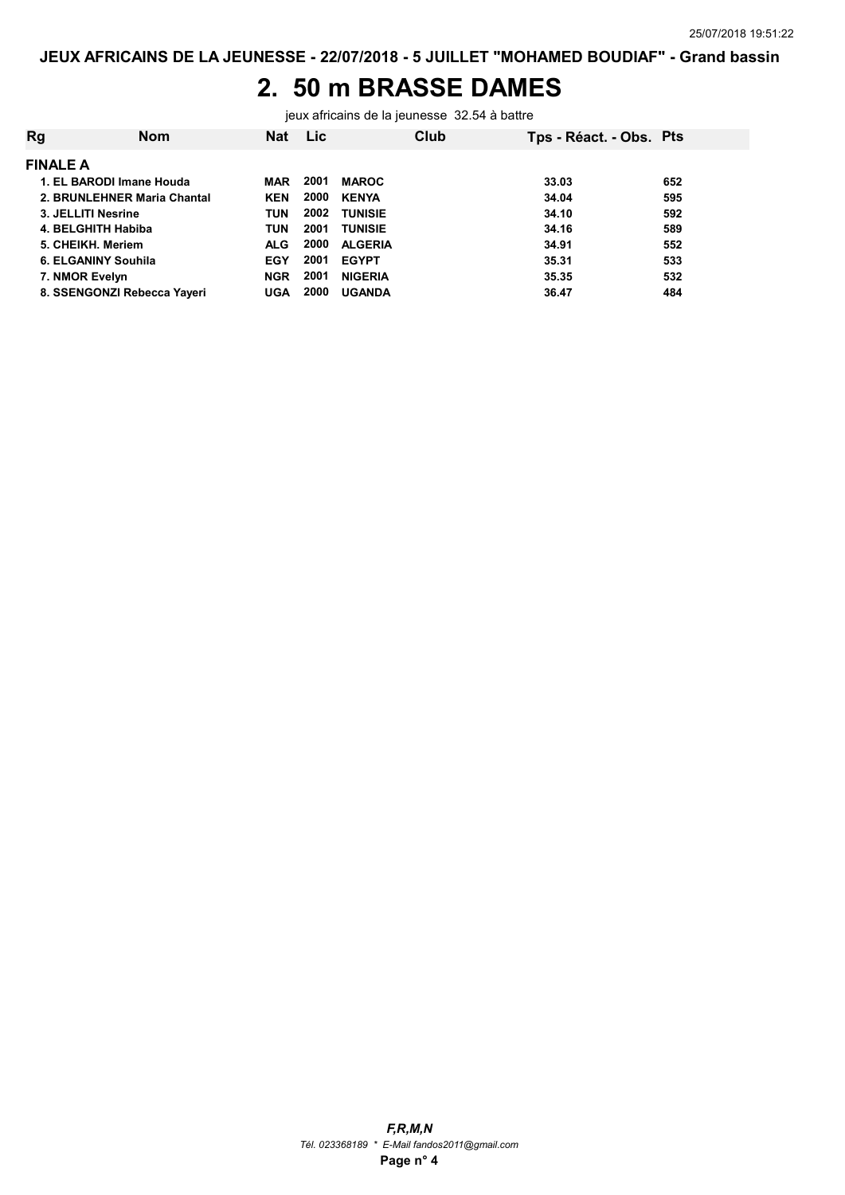## 2. 50 m BRASSE DAMES

jeux africains de la jeunesse 32.54 à battre

| Rg                          | <b>Nom</b> | <b>Nat</b> | Lic. |                | Club | Tps - Réact. - Obs. Pts |     |
|-----------------------------|------------|------------|------|----------------|------|-------------------------|-----|
| <b>FINALE A</b>             |            |            |      |                |      |                         |     |
| 1. EL BARODI Imane Houda    |            | MAR        | 2001 | <b>MAROC</b>   |      | 33.03                   | 652 |
| 2. BRUNLEHNER Maria Chantal |            | <b>KEN</b> | 2000 | <b>KENYA</b>   |      | 34.04                   | 595 |
| 3. JELLITI Nesrine          |            | <b>TUN</b> | 2002 | <b>TUNISIE</b> |      | 34.10                   | 592 |
| 4. BELGHITH Habiba          |            | <b>TUN</b> | 2001 | <b>TUNISIE</b> |      | 34.16                   | 589 |
| 5. CHEIKH, Meriem           |            | <b>ALG</b> | 2000 | <b>ALGERIA</b> |      | 34.91                   | 552 |
| 6. ELGANINY Souhila         |            | <b>EGY</b> | 2001 | <b>EGYPT</b>   |      | 35.31                   | 533 |
| 7. NMOR Evelyn              |            | <b>NGR</b> | 2001 | <b>NIGERIA</b> |      | 35.35                   | 532 |
| 8. SSENGONZI Rebecca Yayeri |            | UGA        | 2000 | <b>UGANDA</b>  |      | 36.47                   | 484 |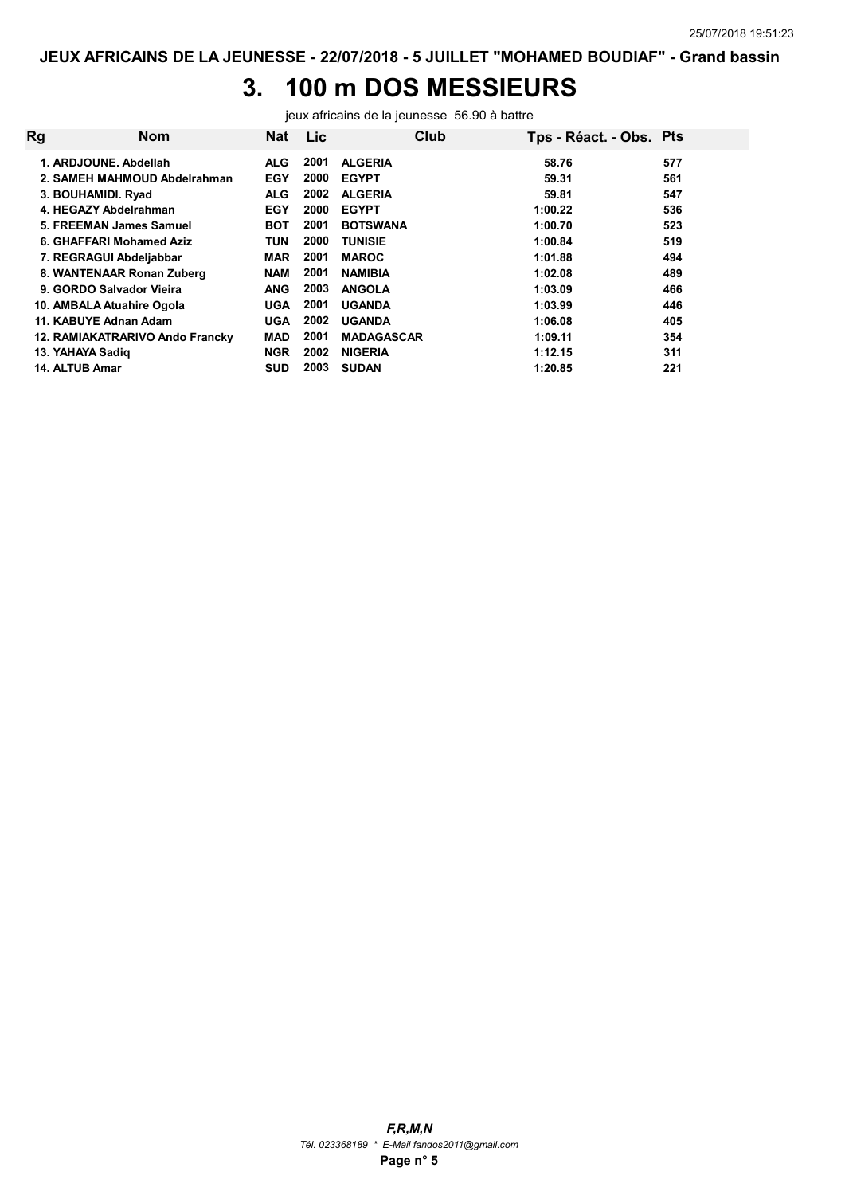# 3. 100 m DOS MESSIEURS

jeux africains de la jeunesse 56.90 à battre

| Rg | <b>Nom</b>                      | <b>Nat</b> | Lic  | Club              | Tps - Réact. - Obs. Pts |     |
|----|---------------------------------|------------|------|-------------------|-------------------------|-----|
|    | 1. ARDJOUNE, Abdellah           | <b>ALG</b> | 2001 | <b>ALGERIA</b>    | 58.76                   | 577 |
|    | 2. SAMEH MAHMOUD Abdelrahman    | <b>EGY</b> | 2000 | <b>EGYPT</b>      | 59.31                   | 561 |
|    | 3. BOUHAMIDI. Ryad              | <b>ALG</b> | 2002 | <b>ALGERIA</b>    | 59.81                   | 547 |
|    | 4. HEGAZY Abdelrahman           | <b>EGY</b> | 2000 | <b>EGYPT</b>      | 1:00.22                 | 536 |
|    | 5. FREEMAN James Samuel         | <b>BOT</b> | 2001 | <b>BOTSWANA</b>   | 1:00.70                 | 523 |
|    | 6. GHAFFARI Mohamed Aziz        | TUN        | 2000 | <b>TUNISIE</b>    | 1:00.84                 | 519 |
|    | 7. REGRAGUI Abdeljabbar         | <b>MAR</b> | 2001 | <b>MAROC</b>      | 1:01.88                 | 494 |
|    | 8. WANTENAAR Ronan Zuberg       | <b>NAM</b> | 2001 | <b>NAMIBIA</b>    | 1:02.08                 | 489 |
|    | 9. GORDO Salvador Vieira        | <b>ANG</b> | 2003 | <b>ANGOLA</b>     | 1:03.09                 | 466 |
|    | 10. AMBALA Atuahire Ogola       | <b>UGA</b> | 2001 | <b>UGANDA</b>     | 1:03.99                 | 446 |
|    | 11. KABUYE Adnan Adam           | <b>UGA</b> | 2002 | <b>UGANDA</b>     | 1:06.08                 | 405 |
|    | 12. RAMIAKATRARIVO Ando Francky | <b>MAD</b> | 2001 | <b>MADAGASCAR</b> | 1:09.11                 | 354 |
|    | 13. YAHAYA Sadig                | <b>NGR</b> | 2002 | <b>NIGERIA</b>    | 1:12.15                 | 311 |
|    | 14. ALTUB Amar                  | <b>SUD</b> | 2003 | <b>SUDAN</b>      | 1:20.85                 | 221 |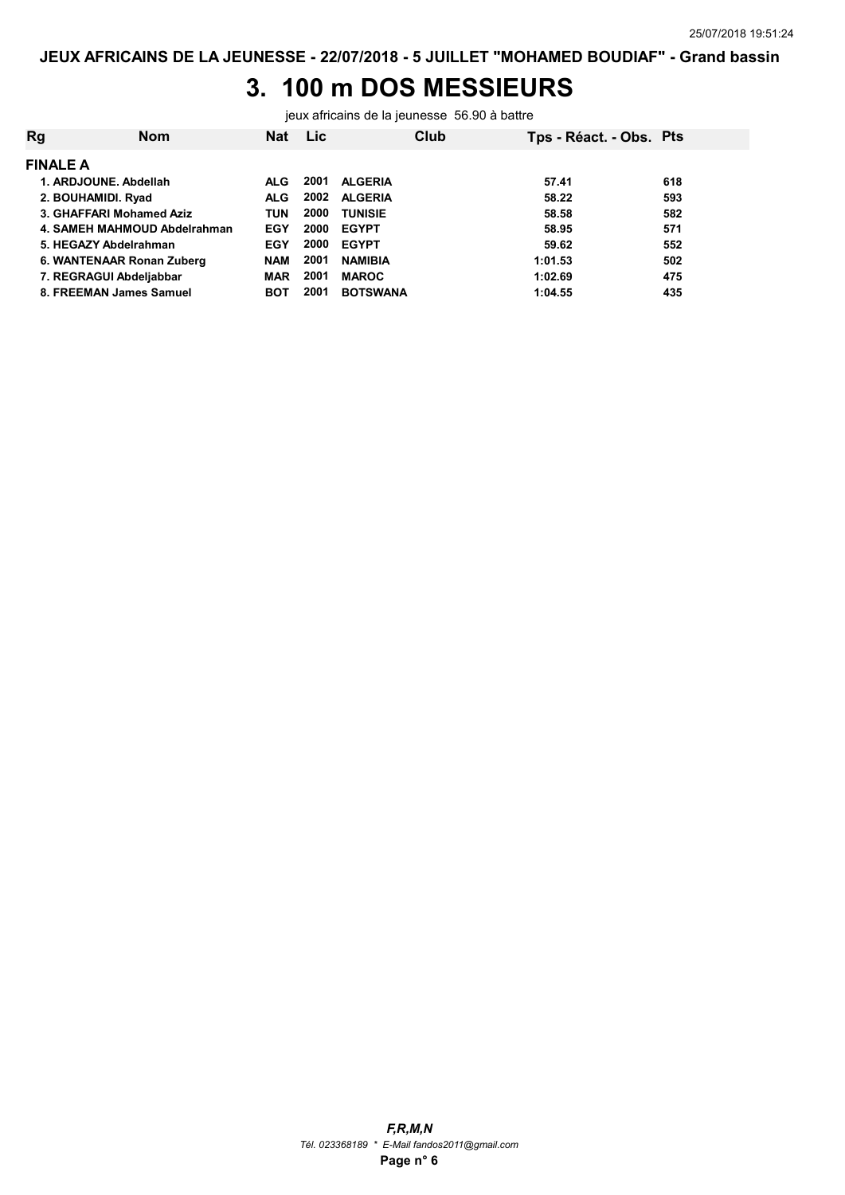## 3. 100 m DOS MESSIEURS

jeux africains de la jeunesse 56.90 à battre

| Rg                 | <b>Nom</b>                   | <b>Nat</b> | <b>Lic</b> |                 | Club | Tps - Réact. - Obs. Pts |     |
|--------------------|------------------------------|------------|------------|-----------------|------|-------------------------|-----|
| <b>FINALE A</b>    |                              |            |            |                 |      |                         |     |
|                    | 1. ARDJOUNE, Abdellah        | ALG.       | 2001       | <b>ALGERIA</b>  |      | 57.41                   | 618 |
| 2. BOUHAMIDI. Ryad |                              | <b>ALG</b> | 2002       | <b>ALGERIA</b>  |      | 58.22                   | 593 |
|                    | 3. GHAFFARI Mohamed Aziz     | TUN        | 2000       | <b>TUNISIE</b>  |      | 58.58                   | 582 |
|                    | 4. SAMEH MAHMOUD Abdelrahman | EGY        | 2000       | <b>EGYPT</b>    |      | 58.95                   | 571 |
|                    | 5. HEGAZY Abdelrahman        | <b>EGY</b> | 2000       | <b>EGYPT</b>    |      | 59.62                   | 552 |
|                    | 6. WANTENAAR Ronan Zuberg    | <b>NAM</b> | 2001       | <b>NAMIBIA</b>  |      | 1:01.53                 | 502 |
|                    | 7. REGRAGUI Abdeljabbar      | <b>MAR</b> | 2001       | <b>MAROC</b>    |      | 1:02.69                 | 475 |
|                    | 8. FREEMAN James Samuel      | <b>BOT</b> | 2001       | <b>BOTSWANA</b> |      | 1:04.55                 | 435 |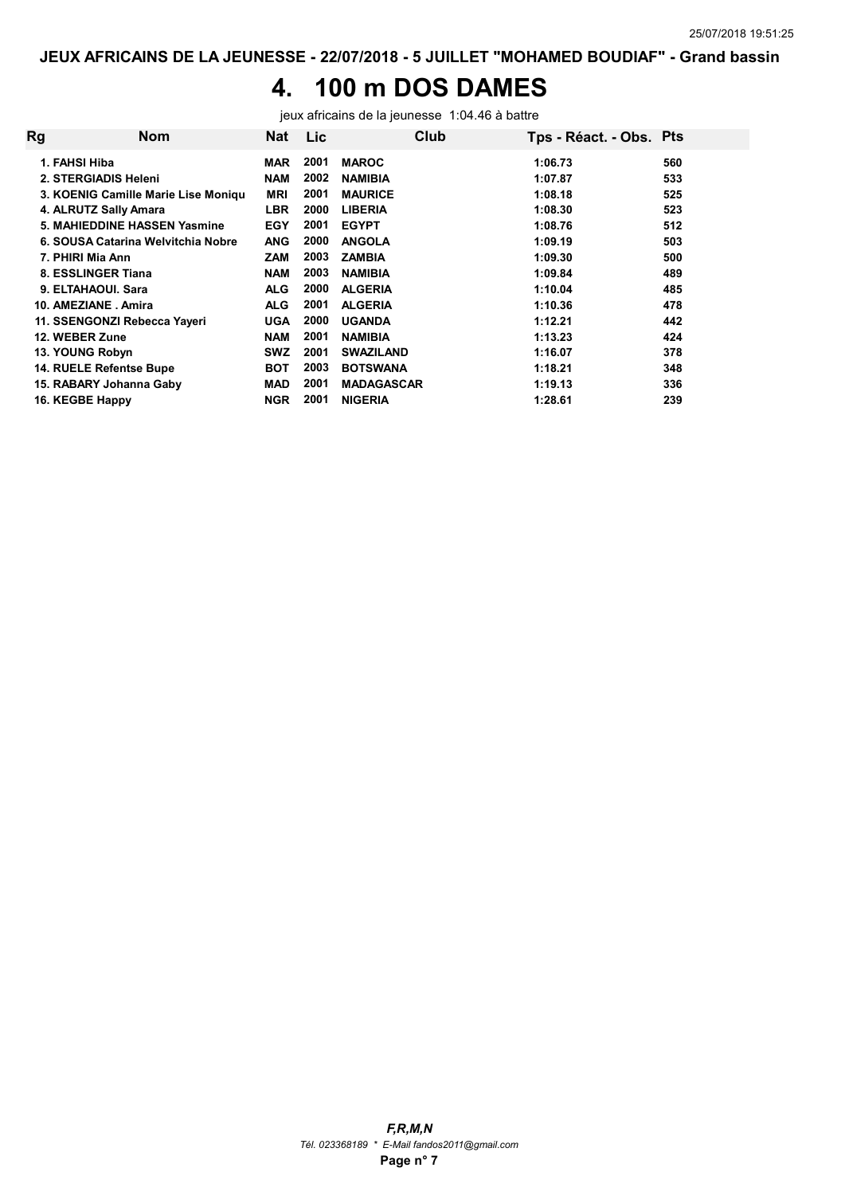## 4. 100 m DOS DAMES

jeux africains de la jeunesse 1:04.46 à battre

| Rg | <b>Nom</b>                          | <b>Nat</b> | Lic  |                   | Club | Tps - Réact. - Obs. Pts |     |
|----|-------------------------------------|------------|------|-------------------|------|-------------------------|-----|
|    | 1. FAHSI Hiba                       | <b>MAR</b> | 2001 | <b>MAROC</b>      |      | 1:06.73                 | 560 |
|    | 2. STERGIADIS Heleni                | <b>NAM</b> | 2002 | <b>NAMIBIA</b>    |      | 1:07.87                 | 533 |
|    | 3. KOENIG Camille Marie Lise Moniqu | <b>MRI</b> | 2001 | <b>MAURICE</b>    |      | 1:08.18                 | 525 |
|    | 4. ALRUTZ Sally Amara               | <b>LBR</b> | 2000 | <b>LIBERIA</b>    |      | 1:08.30                 | 523 |
|    | 5. MAHIEDDINE HASSEN Yasmine        | <b>EGY</b> | 2001 | <b>EGYPT</b>      |      | 1:08.76                 | 512 |
|    | 6. SOUSA Catarina Welvitchia Nobre  | <b>ANG</b> | 2000 | <b>ANGOLA</b>     |      | 1:09.19                 | 503 |
|    | 7. PHIRI Mia Ann                    | <b>ZAM</b> | 2003 | <b>ZAMBIA</b>     |      | 1:09.30                 | 500 |
|    | 8. ESSLINGER Tiana                  | <b>NAM</b> | 2003 | <b>NAMIBIA</b>    |      | 1:09.84                 | 489 |
|    | 9. ELTAHAOUI. Sara                  | <b>ALG</b> | 2000 | <b>ALGERIA</b>    |      | 1:10.04                 | 485 |
|    | 10. AMEZIANE Amira                  | <b>ALG</b> | 2001 | <b>ALGERIA</b>    |      | 1:10.36                 | 478 |
|    | 11. SSENGONZI Rebecca Yayeri        | <b>UGA</b> | 2000 | <b>UGANDA</b>     |      | 1:12.21                 | 442 |
|    | 12. WEBER Zune                      | <b>NAM</b> | 2001 | <b>NAMIBIA</b>    |      | 1:13.23                 | 424 |
|    | 13. YOUNG Robyn                     | <b>SWZ</b> | 2001 | <b>SWAZILAND</b>  |      | 1:16.07                 | 378 |
|    | 14. RUELE Refentse Bupe             | <b>BOT</b> | 2003 | <b>BOTSWANA</b>   |      | 1:18.21                 | 348 |
|    | 15. RABARY Johanna Gaby             | <b>MAD</b> | 2001 | <b>MADAGASCAR</b> |      | 1:19.13                 | 336 |
|    | 16. KEGBE Happy                     | <b>NGR</b> | 2001 | <b>NIGERIA</b>    |      | 1:28.61                 | 239 |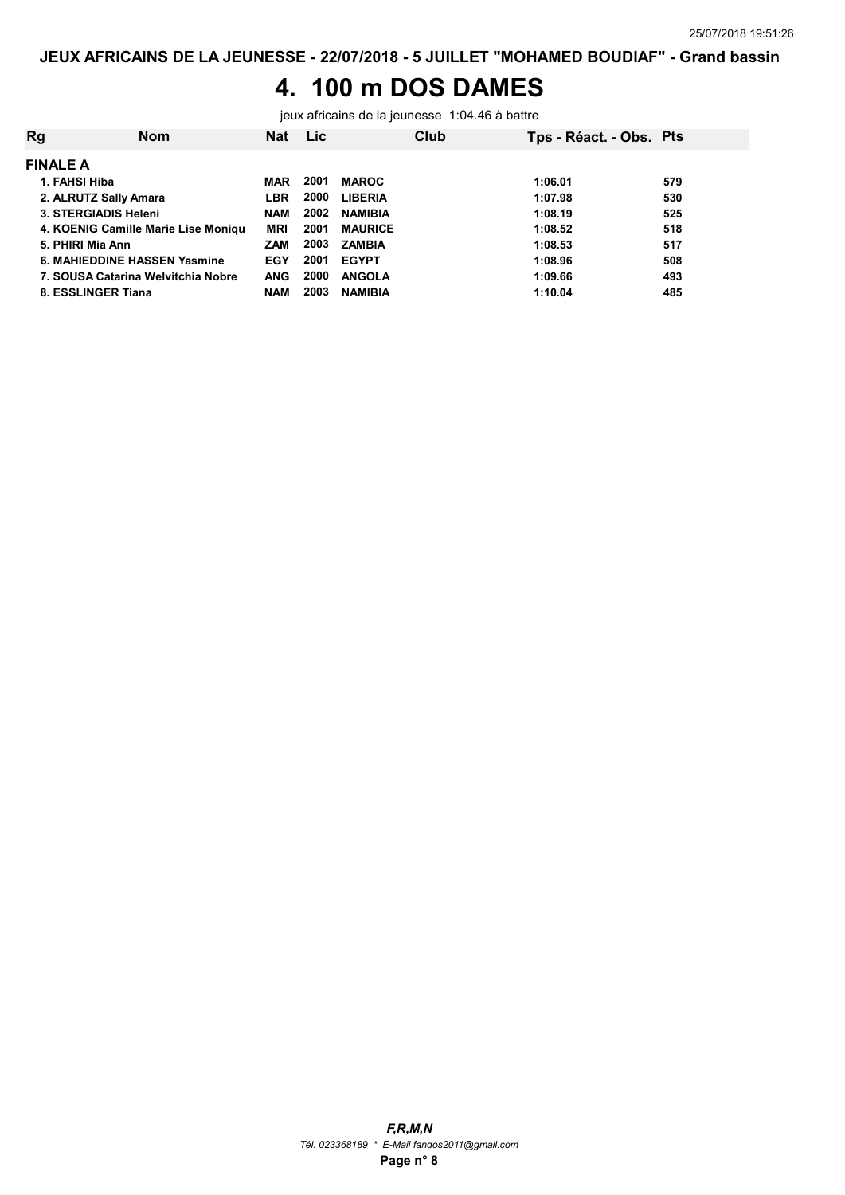### 4. 100 m DOS DAMES

jeux africains de la jeunesse 1:04.46 à battre

| Rg                    | <b>Nom</b>                          | <b>Nat</b> | <b>Lic</b> |                | Club | Tps - Réact. - Obs. Pts |     |
|-----------------------|-------------------------------------|------------|------------|----------------|------|-------------------------|-----|
| <b>FINALE A</b>       |                                     |            |            |                |      |                         |     |
| 1. FAHSI Hiba         |                                     | <b>MAR</b> | 2001       | <b>MAROC</b>   |      | 1:06.01                 | 579 |
| 2. ALRUTZ Sally Amara |                                     | <b>LBR</b> | 2000       | <b>LIBERIA</b> |      | 1:07.98                 | 530 |
| 3. STERGIADIS Heleni  |                                     | <b>NAM</b> | 2002       | <b>NAMIBIA</b> |      | 1:08.19                 | 525 |
|                       | 4. KOENIG Camille Marie Lise Moniqu | <b>MRI</b> | 2001       | <b>MAURICE</b> |      | 1:08.52                 | 518 |
| 5. PHIRI Mia Ann      |                                     | <b>ZAM</b> | 2003       | <b>ZAMBIA</b>  |      | 1:08.53                 | 517 |
|                       | 6. MAHIEDDINE HASSEN Yasmine        | EGY        | 2001       | <b>EGYPT</b>   |      | 1:08.96                 | 508 |
|                       | 7. SOUSA Catarina Welvitchia Nobre  | <b>ANG</b> | 2000       | <b>ANGOLA</b>  |      | 1:09.66                 | 493 |
| 8. ESSLINGER Tiana    |                                     | <b>NAM</b> | 2003       | <b>NAMIBIA</b> |      | 1:10.04                 | 485 |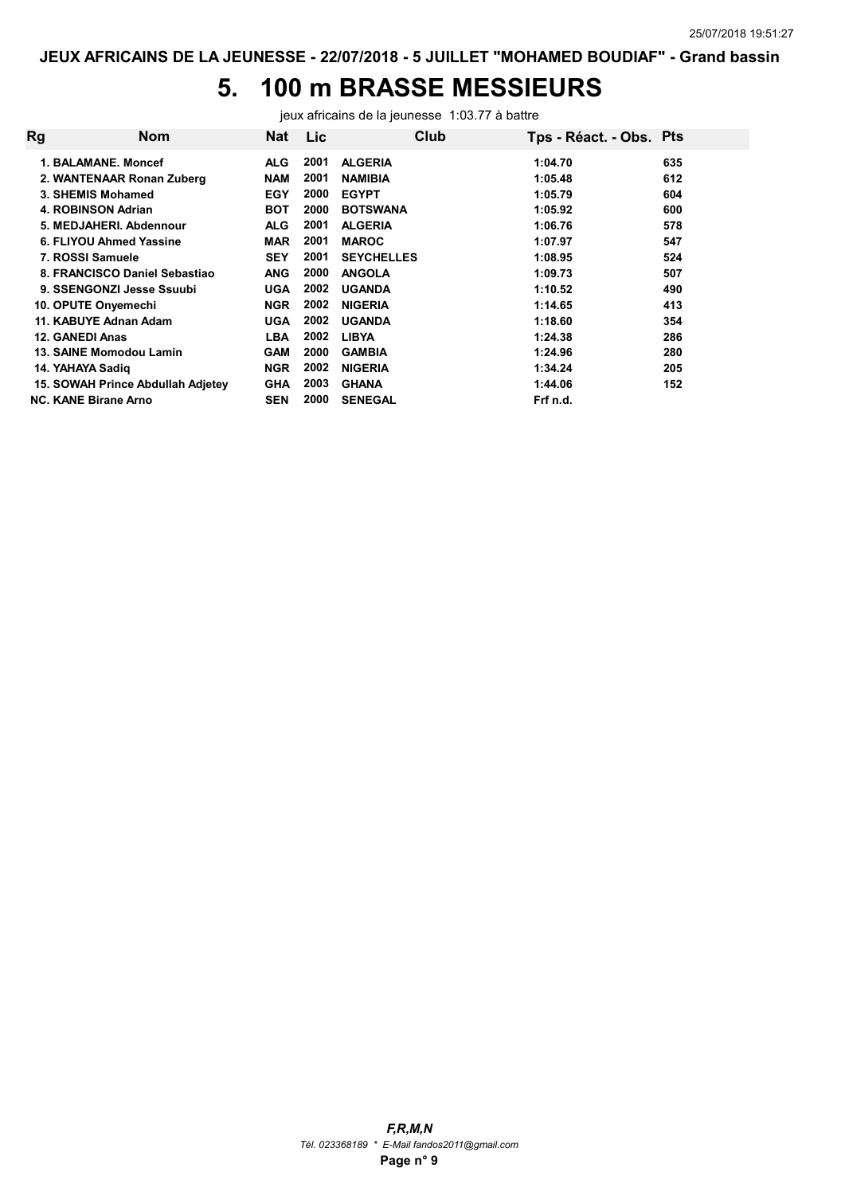# 5. 100 m BRASSE MESSIEURS

jeux africains de la jeunesse 1:03.77 à battre

| Rg | Nom                               | <b>Nat</b> | <b>Lic</b> | Club              | Tps - Réact. - Obs. Pts |     |
|----|-----------------------------------|------------|------------|-------------------|-------------------------|-----|
|    | 1. BALAMANE, Moncef               | ALG.       | 2001       | <b>ALGERIA</b>    | 1:04.70                 | 635 |
|    | 2. WANTENAAR Ronan Zuberg         | <b>NAM</b> | 2001       | <b>NAMIBIA</b>    | 1:05.48                 | 612 |
|    | 3. SHEMIS Mohamed                 | <b>EGY</b> | 2000       | <b>EGYPT</b>      | 1:05.79                 | 604 |
|    | 4. ROBINSON Adrian                | <b>BOT</b> | 2000       | <b>BOTSWANA</b>   | 1:05.92                 | 600 |
|    | 5. MEDJAHERI, Abdennour           | <b>ALG</b> | 2001       | <b>ALGERIA</b>    | 1:06.76                 | 578 |
|    | 6. FLIYOU Ahmed Yassine           | <b>MAR</b> | 2001       | <b>MAROC</b>      | 1:07.97                 | 547 |
|    | 7. ROSSI Samuele                  | <b>SEY</b> | 2001       | <b>SEYCHELLES</b> | 1:08.95                 | 524 |
|    | 8. FRANCISCO Daniel Sebastiao     | <b>ANG</b> | 2000       | <b>ANGOLA</b>     | 1:09.73                 | 507 |
|    | 9. SSENGONZI Jesse Ssuubi         | <b>UGA</b> | 2002       | <b>UGANDA</b>     | 1:10.52                 | 490 |
|    | 10. OPUTE Onyemechi               | <b>NGR</b> | 2002       | <b>NIGERIA</b>    | 1:14.65                 | 413 |
|    | 11. KABUYE Adnan Adam             | <b>UGA</b> | 2002       | <b>UGANDA</b>     | 1:18.60                 | 354 |
|    | 12. GANEDI Anas                   | <b>LBA</b> | 2002       | <b>LIBYA</b>      | 1:24.38                 | 286 |
|    | 13. SAINE Momodou Lamin           | <b>GAM</b> | 2000       | <b>GAMBIA</b>     | 1:24.96                 | 280 |
|    | 14. YAHAYA Sadig                  | <b>NGR</b> | 2002       | <b>NIGERIA</b>    | 1:34.24                 | 205 |
|    | 15. SOWAH Prince Abdullah Adjetey | <b>GHA</b> | 2003       | <b>GHANA</b>      | 1:44.06                 | 152 |
|    | <b>NC. KANE Birane Arno</b>       | <b>SEN</b> | 2000       | <b>SENEGAL</b>    | Frf n.d.                |     |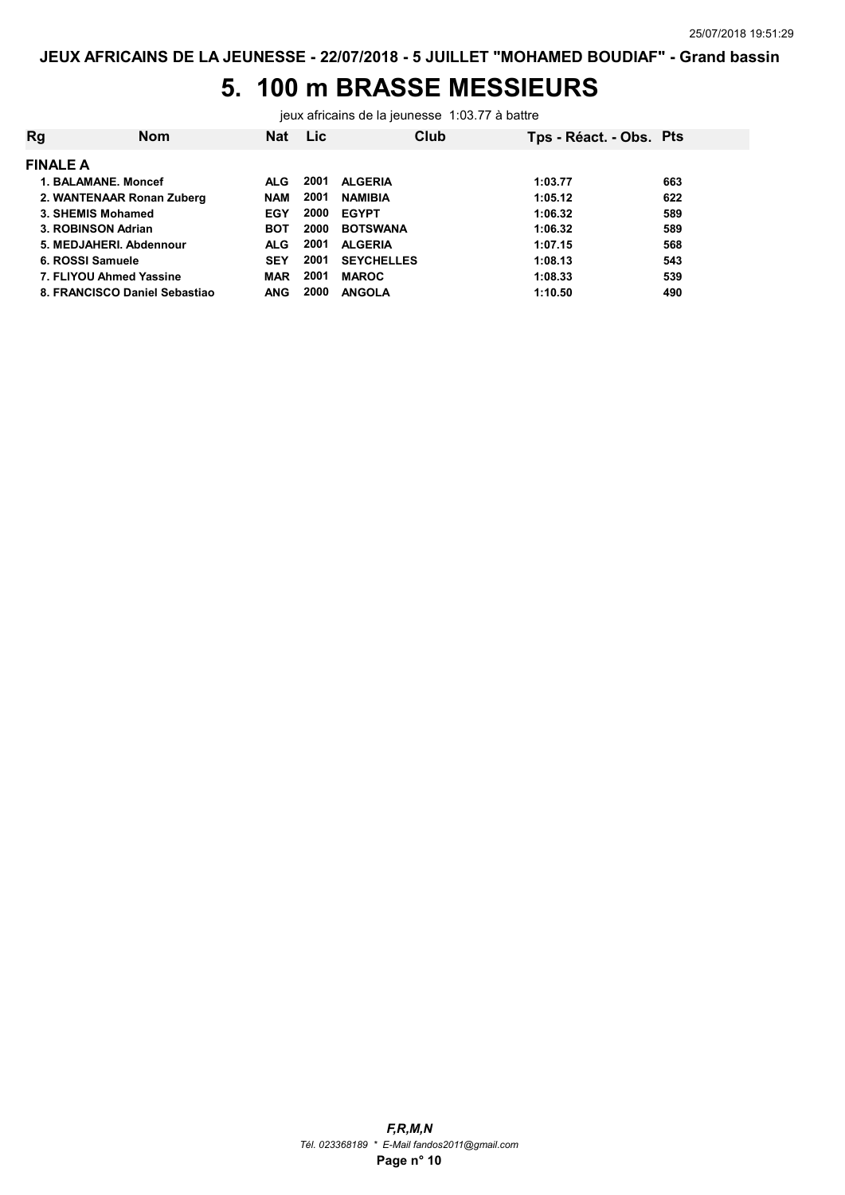# 5. 100 m BRASSE MESSIEURS

jeux africains de la jeunesse 1:03.77 à battre

| Rg              | Nom                           | <b>Nat</b> | <b>Lic</b> | Club              | Tps - Réact. - Obs. Pts |     |
|-----------------|-------------------------------|------------|------------|-------------------|-------------------------|-----|
| <b>FINALE A</b> |                               |            |            |                   |                         |     |
|                 | 1. BALAMANE, Moncef           | <b>ALG</b> | 2001       | <b>ALGERIA</b>    | 1:03.77                 | 663 |
|                 | 2. WANTENAAR Ronan Zuberg     | <b>NAM</b> | 2001       | <b>NAMIBIA</b>    | 1:05.12                 | 622 |
|                 | 3. SHEMIS Mohamed             | <b>EGY</b> | 2000       | <b>EGYPT</b>      | 1:06.32                 | 589 |
|                 | 3. ROBINSON Adrian            | <b>BOT</b> | 2000       | <b>BOTSWANA</b>   | 1:06.32                 | 589 |
|                 | 5. MEDJAHERI, Abdennour       | <b>ALG</b> | 2001       | <b>ALGERIA</b>    | 1:07.15                 | 568 |
|                 | 6. ROSSI Samuele              | <b>SEY</b> | 2001       | <b>SEYCHELLES</b> | 1:08.13                 | 543 |
|                 | 7. FLIYOU Ahmed Yassine       | <b>MAR</b> | 2001       | <b>MAROC</b>      | 1:08.33                 | 539 |
|                 | 8. FRANCISCO Daniel Sebastiao | <b>ANG</b> | 2000       | <b>ANGOLA</b>     | 1:10.50                 | 490 |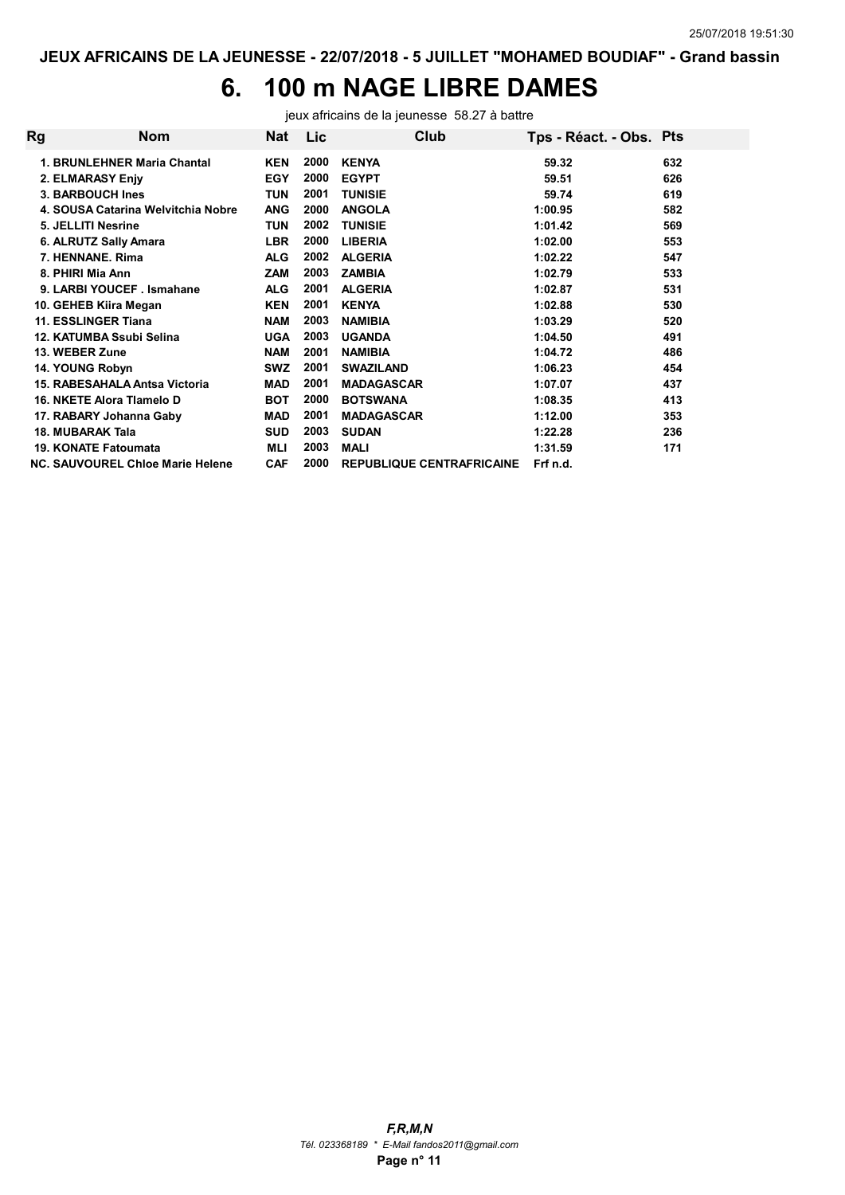# 6. 100 m NAGE LIBRE DAMES

jeux africains de la jeunesse 58.27 à battre

| Rg | Nom                                | Nat        | Lic  | Club                             | Tps - Réact. - Obs. Pts |     |
|----|------------------------------------|------------|------|----------------------------------|-------------------------|-----|
|    | 1. BRUNLEHNER Maria Chantal        | <b>KEN</b> | 2000 | <b>KENYA</b>                     | 59.32                   | 632 |
|    | 2. ELMARASY Enjy                   | <b>EGY</b> | 2000 | <b>EGYPT</b>                     | 59.51                   | 626 |
|    | 3. BARBOUCH Ines                   | <b>TUN</b> | 2001 | <b>TUNISIE</b>                   | 59.74                   | 619 |
|    | 4. SOUSA Catarina Welvitchia Nobre | <b>ANG</b> | 2000 | <b>ANGOLA</b>                    | 1:00.95                 | 582 |
|    | 5. JELLITI Nesrine                 | <b>TUN</b> | 2002 | <b>TUNISIE</b>                   | 1:01.42                 | 569 |
|    | 6. ALRUTZ Sally Amara              | <b>LBR</b> | 2000 | <b>LIBERIA</b>                   | 1:02.00                 | 553 |
|    | 7. HENNANE, Rima                   | <b>ALG</b> | 2002 | <b>ALGERIA</b>                   | 1:02.22                 | 547 |
|    | 8. PHIRI Mia Ann                   | <b>ZAM</b> | 2003 | <b>ZAMBIA</b>                    | 1:02.79                 | 533 |
|    | 9. LARBI YOUCEF, Ismahane          | <b>ALG</b> | 2001 | <b>ALGERIA</b>                   | 1:02.87                 | 531 |
|    | 10. GEHEB Kiira Megan              | <b>KEN</b> | 2001 | <b>KENYA</b>                     | 1:02.88                 | 530 |
|    | 11. ESSLINGER Tiana                | <b>NAM</b> | 2003 | <b>NAMIBIA</b>                   | 1:03.29                 | 520 |
|    | 12. KATUMBA Ssubi Selina           | <b>UGA</b> | 2003 | <b>UGANDA</b>                    | 1:04.50                 | 491 |
|    | 13. WEBER Zune                     | <b>NAM</b> | 2001 | <b>NAMIBIA</b>                   | 1:04.72                 | 486 |
|    | 14. YOUNG Robyn                    | <b>SWZ</b> | 2001 | <b>SWAZILAND</b>                 | 1:06.23                 | 454 |
|    | 15. RABESAHALA Antsa Victoria      | <b>MAD</b> | 2001 | <b>MADAGASCAR</b>                | 1:07.07                 | 437 |
|    | 16. NKETE Alora Tlamelo D          | <b>BOT</b> | 2000 | <b>BOTSWANA</b>                  | 1:08.35                 | 413 |
|    | 17. RABARY Johanna Gaby            | <b>MAD</b> | 2001 | <b>MADAGASCAR</b>                | 1:12.00                 | 353 |
|    | 18. MUBARAK Tala                   | <b>SUD</b> | 2003 | <b>SUDAN</b>                     | 1:22.28                 | 236 |
|    | 19. KONATE Fatoumata               | MLI        | 2003 | MALI                             | 1:31.59                 | 171 |
|    | NC. SAUVOUREL Chloe Marie Helene   | <b>CAF</b> | 2000 | <b>REPUBLIQUE CENTRAFRICAINE</b> | Frf n.d.                |     |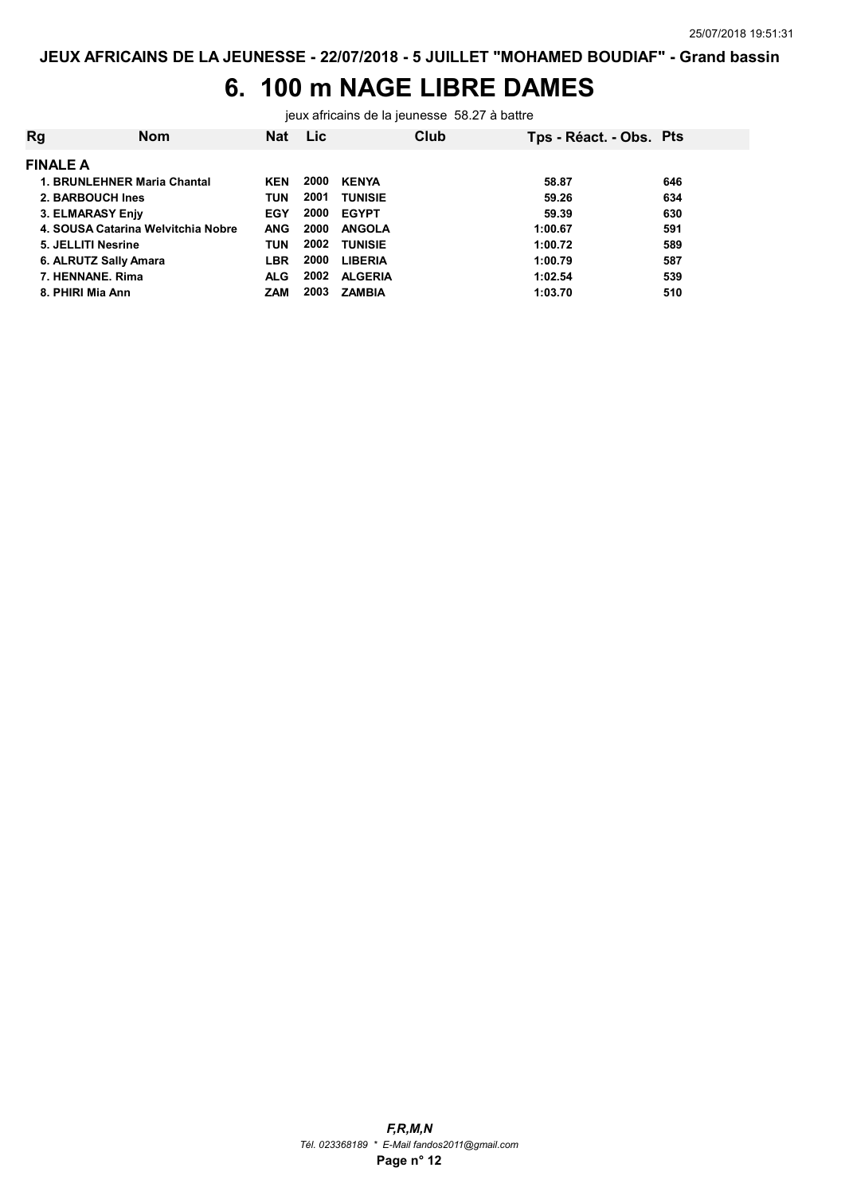## 6. 100 m NAGE LIBRE DAMES

jeux africains de la jeunesse 58.27 à battre

| Rg                          | Nom                                | Nat        | <b>Lic</b> |                | Club | Tps - Réact. - Obs. Pts |     |
|-----------------------------|------------------------------------|------------|------------|----------------|------|-------------------------|-----|
| <b>FINALE A</b>             |                                    |            |            |                |      |                         |     |
| 1. BRUNLEHNER Maria Chantal |                                    | <b>KEN</b> | 2000       | <b>KENYA</b>   |      | 58.87                   | 646 |
| 2. BARBOUCH Ines            |                                    | <b>TUN</b> | 2001       | <b>TUNISIE</b> |      | 59.26                   | 634 |
| 3. ELMARASY Enjy            |                                    | EGY        | 2000       | <b>EGYPT</b>   |      | 59.39                   | 630 |
|                             | 4. SOUSA Catarina Welvitchia Nobre | <b>ANG</b> | 2000       | <b>ANGOLA</b>  |      | 1:00.67                 | 591 |
| 5. JELLITI Nesrine          |                                    | TUN        | 2002       | <b>TUNISIE</b> |      | 1:00.72                 | 589 |
| 6. ALRUTZ Sally Amara       |                                    | LBR        | 2000       | <b>LIBERIA</b> |      | 1:00.79                 | 587 |
| 7. HENNANE, Rima            |                                    | <b>ALG</b> | 2002       | <b>ALGERIA</b> |      | 1:02.54                 | 539 |
| 8. PHIRI Mia Ann            |                                    | ZAM        | 2003       | <b>ZAMBIA</b>  |      | 1:03.70                 | 510 |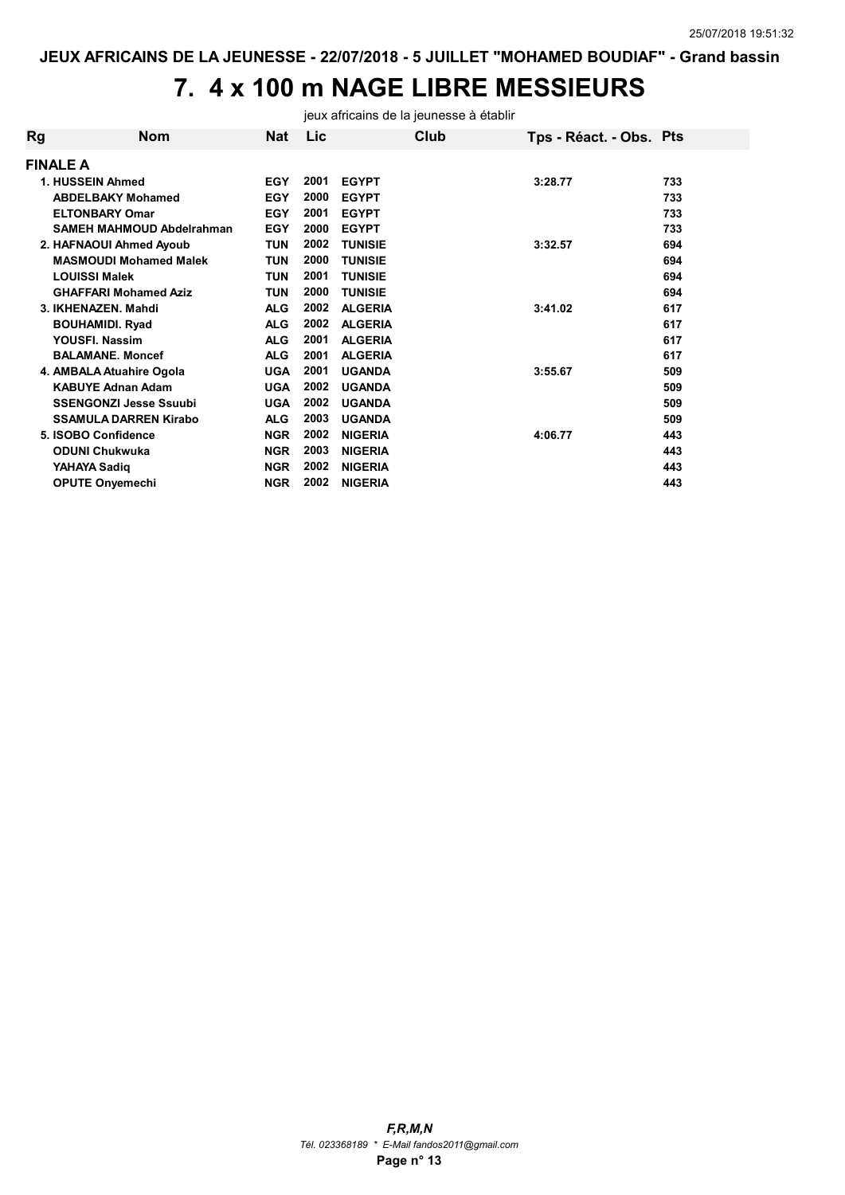# 7. 4 x 100 m NAGE LIBRE MESSIEURS

jeux africains de la jeunesse à établir

| Rg | <b>Nom</b>                    | Nat        | <b>Lic</b> |                | Club | Tps - Réact. - Obs. Pts |     |
|----|-------------------------------|------------|------------|----------------|------|-------------------------|-----|
|    | <b>FINALE A</b>               |            |            |                |      |                         |     |
|    | 1. HUSSEIN Ahmed              | <b>EGY</b> | 2001       | <b>EGYPT</b>   |      | 3:28.77                 | 733 |
|    | <b>ABDELBAKY Mohamed</b>      | <b>EGY</b> | 2000       | <b>EGYPT</b>   |      |                         | 733 |
|    | <b>ELTONBARY Omar</b>         | <b>EGY</b> | 2001       | <b>EGYPT</b>   |      |                         | 733 |
|    | SAMEH MAHMOUD Abdelrahman     | <b>EGY</b> | 2000       | <b>EGYPT</b>   |      |                         | 733 |
|    | 2. HAFNAOUI Ahmed Ayoub       | TUN        | 2002       | <b>TUNISIE</b> |      | 3:32.57                 | 694 |
|    | <b>MASMOUDI Mohamed Malek</b> | <b>TUN</b> | 2000       | <b>TUNISIE</b> |      |                         | 694 |
|    | <b>LOUISSI Malek</b>          | TUN        | 2001       | <b>TUNISIE</b> |      |                         | 694 |
|    | <b>GHAFFARI Mohamed Aziz</b>  | <b>TUN</b> | 2000       | <b>TUNISIE</b> |      |                         | 694 |
|    | 3. IKHENAZEN, Mahdi           | <b>ALG</b> | 2002       | <b>ALGERIA</b> |      | 3:41.02                 | 617 |
|    | <b>BOUHAMIDI. Ryad</b>        | <b>ALG</b> | 2002       | <b>ALGERIA</b> |      |                         | 617 |
|    | YOUSFI. Nassim                | <b>ALG</b> | 2001       | <b>ALGERIA</b> |      |                         | 617 |
|    | <b>BALAMANE, Moncef</b>       | <b>ALG</b> | 2001       | <b>ALGERIA</b> |      |                         | 617 |
|    | 4. AMBALA Atuahire Ogola      | <b>UGA</b> | 2001       | <b>UGANDA</b>  |      | 3:55.67                 | 509 |
|    | <b>KABUYE Adnan Adam</b>      | <b>UGA</b> | 2002       | <b>UGANDA</b>  |      |                         | 509 |
|    | <b>SSENGONZI Jesse Ssuubi</b> | <b>UGA</b> | 2002       | <b>UGANDA</b>  |      |                         | 509 |
|    | <b>SSAMULA DARREN Kirabo</b>  | <b>ALG</b> | 2003       | <b>UGANDA</b>  |      |                         | 509 |
|    | 5. ISOBO Confidence           | <b>NGR</b> | 2002       | <b>NIGERIA</b> |      | 4:06.77                 | 443 |
|    | <b>ODUNI Chukwuka</b>         | <b>NGR</b> | 2003       | <b>NIGERIA</b> |      |                         | 443 |
|    | YAHAYA Sadiq                  | <b>NGR</b> | 2002       | <b>NIGERIA</b> |      |                         | 443 |
|    | <b>OPUTE Onyemechi</b>        | <b>NGR</b> | 2002       | <b>NIGERIA</b> |      |                         | 443 |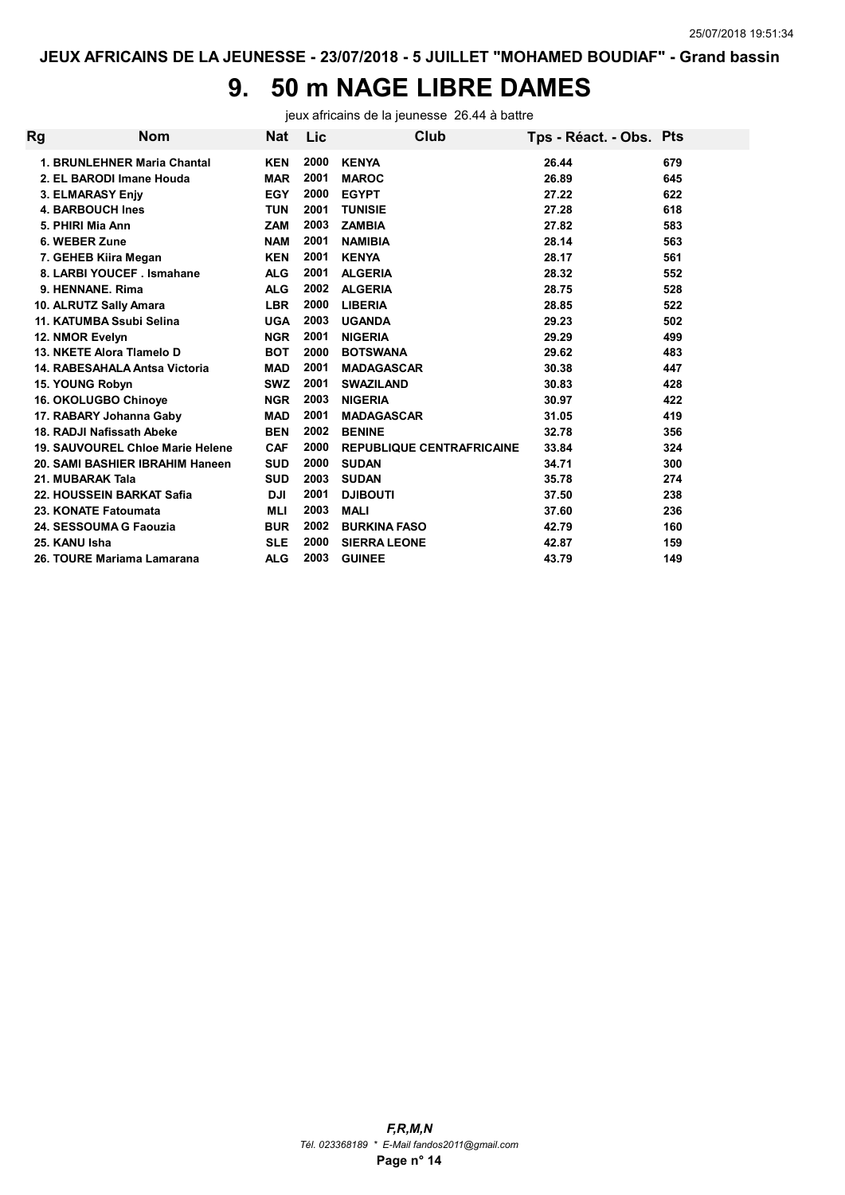# 9. 50 m NAGE LIBRE DAMES

jeux africains de la jeunesse 26.44 à battre

| Rg | Nom                              | <b>Nat</b> | Lic  | Club                             | Tps - Réact. - Obs. Pts |     |
|----|----------------------------------|------------|------|----------------------------------|-------------------------|-----|
|    | 1. BRUNLEHNER Maria Chantal      | <b>KEN</b> | 2000 | <b>KENYA</b>                     | 26.44                   | 679 |
|    | 2. EL BARODI Imane Houda         | <b>MAR</b> | 2001 | <b>MAROC</b>                     | 26.89                   | 645 |
|    | 3. ELMARASY Enjy                 | <b>EGY</b> | 2000 | <b>EGYPT</b>                     | 27.22                   | 622 |
|    | <b>4. BARBOUCH Ines</b>          | <b>TUN</b> | 2001 | <b>TUNISIE</b>                   | 27.28                   | 618 |
|    | 5. PHIRI Mia Ann                 | <b>ZAM</b> | 2003 | <b>ZAMBIA</b>                    | 27.82                   | 583 |
|    | 6. WEBER Zune                    | <b>NAM</b> | 2001 | <b>NAMIBIA</b>                   | 28.14                   | 563 |
|    | 7. GEHEB Kiira Megan             | <b>KEN</b> | 2001 | <b>KENYA</b>                     | 28.17                   | 561 |
|    | 8. LARBI YOUCEF . Ismahane       | <b>ALG</b> | 2001 | <b>ALGERIA</b>                   | 28.32                   | 552 |
|    | 9. HENNANE, Rima                 | <b>ALG</b> | 2002 | <b>ALGERIA</b>                   | 28.75                   | 528 |
|    | 10. ALRUTZ Sally Amara           | <b>LBR</b> | 2000 | <b>LIBERIA</b>                   | 28.85                   | 522 |
|    | 11. KATUMBA Ssubi Selina         | <b>UGA</b> | 2003 | <b>UGANDA</b>                    | 29.23                   | 502 |
|    | 12. NMOR Evelyn                  | <b>NGR</b> | 2001 | <b>NIGERIA</b>                   | 29.29                   | 499 |
|    | 13. NKETE Alora Tlamelo D        | <b>BOT</b> | 2000 | <b>BOTSWANA</b>                  | 29.62                   | 483 |
|    | 14. RABESAHALA Antsa Victoria    | <b>MAD</b> | 2001 | <b>MADAGASCAR</b>                | 30.38                   | 447 |
|    | 15. YOUNG Robyn                  | <b>SWZ</b> | 2001 | <b>SWAZILAND</b>                 | 30.83                   | 428 |
|    | 16. OKOLUGBO Chinoye             | <b>NGR</b> | 2003 | <b>NIGERIA</b>                   | 30.97                   | 422 |
|    | 17. RABARY Johanna Gaby          | <b>MAD</b> | 2001 | <b>MADAGASCAR</b>                | 31.05                   | 419 |
|    | 18. RADJI Nafissath Abeke        | <b>BEN</b> | 2002 | <b>BENINE</b>                    | 32.78                   | 356 |
|    | 19. SAUVOUREL Chloe Marie Helene | <b>CAF</b> | 2000 | <b>REPUBLIQUE CENTRAFRICAINE</b> | 33.84                   | 324 |
|    | 20. SAMI BASHIER IBRAHIM Haneen  | <b>SUD</b> | 2000 | <b>SUDAN</b>                     | 34.71                   | 300 |
|    | 21. MUBARAK Tala                 | <b>SUD</b> | 2003 | <b>SUDAN</b>                     | 35.78                   | 274 |
|    | 22. HOUSSEIN BARKAT Safia        | <b>DJI</b> | 2001 | <b>DJIBOUTI</b>                  | 37.50                   | 238 |
|    | 23. KONATE Fatoumata             | <b>MLI</b> | 2003 | <b>MALI</b>                      | 37.60                   | 236 |
|    | 24. SESSOUMA G Faouzia           | <b>BUR</b> | 2002 | <b>BURKINA FASO</b>              | 42.79                   | 160 |
|    | 25. KANU Isha                    | <b>SLE</b> | 2000 | <b>SIERRA LEONE</b>              | 42.87                   | 159 |
|    | 26. TOURE Mariama Lamarana       | <b>ALG</b> | 2003 | <b>GUINEE</b>                    | 43.79                   | 149 |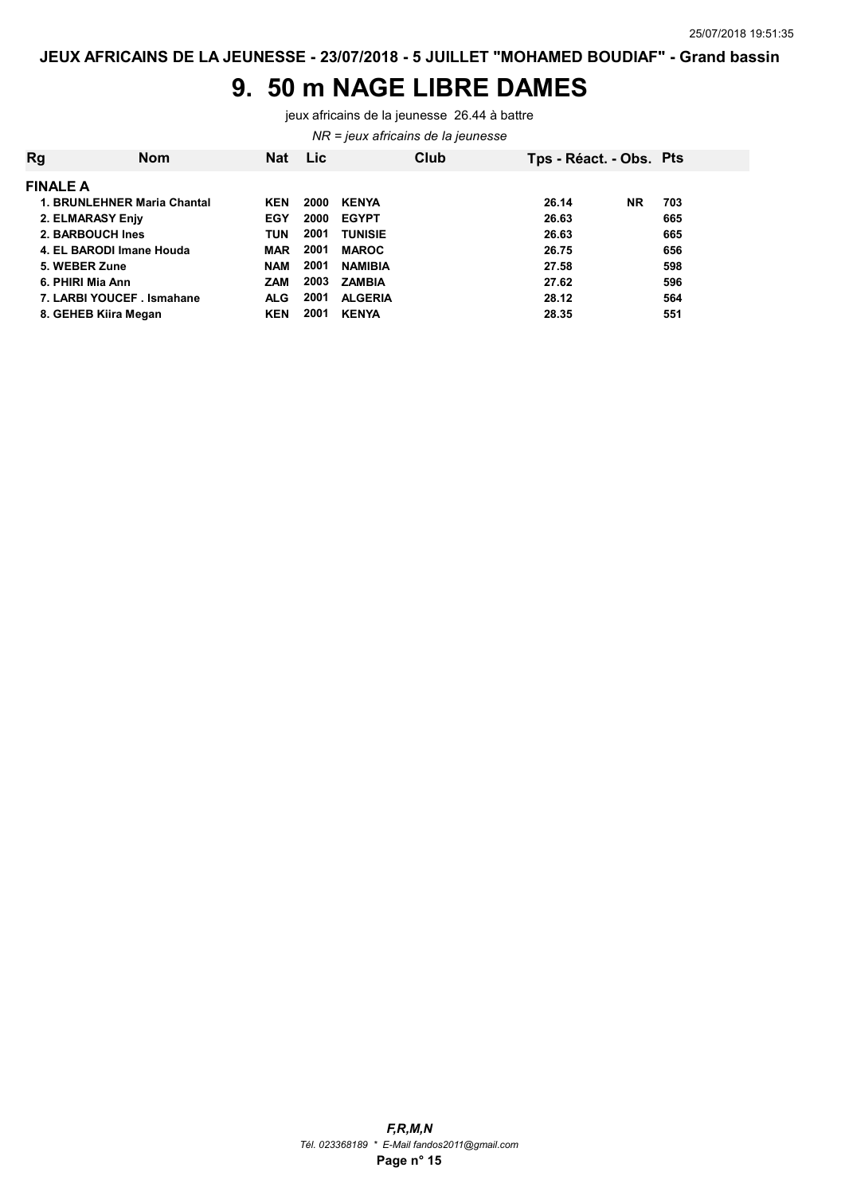#### 9. 50 m NAGE LIBRE DAMES

jeux africains de la jeunesse 26.44 à battre

NR = jeux africains de la jeunesse

| <b>Rg</b>       | <b>Nom</b>                  | <b>Nat</b> | <b>Lic</b> |                | Club | Tps - Réact. - Obs. Pts |           |     |
|-----------------|-----------------------------|------------|------------|----------------|------|-------------------------|-----------|-----|
| <b>FINALE A</b> |                             |            |            |                |      |                         |           |     |
|                 | 1. BRUNLEHNER Maria Chantal | <b>KEN</b> | 2000       | <b>KENYA</b>   |      | 26.14                   | <b>NR</b> | 703 |
|                 | 2. ELMARASY Enjy            | <b>EGY</b> | 2000       | <b>EGYPT</b>   |      | 26.63                   |           | 665 |
|                 | 2. BARBOUCH Ines            | <b>TUN</b> | 2001       | <b>TUNISIE</b> |      | 26.63                   |           | 665 |
|                 | 4. EL BARODI Imane Houda    | <b>MAR</b> | 2001       | <b>MAROC</b>   |      | 26.75                   |           | 656 |
| 5. WEBER Zune   |                             | <b>NAM</b> | 2001       | <b>NAMIBIA</b> |      | 27.58                   |           | 598 |
|                 | 6. PHIRI Mia Ann            | <b>ZAM</b> | 2003       | <b>ZAMBIA</b>  |      | 27.62                   |           | 596 |
|                 | 7. LARBI YOUCEF. Ismahane   | <b>ALG</b> | 2001       | <b>ALGERIA</b> |      | 28.12                   |           | 564 |
|                 | 8. GEHEB Kiira Megan        | <b>KEN</b> | 2001       | <b>KENYA</b>   |      | 28.35                   |           | 551 |
|                 |                             |            |            |                |      |                         |           |     |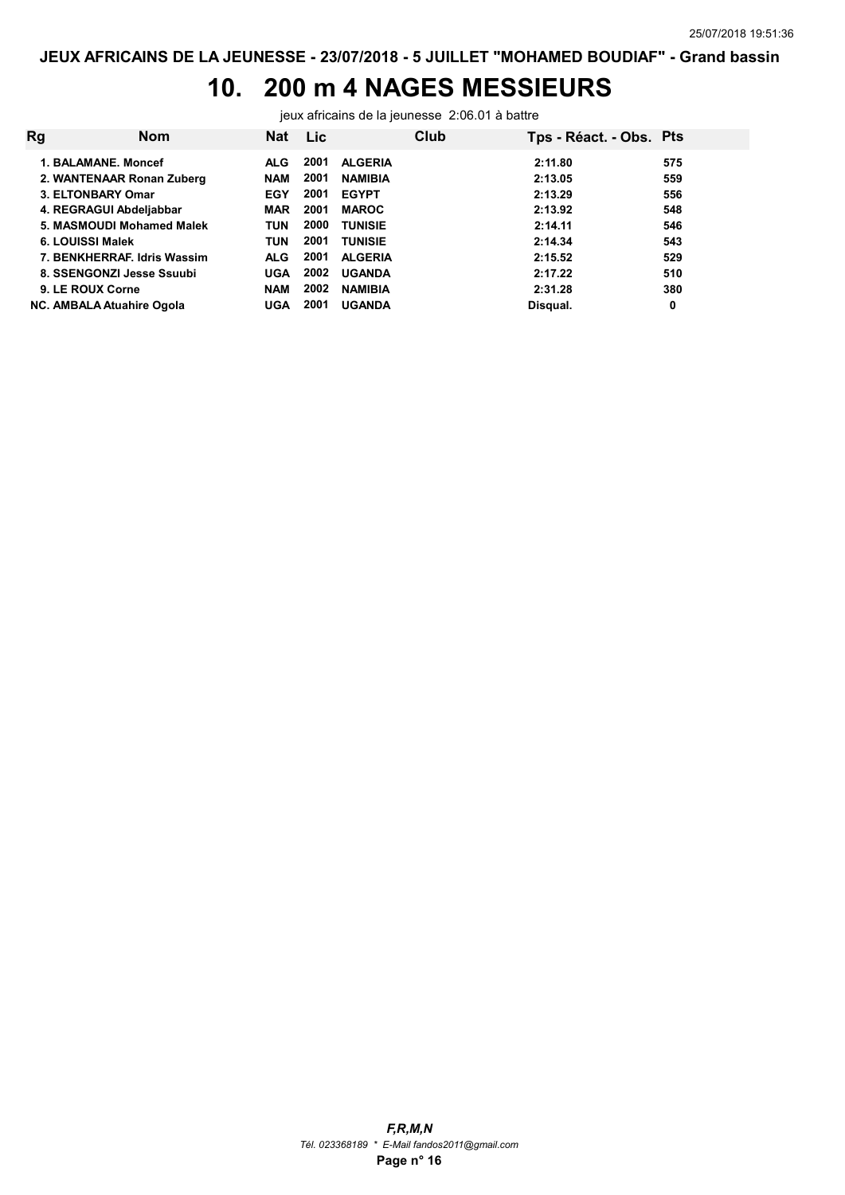# 10. 200 m 4 NAGES MESSIEURS

jeux africains de la jeunesse 2:06.01 à battre

| <b>Rg</b>                   | <b>Nom</b> | Nat        | Lic. |                | Club | Tps - Réact. - Obs. Pts |     |
|-----------------------------|------------|------------|------|----------------|------|-------------------------|-----|
| 1. BALAMANE, Moncef         |            | <b>ALG</b> | 2001 | <b>ALGERIA</b> |      | 2:11.80                 | 575 |
| 2. WANTENAAR Ronan Zuberg   |            | <b>NAM</b> | 2001 | <b>NAMIBIA</b> |      | 2:13.05                 | 559 |
| 3. ELTONBARY Omar           |            | <b>EGY</b> | 2001 | <b>EGYPT</b>   |      | 2:13.29                 | 556 |
| 4. REGRAGUI Abdeljabbar     |            | <b>MAR</b> | 2001 | <b>MAROC</b>   |      | 2:13.92                 | 548 |
| 5. MASMOUDI Mohamed Malek   |            | <b>TUN</b> | 2000 | <b>TUNISIE</b> |      | 2:14.11                 | 546 |
| 6. LOUISSI Malek            |            | <b>TUN</b> | 2001 | <b>TUNISIE</b> |      | 2:14.34                 | 543 |
| 7. BENKHERRAF, Idris Wassim |            | <b>ALG</b> | 2001 | <b>ALGERIA</b> |      | 2:15.52                 | 529 |
| 8. SSENGONZI Jesse Ssuubi   |            | <b>UGA</b> | 2002 | <b>UGANDA</b>  |      | 2:17.22                 | 510 |
| 9. LE ROUX Corne            |            | <b>NAM</b> | 2002 | <b>NAMIBIA</b> |      | 2:31.28                 | 380 |
| NC. AMBALA Atuahire Ogola   |            | <b>UGA</b> | 2001 | <b>UGANDA</b>  |      | Disqual.                | 0   |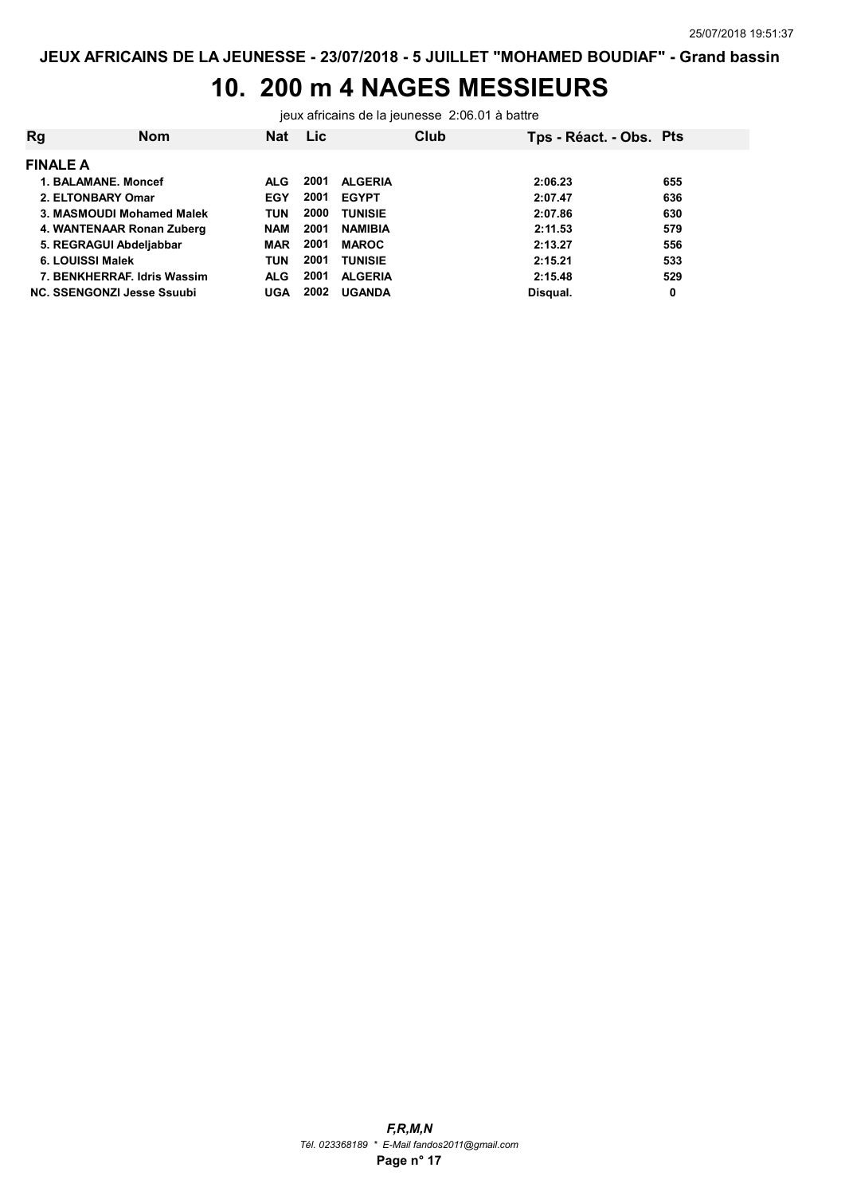# 10. 200 m 4 NAGES MESSIEURS

jeux africains de la jeunesse 2:06.01 à battre

| Rg              | Nom                               | <b>Nat</b> | <b>Lic</b> |                | Club | Tps - Réact. - Obs. Pts |     |
|-----------------|-----------------------------------|------------|------------|----------------|------|-------------------------|-----|
| <b>FINALE A</b> |                                   |            |            |                |      |                         |     |
|                 | 1. BALAMANE, Moncef               | <b>ALG</b> | 2001       | <b>ALGERIA</b> |      | 2:06.23                 | 655 |
|                 | 2. ELTONBARY Omar                 | <b>EGY</b> | 2001       | <b>EGYPT</b>   |      | 2:07.47                 | 636 |
|                 | 3. MASMOUDI Mohamed Malek         | <b>TUN</b> | 2000       | <b>TUNISIE</b> |      | 2:07.86                 | 630 |
|                 | 4. WANTENAAR Ronan Zuberg         | <b>NAM</b> | 2001       | <b>NAMIBIA</b> |      | 2:11.53                 | 579 |
|                 | 5. REGRAGUI Abdeljabbar           | MAR        | 2001       | <b>MAROC</b>   |      | 2:13.27                 | 556 |
|                 | 6. LOUISSI Malek                  | <b>TUN</b> | 2001       | <b>TUNISIE</b> |      | 2:15.21                 | 533 |
|                 | 7. BENKHERRAF, Idris Wassim       | <b>ALG</b> | 2001       | <b>ALGERIA</b> |      | 2:15.48                 | 529 |
|                 | <b>NC. SSENGONZI Jesse Ssuubi</b> | UGA        | 2002       | <b>UGANDA</b>  |      | Disqual.                | 0   |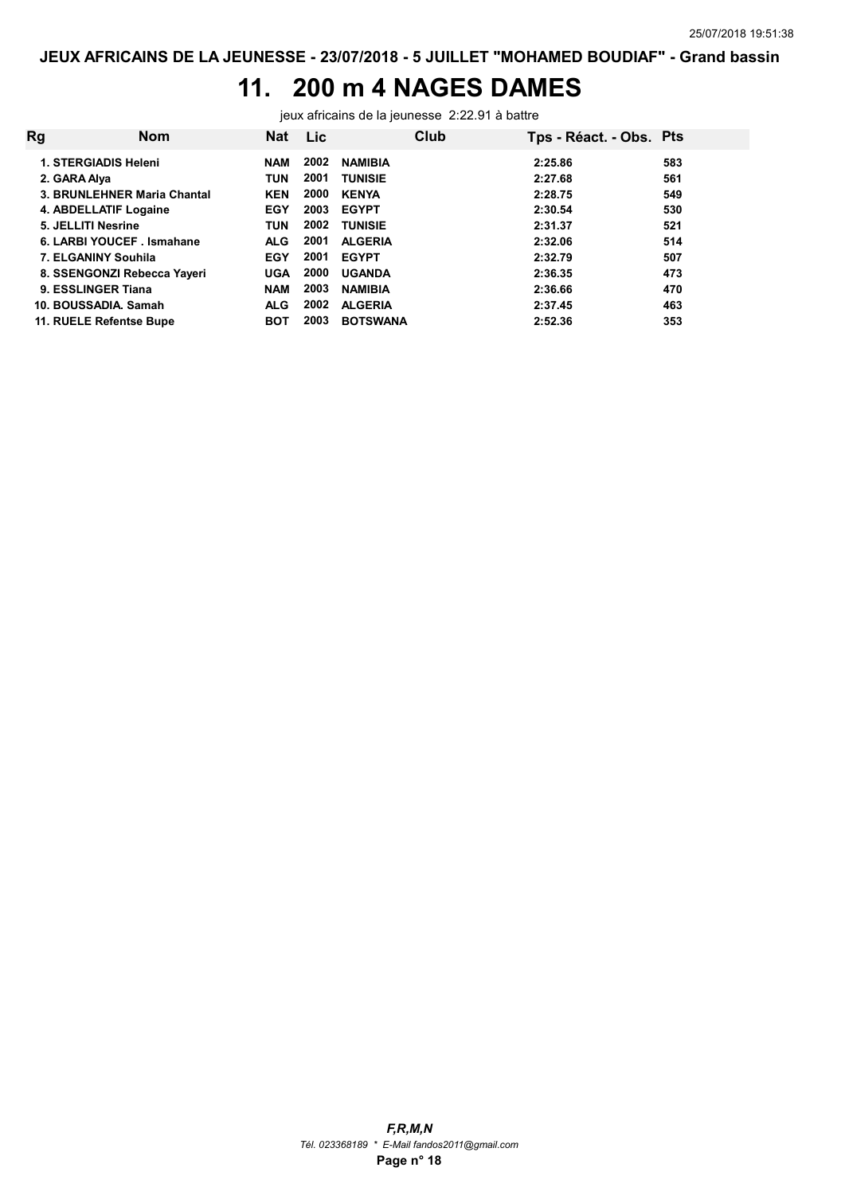## 11. 200 m 4 NAGES DAMES

jeux africains de la jeunesse 2:22.91 à battre

| <b>Rg</b> | Nom                         | <b>Nat</b> | <b>Lic</b> | Club            | Tps - Réact. - Obs. Pts |     |
|-----------|-----------------------------|------------|------------|-----------------|-------------------------|-----|
|           | 1. STERGIADIS Heleni        | <b>NAM</b> | 2002       | <b>NAMIBIA</b>  | 2:25.86                 | 583 |
|           | 2. GARA Alya                | <b>TUN</b> | 2001       | <b>TUNISIE</b>  | 2:27.68                 | 561 |
|           | 3. BRUNLEHNER Maria Chantal | <b>KEN</b> | 2000       | <b>KENYA</b>    | 2:28.75                 | 549 |
|           | 4. ABDELLATIF Logaine       | <b>EGY</b> | 2003       | <b>EGYPT</b>    | 2:30.54                 | 530 |
|           | 5. JELLITI Nesrine          | <b>TUN</b> | 2002       | <b>TUNISIE</b>  | 2:31.37                 | 521 |
|           | 6. LARBI YOUCEF . Ismahane  | <b>ALG</b> | 2001       | <b>ALGERIA</b>  | 2:32.06                 | 514 |
|           | 7. ELGANINY Souhila         | <b>EGY</b> | 2001       | <b>EGYPT</b>    | 2:32.79                 | 507 |
|           | 8. SSENGONZI Rebecca Yayeri | <b>UGA</b> | 2000       | <b>UGANDA</b>   | 2:36.35                 | 473 |
|           | 9. ESSLINGER Tiana          | <b>NAM</b> | 2003       | <b>NAMIBIA</b>  | 2:36.66                 | 470 |
|           | 10. BOUSSADIA, Samah        | <b>ALG</b> | 2002       | <b>ALGERIA</b>  | 2:37.45                 | 463 |
|           | 11. RUELE Refentse Bupe     | BOT        | 2003       | <b>BOTSWANA</b> | 2:52.36                 | 353 |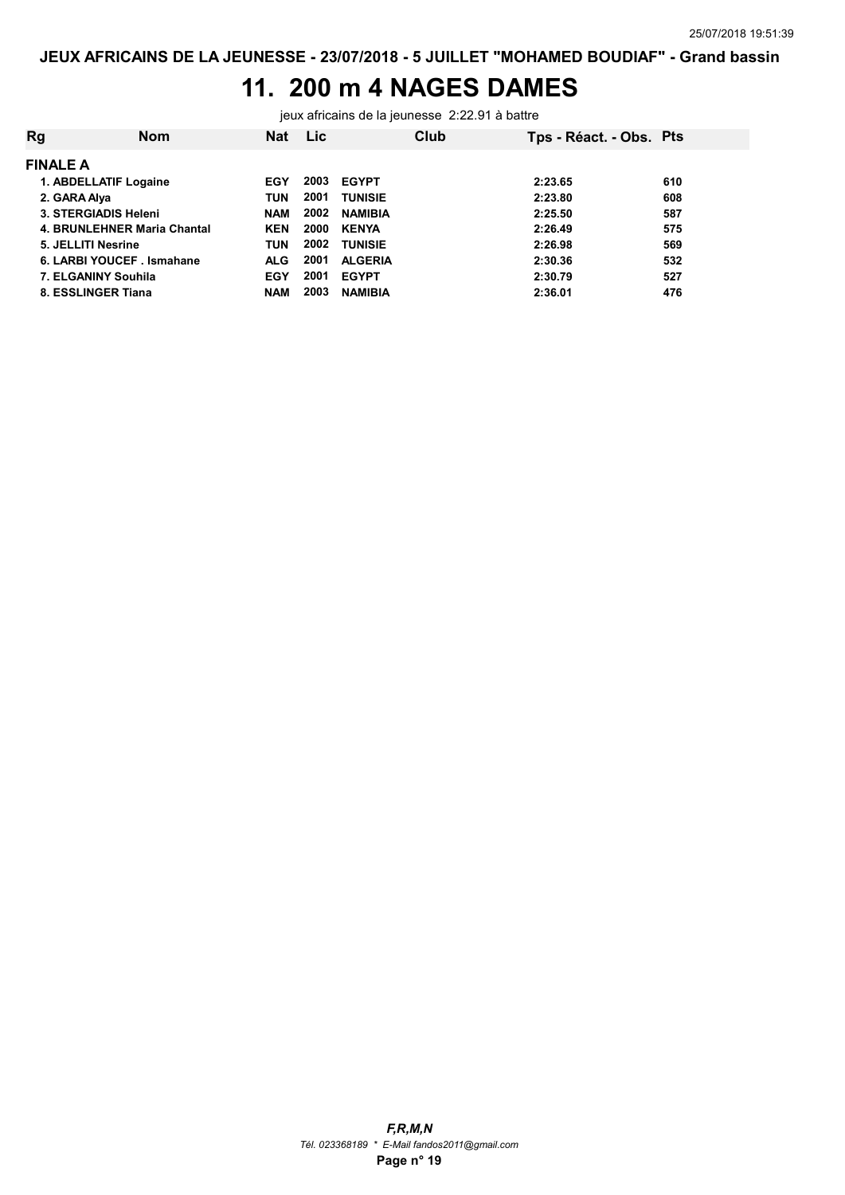## 11. 200 m 4 NAGES DAMES

jeux africains de la jeunesse 2:22.91 à battre

| Rg                 | Nom                         | Nat        | <b>Lic</b> |                | Club | Tps - Réact. - Obs. Pts |     |
|--------------------|-----------------------------|------------|------------|----------------|------|-------------------------|-----|
| <b>FINALE A</b>    |                             |            |            |                |      |                         |     |
|                    | 1. ABDELLATIF Logaine       | EGY        | 2003       | <b>EGYPT</b>   |      | 2:23.65                 | 610 |
| 2. GARA Alya       |                             | <b>TUN</b> | 2001       | <b>TUNISIE</b> |      | 2:23.80                 | 608 |
|                    | 3. STERGIADIS Heleni        | <b>NAM</b> | 2002       | <b>NAMIBIA</b> |      | 2:25.50                 | 587 |
|                    | 4. BRUNLEHNER Maria Chantal | <b>KEN</b> | 2000       | <b>KENYA</b>   |      | 2:26.49                 | 575 |
| 5. JELLITI Nesrine |                             | <b>TUN</b> | 2002       | <b>TUNISIE</b> |      | 2:26.98                 | 569 |
|                    | 6. LARBI YOUCEF . Ismahane  | <b>ALG</b> | 2001       | <b>ALGERIA</b> |      | 2:30.36                 | 532 |
|                    | 7. ELGANINY Souhila         | EGY        | 2001       | <b>EGYPT</b>   |      | 2:30.79                 | 527 |
| 8. ESSLINGER Tiana |                             | <b>NAM</b> | 2003       | <b>NAMIBIA</b> |      | 2:36.01                 | 476 |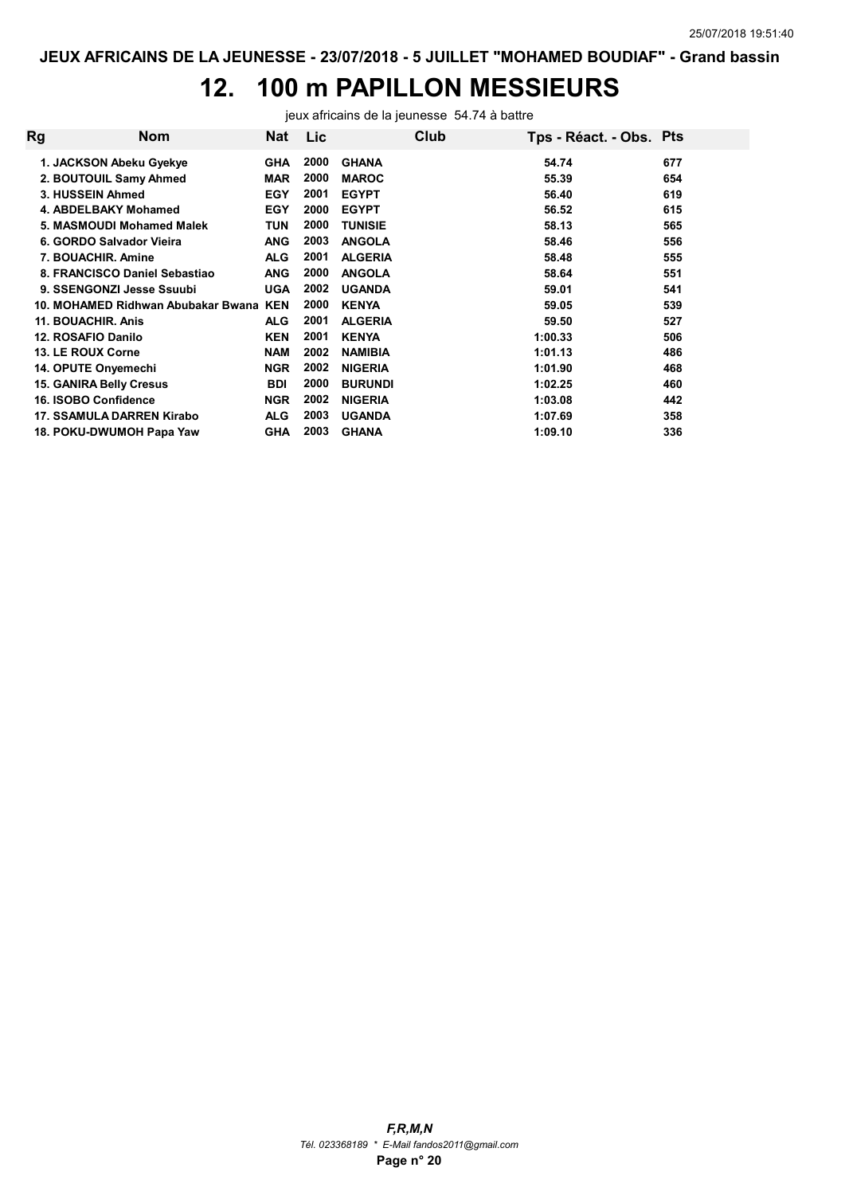## 12. 100 m PAPILLON MESSIEURS

jeux africains de la jeunesse 54.74 à battre

| Rg | <b>Nom</b>                         | Nat        | <b>Lic</b> |                | Club | Tps - Réact. - Obs. Pts |     |
|----|------------------------------------|------------|------------|----------------|------|-------------------------|-----|
|    | 1. JACKSON Abeku Gyekye            | <b>GHA</b> | 2000       | <b>GHANA</b>   |      | 54.74                   | 677 |
|    | 2. BOUTOUIL Samy Ahmed             | <b>MAR</b> | 2000       | <b>MAROC</b>   |      | 55.39                   | 654 |
|    | 3. HUSSEIN Ahmed                   | <b>EGY</b> | 2001       | <b>EGYPT</b>   |      | 56.40                   | 619 |
|    | 4. ABDELBAKY Mohamed               | <b>EGY</b> | 2000       | <b>EGYPT</b>   |      | 56.52                   | 615 |
|    | 5. MASMOUDI Mohamed Malek          | TUN        | 2000       | <b>TUNISIE</b> |      | 58.13                   | 565 |
|    | 6. GORDO Salvador Vieira           | <b>ANG</b> | 2003       | <b>ANGOLA</b>  |      | 58.46                   | 556 |
|    | 7. BOUACHIR, Amine                 | <b>ALG</b> | 2001       | <b>ALGERIA</b> |      | 58.48                   | 555 |
|    | 8. FRANCISCO Daniel Sebastiao      | <b>ANG</b> | 2000       | <b>ANGOLA</b>  |      | 58.64                   | 551 |
|    | 9. SSENGONZI Jesse Ssuubi          | <b>UGA</b> | 2002       | <b>UGANDA</b>  |      | 59.01                   | 541 |
|    | 10. MOHAMED Ridhwan Abubakar Bwana | <b>KEN</b> | 2000       | <b>KENYA</b>   |      | 59.05                   | 539 |
|    | 11. BOUACHIR. Anis                 | <b>ALG</b> | 2001       | <b>ALGERIA</b> |      | 59.50                   | 527 |
|    | 12. ROSAFIO Danilo                 | <b>KEN</b> | 2001       | <b>KENYA</b>   |      | 1:00.33                 | 506 |
|    | 13. LE ROUX Corne                  | <b>NAM</b> | 2002       | <b>NAMIBIA</b> |      | 1:01.13                 | 486 |
|    | 14. OPUTE Onyemechi                | <b>NGR</b> | 2002       | <b>NIGERIA</b> |      | 1:01.90                 | 468 |
|    | <b>15. GANIRA Belly Cresus</b>     | <b>BDI</b> | 2000       | <b>BURUNDI</b> |      | 1:02.25                 | 460 |
|    | 16. ISOBO Confidence               | <b>NGR</b> | 2002       | <b>NIGERIA</b> |      | 1:03.08                 | 442 |
|    | 17. SSAMULA DARREN Kirabo          | <b>ALG</b> | 2003       | <b>UGANDA</b>  |      | 1:07.69                 | 358 |
|    | 18. POKU-DWUMOH Papa Yaw           | <b>GHA</b> | 2003       | <b>GHANA</b>   |      | 1:09.10                 | 336 |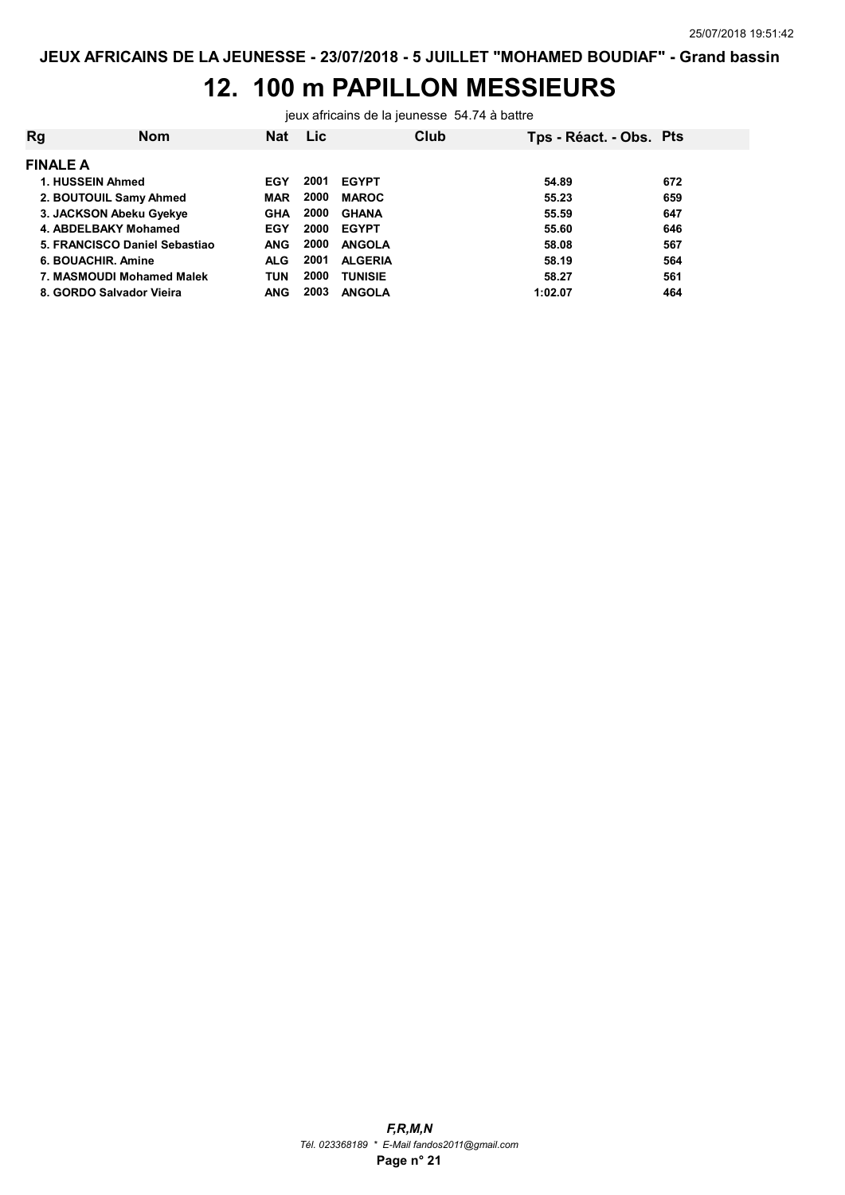## 12. 100 m PAPILLON MESSIEURS

jeux africains de la jeunesse 54.74 à battre

| Rg              | <b>Nom</b>                    | <b>Nat</b> | <b>Lic</b> | Club           | Tps - Réact. - Obs. Pts |     |
|-----------------|-------------------------------|------------|------------|----------------|-------------------------|-----|
| <b>FINALE A</b> |                               |            |            |                |                         |     |
|                 | 1. HUSSEIN Ahmed              | EGY        | 2001       | <b>EGYPT</b>   | 54.89                   | 672 |
|                 | 2. BOUTOUIL Samy Ahmed        | <b>MAR</b> | 2000       | <b>MAROC</b>   | 55.23                   | 659 |
|                 | 3. JACKSON Abeku Gyekye       | <b>GHA</b> | 2000       | <b>GHANA</b>   | 55.59                   | 647 |
|                 | 4. ABDELBAKY Mohamed          | EGY        | 2000       | <b>EGYPT</b>   | 55.60                   | 646 |
|                 | 5. FRANCISCO Daniel Sebastiao | <b>ANG</b> | 2000       | <b>ANGOLA</b>  | 58.08                   | 567 |
|                 | 6. BOUACHIR, Amine            | <b>ALG</b> | 2001       | <b>ALGERIA</b> | 58.19                   | 564 |
|                 | 7. MASMOUDI Mohamed Malek     | <b>TUN</b> | 2000       | <b>TUNISIE</b> | 58.27                   | 561 |
|                 | 8. GORDO Salvador Vieira      | ANG        | 2003       | <b>ANGOLA</b>  | 1:02.07                 | 464 |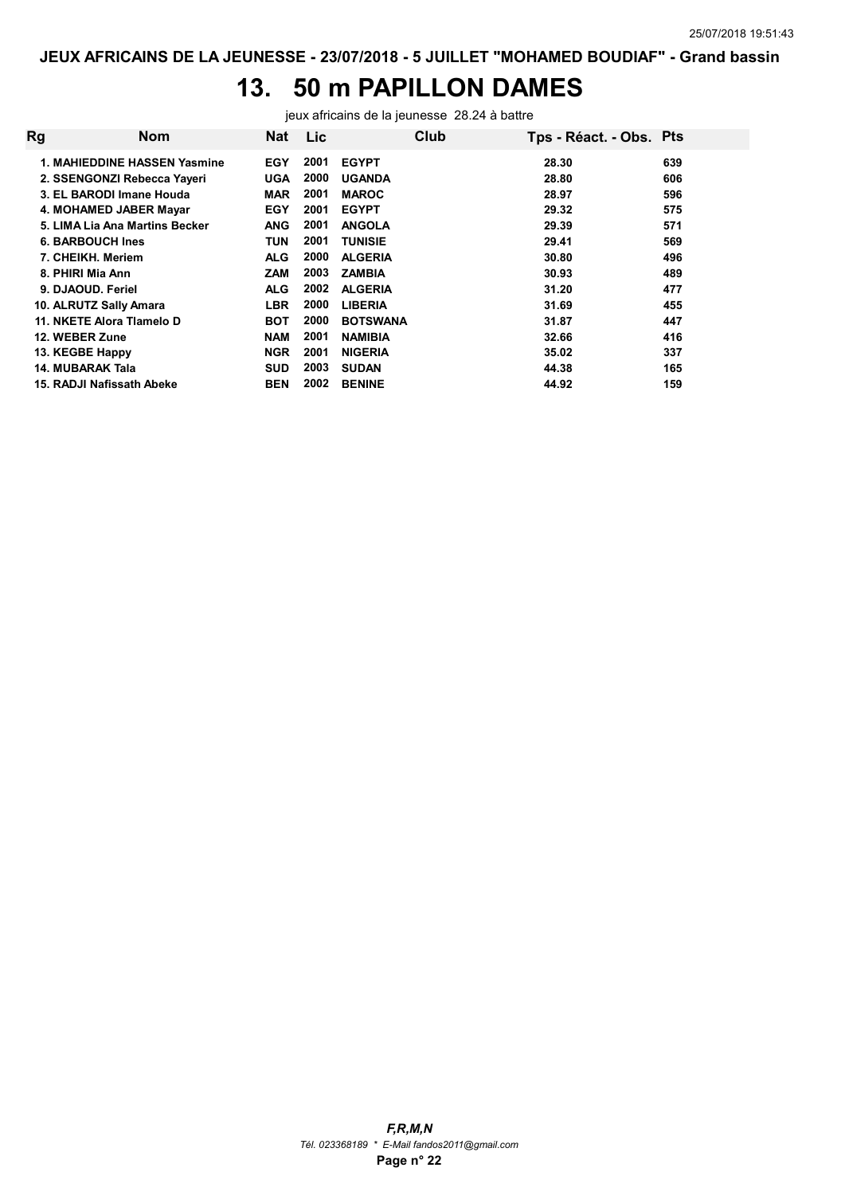## 13. 50 m PAPILLON DAMES

jeux africains de la jeunesse 28.24 à battre

| Rg | <b>Nom</b>                     | Nat        | Lic  |                 | Club | Tps - Réact. - Obs. Pts |     |
|----|--------------------------------|------------|------|-----------------|------|-------------------------|-----|
|    | 1. MAHIEDDINE HASSEN Yasmine   | <b>EGY</b> | 2001 | <b>EGYPT</b>    |      | 28.30                   | 639 |
|    | 2. SSENGONZI Rebecca Yayeri    | <b>UGA</b> | 2000 | <b>UGANDA</b>   |      | 28.80                   | 606 |
|    | 3. EL BARODI Imane Houda       | <b>MAR</b> | 2001 | <b>MAROC</b>    |      | 28.97                   | 596 |
|    | 4. MOHAMED JABER Mayar         | <b>EGY</b> | 2001 | <b>EGYPT</b>    |      | 29.32                   | 575 |
|    | 5. LIMA Lia Ana Martins Becker | <b>ANG</b> | 2001 | <b>ANGOLA</b>   |      | 29.39                   | 571 |
|    | <b>6. BARBOUCH Ines</b>        | TUN        | 2001 | <b>TUNISIE</b>  |      | 29.41                   | 569 |
|    | 7. CHEIKH. Meriem              | <b>ALG</b> | 2000 | <b>ALGERIA</b>  |      | 30.80                   | 496 |
|    | 8. PHIRI Mia Ann               | ZAM        | 2003 | <b>ZAMBIA</b>   |      | 30.93                   | 489 |
|    | 9. DJAOUD. Feriel              | <b>ALG</b> | 2002 | <b>ALGERIA</b>  |      | 31.20                   | 477 |
|    | 10. ALRUTZ Sally Amara         | <b>LBR</b> | 2000 | <b>LIBERIA</b>  |      | 31.69                   | 455 |
|    | 11. NKETE Alora Tlamelo D      | <b>BOT</b> | 2000 | <b>BOTSWANA</b> |      | 31.87                   | 447 |
|    | 12. WEBER Zune                 | <b>NAM</b> | 2001 | <b>NAMIBIA</b>  |      | 32.66                   | 416 |
|    | 13. KEGBE Happy                | <b>NGR</b> | 2001 | <b>NIGERIA</b>  |      | 35.02                   | 337 |
|    | 14. MUBARAK Tala               | <b>SUD</b> | 2003 | <b>SUDAN</b>    |      | 44.38                   | 165 |
|    | 15. RADJI Nafissath Abeke      | <b>BEN</b> | 2002 | <b>BENINE</b>   |      | 44.92                   | 159 |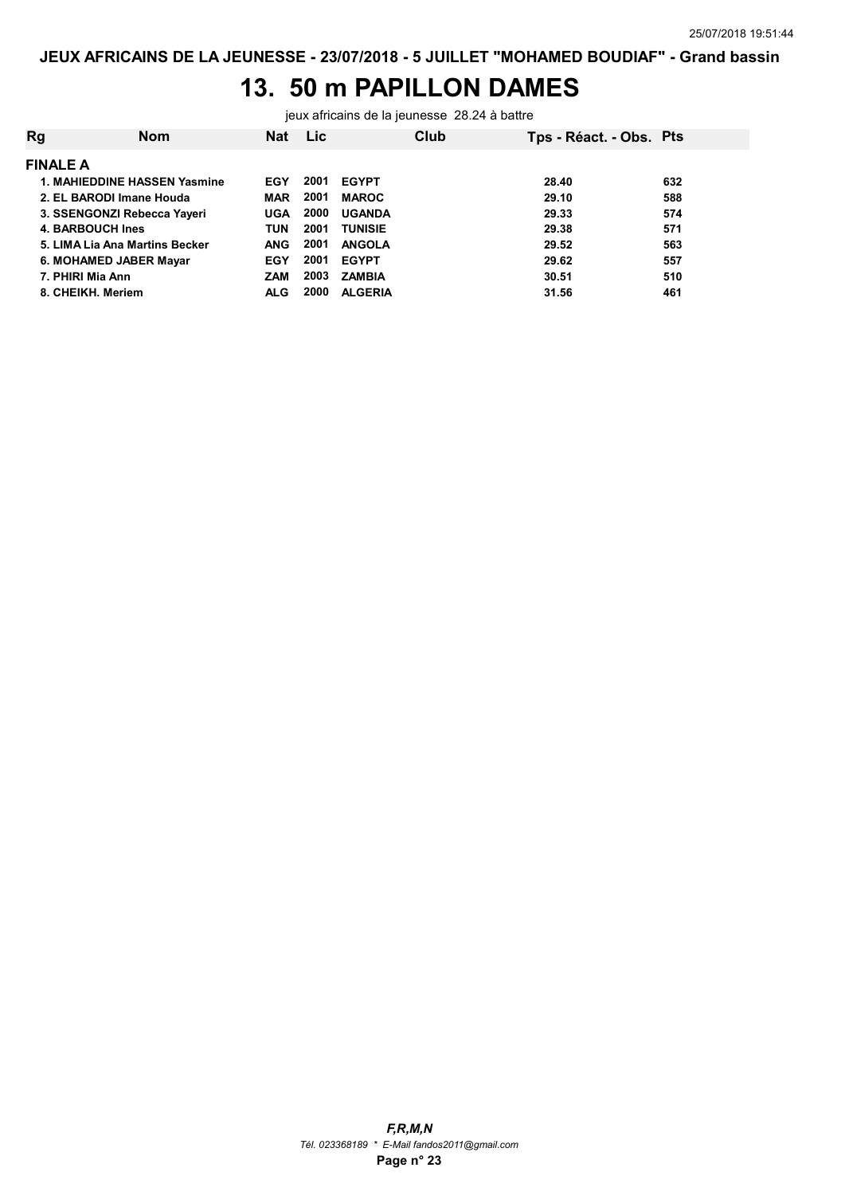### 13. 50 m PAPILLON DAMES

jeux africains de la jeunesse 28.24 à battre

| Rg | <b>Nom</b>                     | <b>Nat</b> | <b>Lic</b> |                | Club | Tps - Réact. - Obs. Pts |     |
|----|--------------------------------|------------|------------|----------------|------|-------------------------|-----|
|    | <b>FINALE A</b>                |            |            |                |      |                         |     |
|    | 1. MAHIEDDINE HASSEN Yasmine   | EGY        | 2001       | <b>EGYPT</b>   |      | 28.40                   | 632 |
|    | 2. EL BARODI Imane Houda       | <b>MAR</b> | 2001       | <b>MAROC</b>   |      | 29.10                   | 588 |
|    | 3. SSENGONZI Rebecca Yayeri    | <b>UGA</b> | 2000       | <b>UGANDA</b>  |      | 29.33                   | 574 |
|    | 4. BARBOUCH Ines               | TUN        | 2001       | <b>TUNISIE</b> |      | 29.38                   | 571 |
|    | 5. LIMA Lia Ana Martins Becker | <b>ANG</b> | 2001       | <b>ANGOLA</b>  |      | 29.52                   | 563 |
|    | 6. MOHAMED JABER Mayar         | EGY        | 2001       | <b>EGYPT</b>   |      | 29.62                   | 557 |
|    | 7. PHIRI Mia Ann               | <b>ZAM</b> | 2003       | <b>ZAMBIA</b>  |      | 30.51                   | 510 |
|    | 8. CHEIKH, Meriem              | <b>ALG</b> | 2000       | <b>ALGERIA</b> |      | 31.56                   | 461 |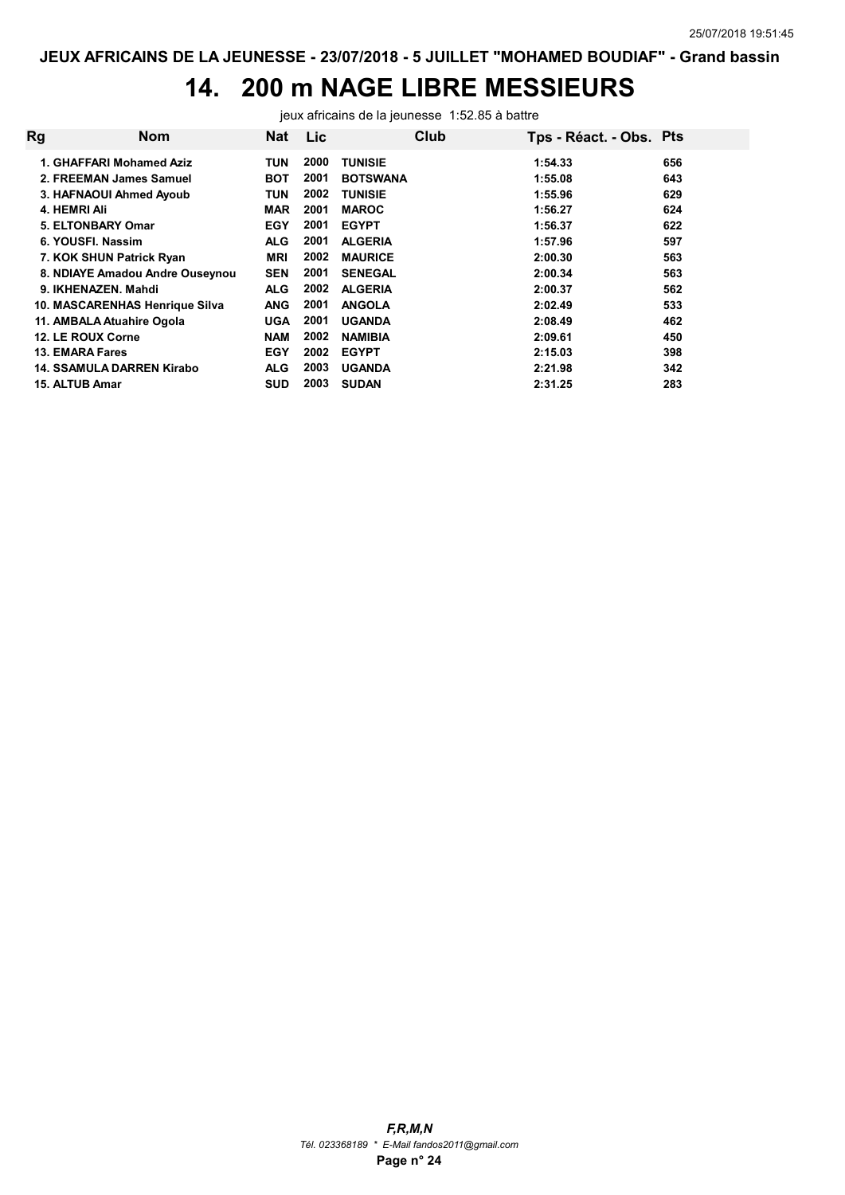## 14. 200 m NAGE LIBRE MESSIEURS

jeux africains de la jeunesse 1:52.85 à battre

| Rg | <b>Nom</b>                       | Nat        | <b>Lic</b> | Club            | Tps - Réact. - Obs. Pts |     |
|----|----------------------------------|------------|------------|-----------------|-------------------------|-----|
|    | 1. GHAFFARI Mohamed Aziz         | TUN        | 2000       | <b>TUNISIE</b>  | 1:54.33                 | 656 |
|    | 2. FREEMAN James Samuel          | BOT        | 2001       | <b>BOTSWANA</b> | 1:55.08                 | 643 |
|    | 3. HAFNAOUI Ahmed Ayoub          | TUN        | 2002       | <b>TUNISIE</b>  | 1:55.96                 | 629 |
|    | 4. HEMRI Ali                     | <b>MAR</b> | 2001       | <b>MAROC</b>    | 1:56.27                 | 624 |
|    | 5. ELTONBARY Omar                | <b>EGY</b> | 2001       | <b>EGYPT</b>    | 1:56.37                 | 622 |
|    | 6. YOUSFI, Nassim                | <b>ALG</b> | 2001       | <b>ALGERIA</b>  | 1:57.96                 | 597 |
|    | 7. KOK SHUN Patrick Ryan         | <b>MRI</b> | 2002       | <b>MAURICE</b>  | 2:00.30                 | 563 |
|    | 8. NDIAYE Amadou Andre Ouseynou  | <b>SEN</b> | 2001       | <b>SENEGAL</b>  | 2:00.34                 | 563 |
|    | 9. IKHENAZEN, Mahdi              | ALG        | 2002       | <b>ALGERIA</b>  | 2:00.37                 | 562 |
|    | 10. MASCARENHAS Henrique Silva   | <b>ANG</b> | 2001       | <b>ANGOLA</b>   | 2:02.49                 | 533 |
|    | 11. AMBALA Atuahire Ogola        | <b>UGA</b> | 2001       | <b>UGANDA</b>   | 2:08.49                 | 462 |
|    | 12. LE ROUX Corne                | <b>NAM</b> | 2002       | <b>NAMIBIA</b>  | 2:09.61                 | 450 |
|    | <b>13. EMARA Fares</b>           | <b>EGY</b> | 2002       | <b>EGYPT</b>    | 2:15.03                 | 398 |
|    | <b>14. SSAMULA DARREN Kirabo</b> | ALG        | 2003       | <b>UGANDA</b>   | 2:21.98                 | 342 |
|    | 15. ALTUB Amar                   | SUD        | 2003       | <b>SUDAN</b>    | 2:31.25                 | 283 |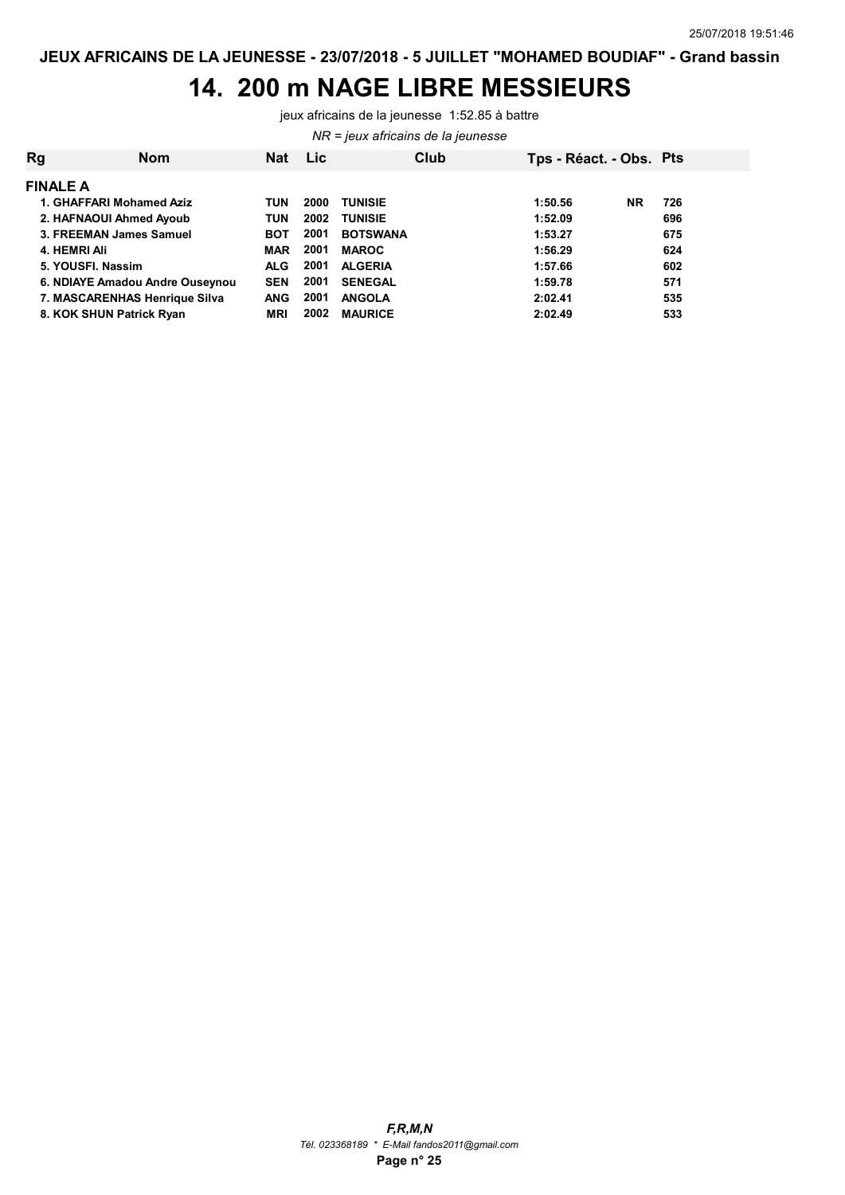#### 14. 200 m NAGE LIBRE MESSIEURS

jeux africains de la jeunesse 1:52.85 à battre

NR = jeux africains de la jeunesse

| Rg | <b>Nom</b>                      | <b>Nat</b> | <b>Lic</b> | Club            | Tps - Réact. - Obs. Pts |           |     |
|----|---------------------------------|------------|------------|-----------------|-------------------------|-----------|-----|
|    | <b>FINALE A</b>                 |            |            |                 |                         |           |     |
|    | 1. GHAFFARI Mohamed Aziz        | TUN        | 2000       | <b>TUNISIE</b>  | 1:50.56                 | <b>NR</b> | 726 |
|    | 2. HAFNAOUI Ahmed Ayoub         | TUN        | 2002       | <b>TUNISIE</b>  | 1:52.09                 |           | 696 |
|    | 3. FREEMAN James Samuel         | <b>BOT</b> | 2001       | <b>BOTSWANA</b> | 1:53.27                 |           | 675 |
|    | 4. HEMRI Ali                    | <b>MAR</b> | 2001       | <b>MAROC</b>    | 1:56.29                 |           | 624 |
|    | 5. YOUSFI, Nassim               | <b>ALG</b> | 2001       | <b>ALGERIA</b>  | 1:57.66                 |           | 602 |
|    | 6. NDIAYE Amadou Andre Ouseynou | <b>SEN</b> | 2001       | <b>SENEGAL</b>  | 1:59.78                 |           | 571 |
|    | 7. MASCARENHAS Henrique Silva   | <b>ANG</b> | 2001       | <b>ANGOLA</b>   | 2:02.41                 |           | 535 |
|    | 8. KOK SHUN Patrick Ryan        | <b>MRI</b> | 2002       | <b>MAURICE</b>  | 2:02.49                 |           | 533 |
|    |                                 |            |            |                 |                         |           |     |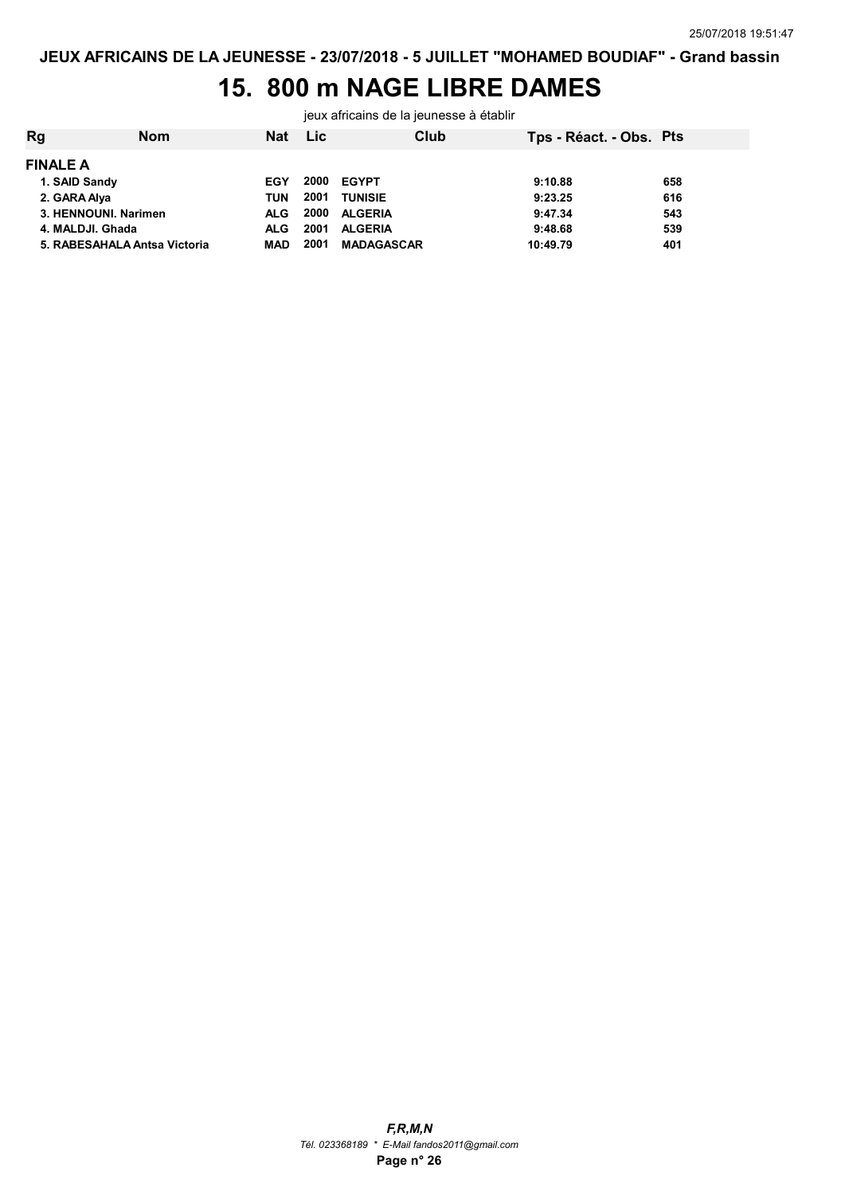## 15. 800 m NAGE LIBRE DAMES

jeux africains de la jeunesse à établir

| Rg                   | <b>Nom</b>                   | Nat        | Lic  | Club              | Tps - Réact. - Obs. Pts |     |
|----------------------|------------------------------|------------|------|-------------------|-------------------------|-----|
| <b>FINALE A</b>      |                              |            |      |                   |                         |     |
| 1. SAID Sandy        |                              | EGY        | 2000 | EGYPT             | 9:10.88                 | 658 |
| 2. GARA Alya         |                              | TUN        | 2001 | <b>TUNISIE</b>    | 9:23.25                 | 616 |
| 3. HENNOUNI, Narimen |                              | <b>ALG</b> | 2000 | <b>ALGERIA</b>    | 9:47.34                 | 543 |
| 4. MALDJI. Ghada     |                              | <b>ALG</b> | 2001 | <b>ALGERIA</b>    | 9:48.68                 | 539 |
|                      | 5. RABESAHALA Antsa Victoria | MAD        | 2001 | <b>MADAGASCAR</b> | 10:49.79                | 401 |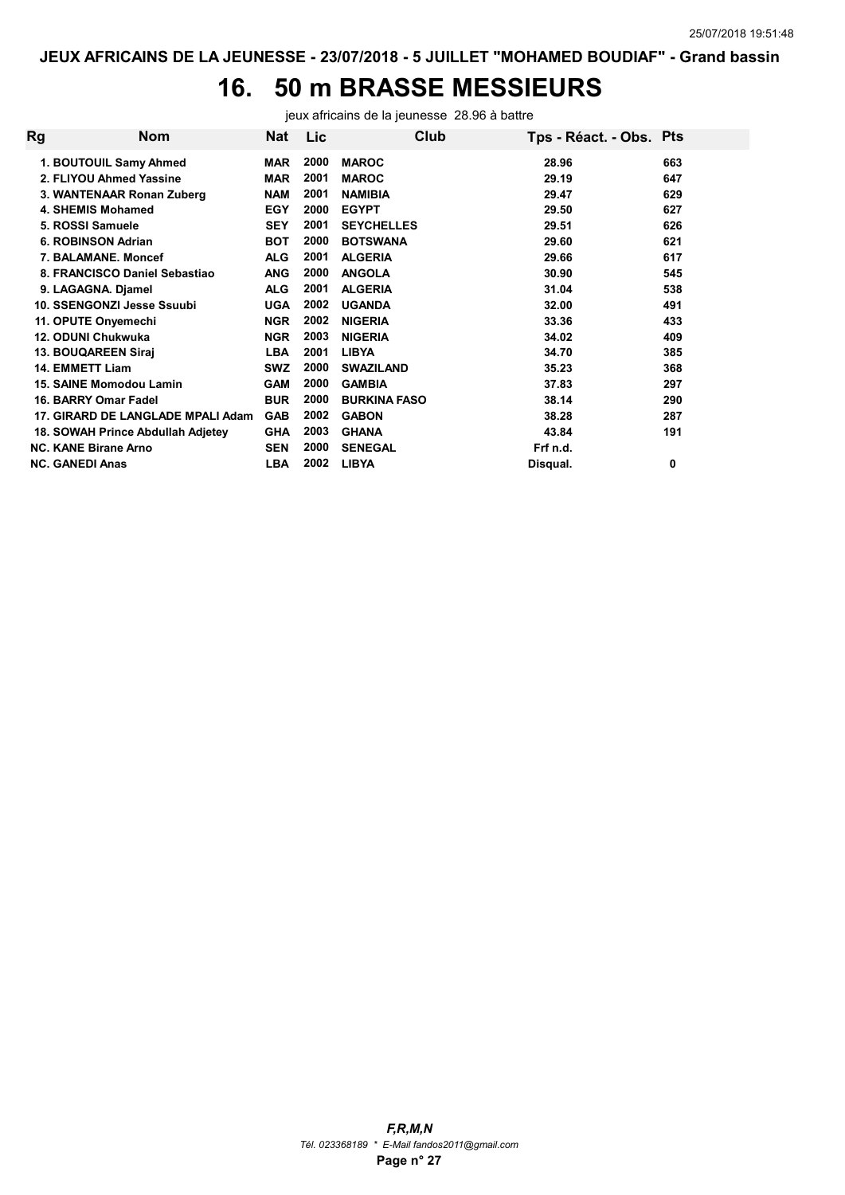# 16. 50 m BRASSE MESSIEURS

jeux africains de la jeunesse 28.96 à battre

| Rg | <b>Nom</b>                        | Nat        | Lic  | Club                | Tps - Réact. - Obs. Pts |     |
|----|-----------------------------------|------------|------|---------------------|-------------------------|-----|
|    | 1. BOUTOUIL Samy Ahmed            | <b>MAR</b> | 2000 | <b>MAROC</b>        | 28.96                   | 663 |
|    | 2. FLIYOU Ahmed Yassine           | <b>MAR</b> | 2001 | <b>MAROC</b>        | 29.19                   | 647 |
|    | 3. WANTENAAR Ronan Zuberg         | <b>NAM</b> | 2001 | <b>NAMIBIA</b>      | 29.47                   | 629 |
|    | 4. SHEMIS Mohamed                 | <b>EGY</b> | 2000 | <b>EGYPT</b>        | 29.50                   | 627 |
|    | 5. ROSSI Samuele                  | <b>SEY</b> | 2001 | <b>SEYCHELLES</b>   | 29.51                   | 626 |
|    | 6. ROBINSON Adrian                | <b>BOT</b> | 2000 | <b>BOTSWANA</b>     | 29.60                   | 621 |
|    | 7. BALAMANE, Moncef               | <b>ALG</b> | 2001 | <b>ALGERIA</b>      | 29.66                   | 617 |
|    | 8. FRANCISCO Daniel Sebastiao     | <b>ANG</b> | 2000 | <b>ANGOLA</b>       | 30.90                   | 545 |
|    | 9. LAGAGNA. Diamel                | <b>ALG</b> | 2001 | <b>ALGERIA</b>      | 31.04                   | 538 |
|    | 10. SSENGONZI Jesse Ssuubi        | <b>UGA</b> | 2002 | <b>UGANDA</b>       | 32.00                   | 491 |
|    | 11. OPUTE Onyemechi               | <b>NGR</b> | 2002 | <b>NIGERIA</b>      | 33.36                   | 433 |
|    | 12. ODUNI Chukwuka                | <b>NGR</b> | 2003 | <b>NIGERIA</b>      | 34.02                   | 409 |
|    | 13. BOUQAREEN Sirai               | <b>LBA</b> | 2001 | <b>LIBYA</b>        | 34.70                   | 385 |
|    | <b>14. EMMETT Liam</b>            | <b>SWZ</b> | 2000 | <b>SWAZILAND</b>    | 35.23                   | 368 |
|    | 15. SAINE Momodou Lamin           | <b>GAM</b> | 2000 | <b>GAMBIA</b>       | 37.83                   | 297 |
|    | 16. BARRY Omar Fadel              | <b>BUR</b> | 2000 | <b>BURKINA FASO</b> | 38.14                   | 290 |
|    | 17. GIRARD DE LANGLADE MPALI Adam | <b>GAB</b> | 2002 | <b>GABON</b>        | 38.28                   | 287 |
|    | 18. SOWAH Prince Abdullah Adjetey | <b>GHA</b> | 2003 | <b>GHANA</b>        | 43.84                   | 191 |
|    | <b>NC. KANE Birane Arno</b>       | <b>SEN</b> | 2000 | <b>SENEGAL</b>      | Frf n.d.                |     |
|    | <b>NC. GANEDI Anas</b>            | LBA        | 2002 | <b>LIBYA</b>        | Disqual.                | 0   |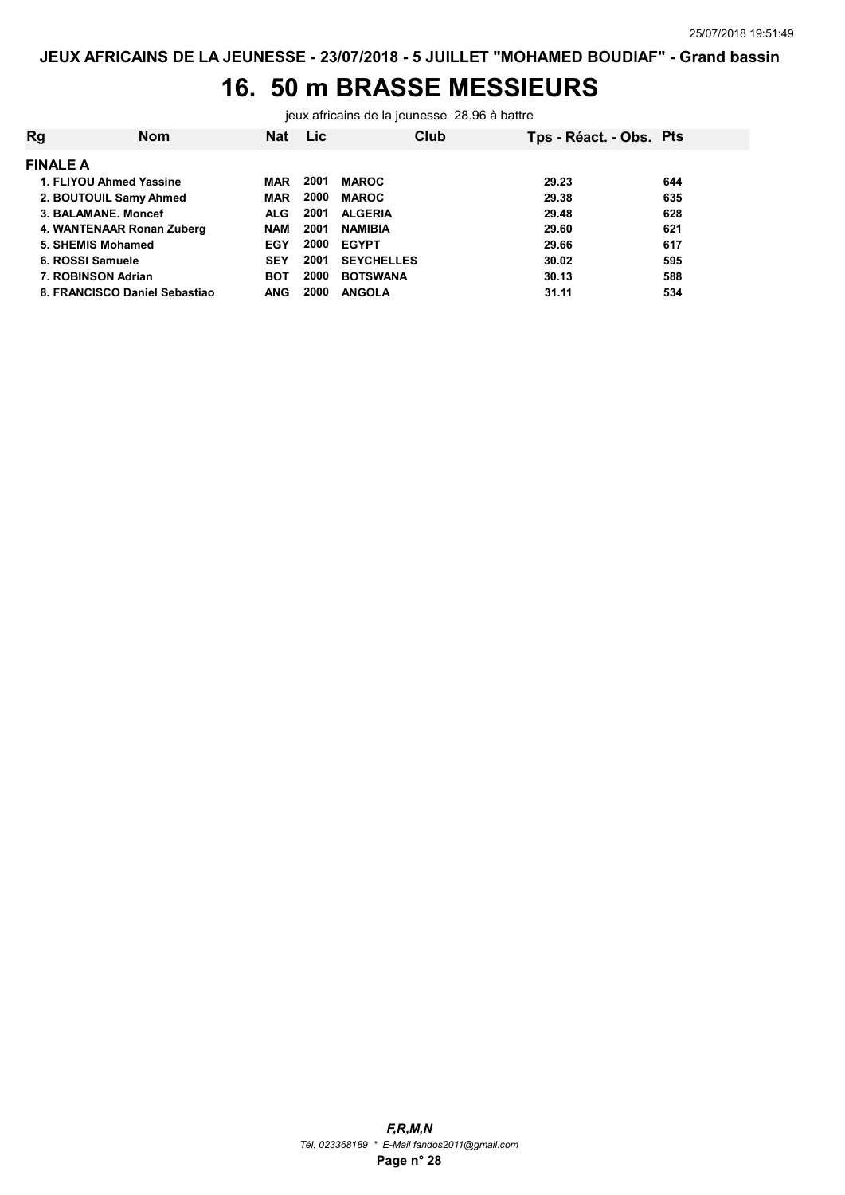# 16. 50 m BRASSE MESSIEURS

jeux africains de la jeunesse 28.96 à battre

| Rg              | <b>Nom</b>                    | <b>Nat</b> | Lic  | Club              | Tps - Réact. - Obs. Pts |     |
|-----------------|-------------------------------|------------|------|-------------------|-------------------------|-----|
| <b>FINALE A</b> |                               |            |      |                   |                         |     |
|                 | 1. FLIYOU Ahmed Yassine       | MAR        | 2001 | <b>MAROC</b>      | 29.23                   | 644 |
|                 | 2. BOUTOUIL Samy Ahmed        | <b>MAR</b> | 2000 | <b>MAROC</b>      | 29.38                   | 635 |
|                 | 3. BALAMANE, Moncef           | <b>ALG</b> | 2001 | <b>ALGERIA</b>    | 29.48                   | 628 |
|                 | 4. WANTENAAR Ronan Zuberg     | <b>NAM</b> | 2001 | <b>NAMIBIA</b>    | 29.60                   | 621 |
|                 | 5. SHEMIS Mohamed             | EGY        | 2000 | <b>EGYPT</b>      | 29.66                   | 617 |
|                 | 6. ROSSI Samuele              | <b>SEY</b> | 2001 | <b>SEYCHELLES</b> | 30.02                   | 595 |
|                 | 7. ROBINSON Adrian            | <b>BOT</b> | 2000 | <b>BOTSWANA</b>   | 30.13                   | 588 |
|                 | 8. FRANCISCO Daniel Sebastiao | <b>ANG</b> | 2000 | <b>ANGOLA</b>     | 31.11                   | 534 |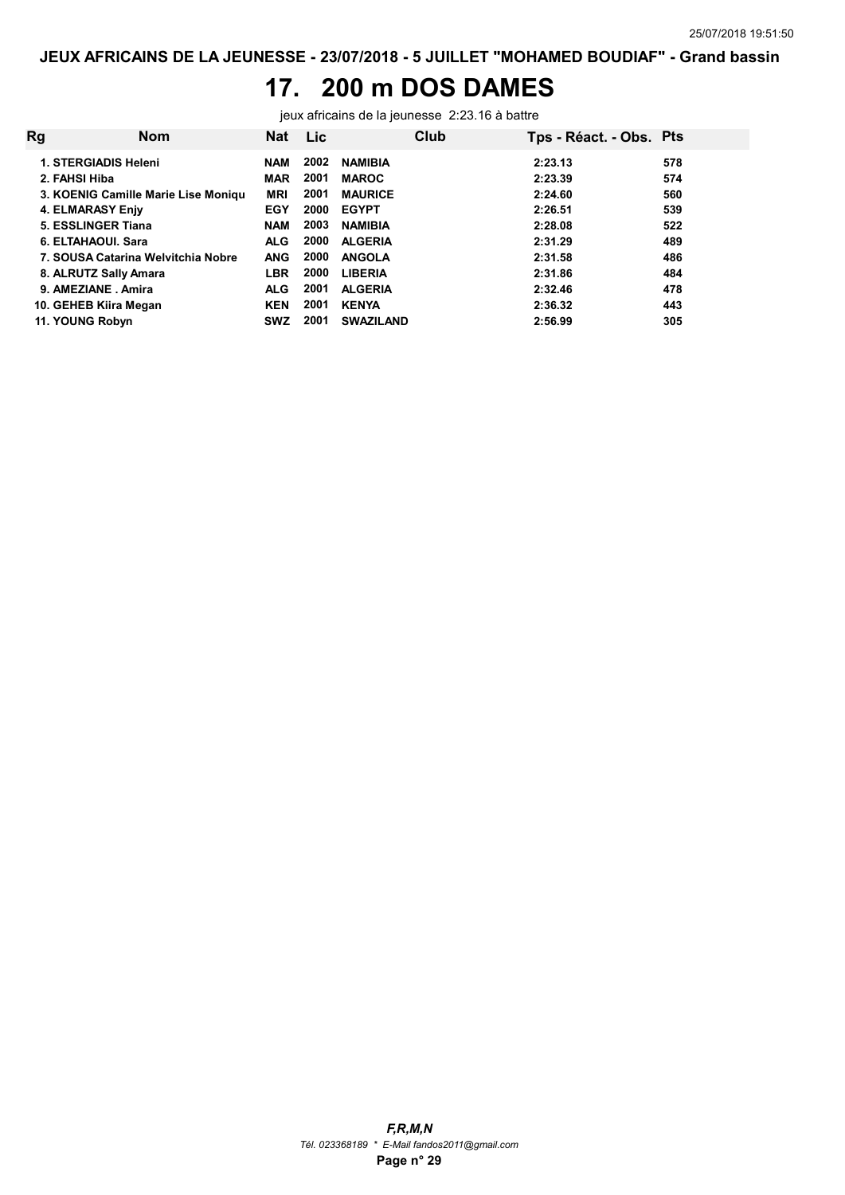#### 17. 200 m DOS DAMES

jeux africains de la jeunesse 2:23.16 à battre

| Rg | <b>Nom</b>                          | <b>Nat</b> | <b>Lic</b> |                  | Club | Tps - Réact. - Obs. Pts |     |
|----|-------------------------------------|------------|------------|------------------|------|-------------------------|-----|
|    | 1. STERGIADIS Heleni                | NAM        | 2002       | <b>NAMIBIA</b>   |      | 2:23.13                 | 578 |
|    | 2. FAHSI Hiba                       | <b>MAR</b> | 2001       | <b>MAROC</b>     |      | 2:23.39                 | 574 |
|    | 3. KOENIG Camille Marie Lise Moniqu | <b>MRI</b> | 2001       | <b>MAURICE</b>   |      | 2:24.60                 | 560 |
|    | 4. ELMARASY Enjy                    | <b>EGY</b> | 2000       | <b>EGYPT</b>     |      | 2:26.51                 | 539 |
|    | 5. ESSLINGER Tiana                  | <b>NAM</b> | 2003       | <b>NAMIBIA</b>   |      | 2:28.08                 | 522 |
|    | 6. ELTAHAOUI. Sara                  | <b>ALG</b> | 2000       | <b>ALGERIA</b>   |      | 2:31.29                 | 489 |
|    | 7. SOUSA Catarina Welvitchia Nobre  | <b>ANG</b> | 2000       | <b>ANGOLA</b>    |      | 2:31.58                 | 486 |
|    | 8. ALRUTZ Sally Amara               | <b>LBR</b> | 2000       | <b>LIBERIA</b>   |      | 2:31.86                 | 484 |
|    | 9. AMEZIANE Amira                   | <b>ALG</b> | 2001       | <b>ALGERIA</b>   |      | 2:32.46                 | 478 |
|    | 10. GEHEB Kiira Megan               | <b>KEN</b> | 2001       | <b>KENYA</b>     |      | 2:36.32                 | 443 |
|    | 11. YOUNG Robyn                     | <b>SWZ</b> | 2001       | <b>SWAZILAND</b> |      | 2:56.99                 | 305 |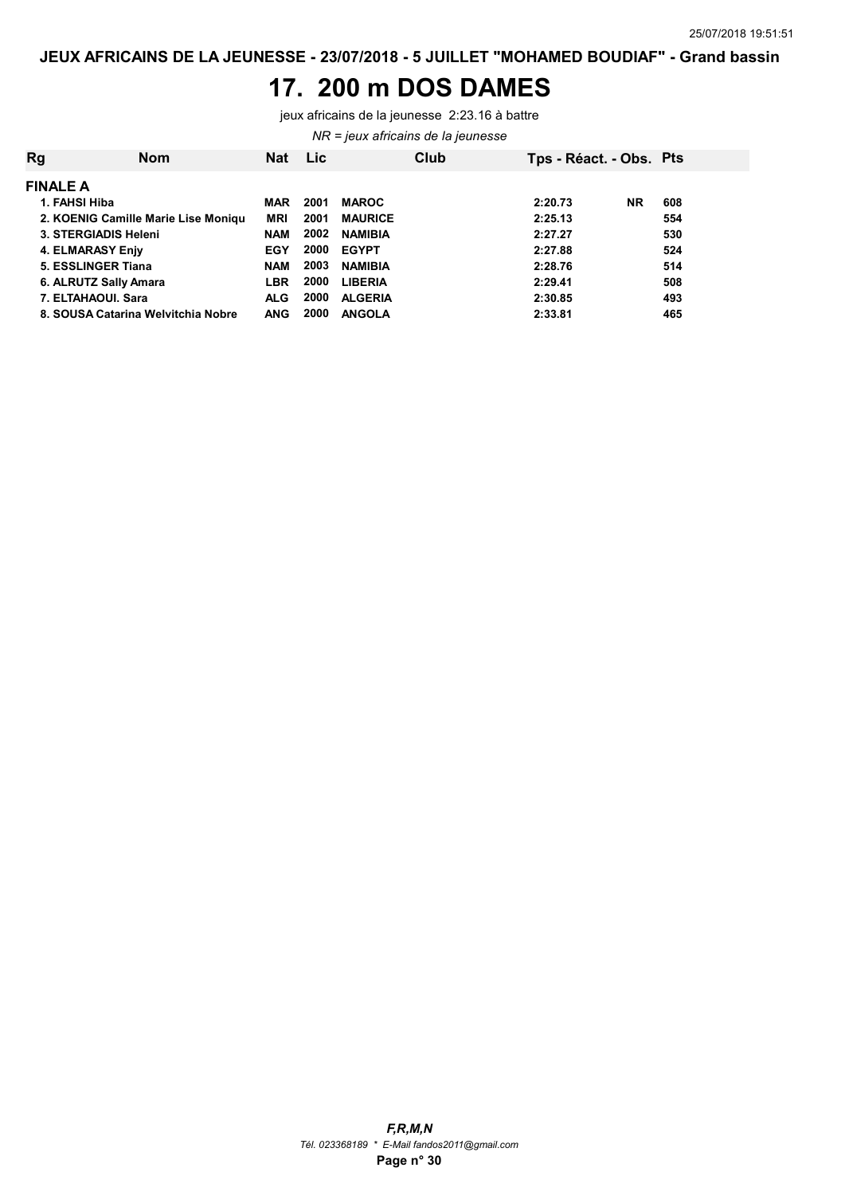#### 17. 200 m DOS DAMES

jeux africains de la jeunesse 2:23.16 à battre

NR = jeux africains de la jeunesse

| Rg | <b>Nom</b>                          | <b>Nat</b> | Lic  |                | Club | Tps - Réact. - Obs. Pts |           |     |  |
|----|-------------------------------------|------------|------|----------------|------|-------------------------|-----------|-----|--|
|    | <b>FINALE A</b>                     |            |      |                |      |                         |           |     |  |
|    | 1. FAHSI Hiba                       | <b>MAR</b> | 2001 | <b>MAROC</b>   |      | 2:20.73                 | <b>NR</b> | 608 |  |
|    | 2. KOENIG Camille Marie Lise Moniqu | <b>MRI</b> | 2001 | <b>MAURICE</b> |      | 2:25.13                 |           | 554 |  |
|    | 3. STERGIADIS Heleni                | <b>NAM</b> | 2002 | <b>NAMIBIA</b> |      | 2:27.27                 |           | 530 |  |
|    | 4. ELMARASY Enjy                    | <b>EGY</b> | 2000 | <b>EGYPT</b>   |      | 2:27.88                 |           | 524 |  |
|    | 5. ESSLINGER Tiana                  | <b>NAM</b> | 2003 | <b>NAMIBIA</b> |      | 2:28.76                 |           | 514 |  |
|    | 6. ALRUTZ Sally Amara               | <b>LBR</b> | 2000 | <b>LIBERIA</b> |      | 2:29.41                 |           | 508 |  |
|    | 7. ELTAHAOUI. Sara                  | <b>ALG</b> | 2000 | <b>ALGERIA</b> |      | 2:30.85                 |           | 493 |  |
|    | 8. SOUSA Catarina Welvitchia Nobre  | <b>ANG</b> | 2000 | <b>ANGOLA</b>  |      | 2:33.81                 |           | 465 |  |
|    |                                     |            |      |                |      |                         |           |     |  |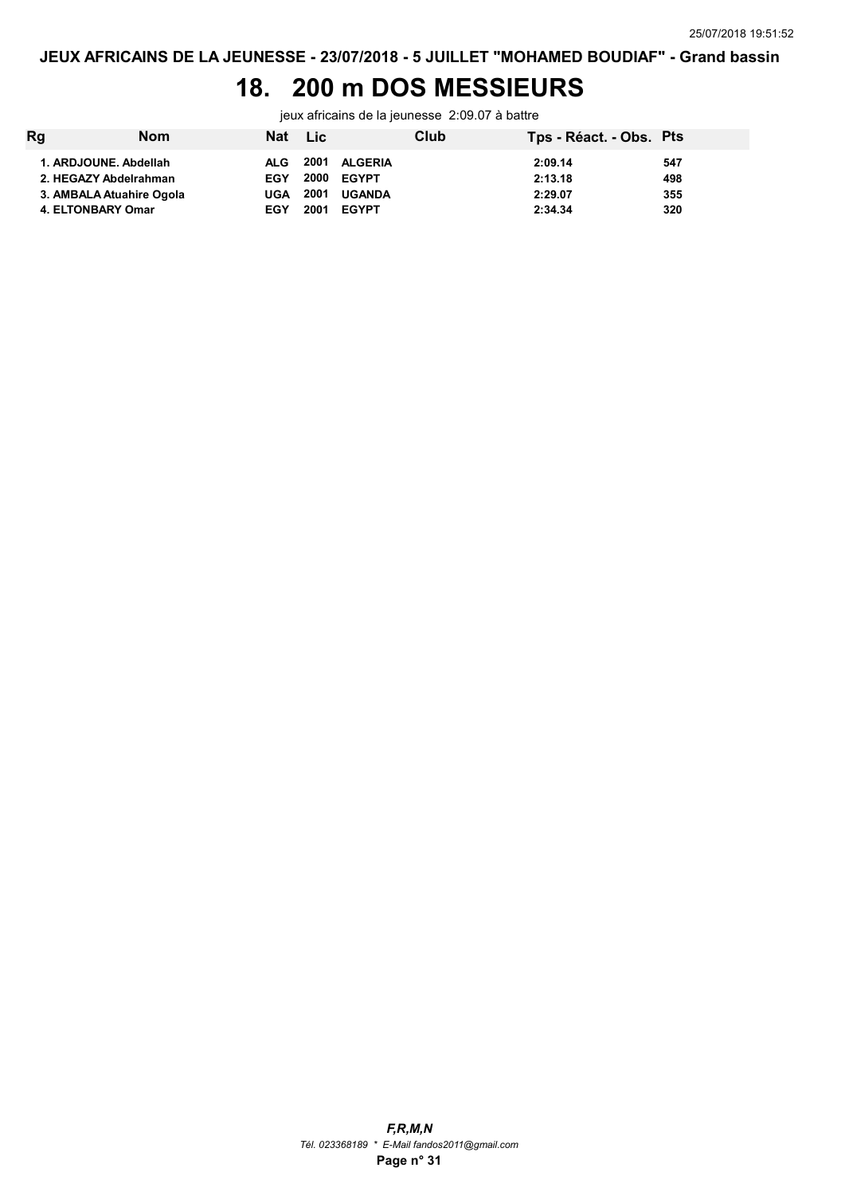### 18. 200 m DOS MESSIEURS

jeux africains de la jeunesse 2:09.07 à battre

| Rg                | <b>Nom</b>               | Nat Lic    |      |               | Club | Tps - Réact. - Obs. Pts |     |
|-------------------|--------------------------|------------|------|---------------|------|-------------------------|-----|
|                   | 1. ARDJOUNE, Abdellah    | ALG.       |      | 2001 ALGERIA  |      | 2:09.14                 | 547 |
|                   | 2. HEGAZY Abdelrahman    | <b>EGY</b> |      | 2000 EGYPT    |      | 2:13.18                 | 498 |
|                   | 3. AMBALA Atuahire Ogola | UGA        | 2001 | <b>UGANDA</b> |      | 2:29.07                 | 355 |
| 4. ELTONBARY Omar |                          | <b>EGY</b> | 2001 | <b>EGYPT</b>  |      | 2:34.34                 | 320 |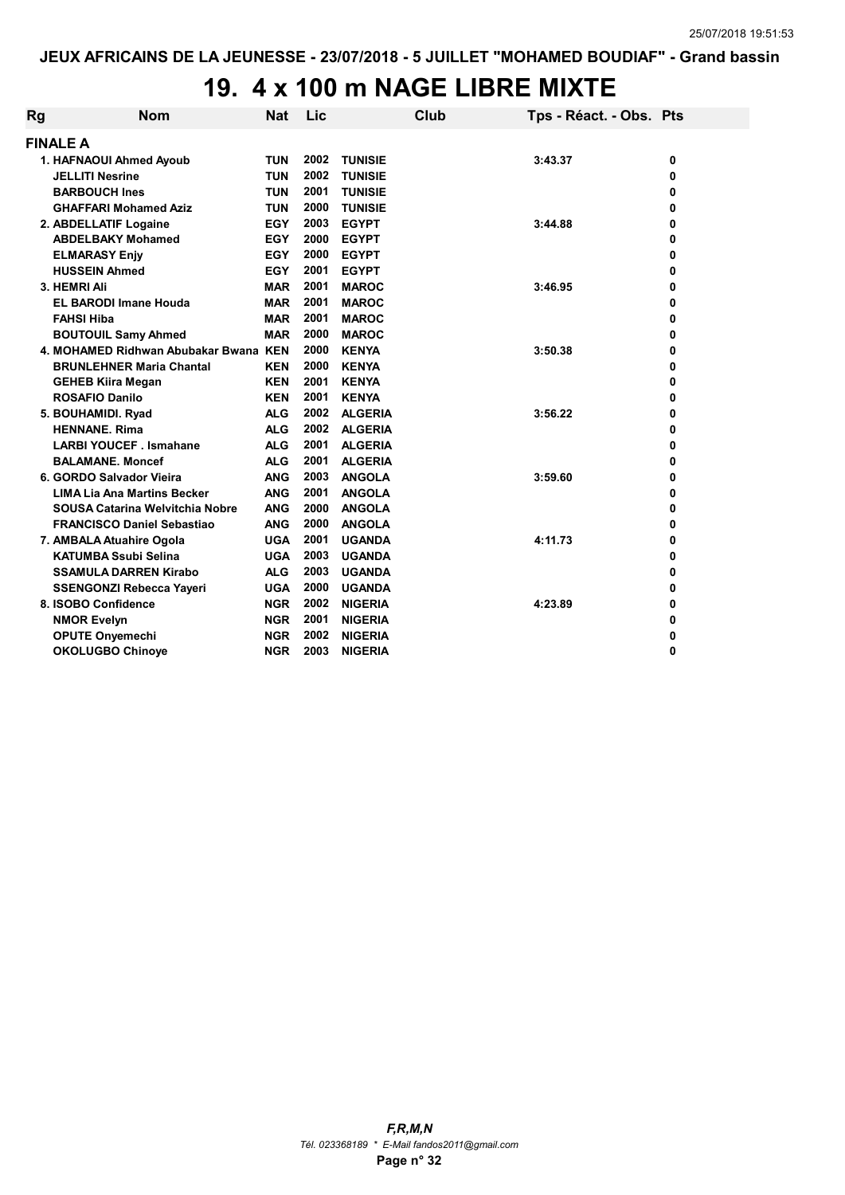# 19. 4 x 100 m NAGE LIBRE MIXTE

| Rg | <b>Nom</b>                             | <b>Nat</b> | Lic  |                | Club | Tps - Réact. - Obs. Pts |   |
|----|----------------------------------------|------------|------|----------------|------|-------------------------|---|
|    | <b>FINALE A</b>                        |            |      |                |      |                         |   |
|    | 1. HAFNAOUI Ahmed Ayoub                | <b>TUN</b> | 2002 | <b>TUNISIE</b> |      | 3:43.37                 | 0 |
|    | <b>JELLITI Nesrine</b>                 | <b>TUN</b> | 2002 | <b>TUNISIE</b> |      |                         | 0 |
|    | <b>BARBOUCH Ines</b>                   | <b>TUN</b> | 2001 | <b>TUNISIE</b> |      |                         | 0 |
|    | <b>GHAFFARI Mohamed Aziz</b>           | <b>TUN</b> | 2000 | <b>TUNISIE</b> |      |                         | 0 |
|    | 2. ABDELLATIF Logaine                  | <b>EGY</b> | 2003 | <b>EGYPT</b>   |      | 3:44.88                 | 0 |
|    | <b>ABDELBAKY Mohamed</b>               | <b>EGY</b> | 2000 | <b>EGYPT</b>   |      |                         | 0 |
|    | <b>ELMARASY Enjy</b>                   | <b>EGY</b> | 2000 | <b>EGYPT</b>   |      |                         | 0 |
|    | <b>HUSSEIN Ahmed</b>                   | <b>EGY</b> | 2001 | <b>EGYPT</b>   |      |                         | 0 |
|    | 3. HEMRI Ali                           | <b>MAR</b> | 2001 | <b>MAROC</b>   |      | 3:46.95                 | 0 |
|    | <b>EL BARODI Imane Houda</b>           | <b>MAR</b> | 2001 | <b>MAROC</b>   |      |                         | 0 |
|    | <b>FAHSI Hiba</b>                      | <b>MAR</b> | 2001 | <b>MAROC</b>   |      |                         | 0 |
|    | <b>BOUTOUIL Samy Ahmed</b>             | <b>MAR</b> | 2000 | <b>MAROC</b>   |      |                         | 0 |
|    | 4. MOHAMED Ridhwan Abubakar Bwana KEN  |            | 2000 | <b>KENYA</b>   |      | 3:50.38                 | 0 |
|    | <b>BRUNLEHNER Maria Chantal</b>        | KEN        | 2000 | <b>KENYA</b>   |      |                         | 0 |
|    | <b>GEHEB Kiira Megan</b>               | <b>KEN</b> | 2001 | <b>KENYA</b>   |      |                         | 0 |
|    | <b>ROSAFIO Danilo</b>                  | <b>KEN</b> | 2001 | <b>KENYA</b>   |      |                         | 0 |
|    | 5. BOUHAMIDI. Ryad                     | <b>ALG</b> | 2002 | <b>ALGERIA</b> |      | 3:56.22                 | 0 |
|    | <b>HENNANE, Rima</b>                   | <b>ALG</b> | 2002 | <b>ALGERIA</b> |      |                         | 0 |
|    | <b>LARBI YOUCEF</b> . Ismahane         | <b>ALG</b> | 2001 | <b>ALGERIA</b> |      |                         | 0 |
|    | <b>BALAMANE, Moncef</b>                | <b>ALG</b> | 2001 | <b>ALGERIA</b> |      |                         | 0 |
|    | 6. GORDO Salvador Vieira               | <b>ANG</b> | 2003 | <b>ANGOLA</b>  |      | 3:59.60                 | 0 |
|    | <b>LIMA Lia Ana Martins Becker</b>     | <b>ANG</b> | 2001 | <b>ANGOLA</b>  |      |                         | 0 |
|    | <b>SOUSA Catarina Welvitchia Nobre</b> | <b>ANG</b> | 2000 | <b>ANGOLA</b>  |      |                         | 0 |
|    | <b>FRANCISCO Daniel Sebastiao</b>      | <b>ANG</b> | 2000 | <b>ANGOLA</b>  |      |                         | 0 |
|    | 7. AMBALA Atuahire Ogola               | <b>UGA</b> | 2001 | <b>UGANDA</b>  |      | 4:11.73                 | 0 |
|    | <b>KATUMBA Ssubi Selina</b>            | <b>UGA</b> | 2003 | <b>UGANDA</b>  |      |                         | 0 |
|    | <b>SSAMULA DARREN Kirabo</b>           | <b>ALG</b> | 2003 | <b>UGANDA</b>  |      |                         | 0 |
|    | <b>SSENGONZI Rebecca Yayeri</b>        | <b>UGA</b> | 2000 | <b>UGANDA</b>  |      |                         | 0 |
|    | 8. ISOBO Confidence                    | <b>NGR</b> | 2002 | <b>NIGERIA</b> |      | 4:23.89                 | 0 |
|    | <b>NMOR Evelyn</b>                     | <b>NGR</b> | 2001 | <b>NIGERIA</b> |      |                         | 0 |
|    | <b>OPUTE Onyemechi</b>                 | <b>NGR</b> | 2002 | <b>NIGERIA</b> |      |                         | 0 |
|    | <b>OKOLUGBO Chinoye</b>                | <b>NGR</b> | 2003 | <b>NIGERIA</b> |      |                         | 0 |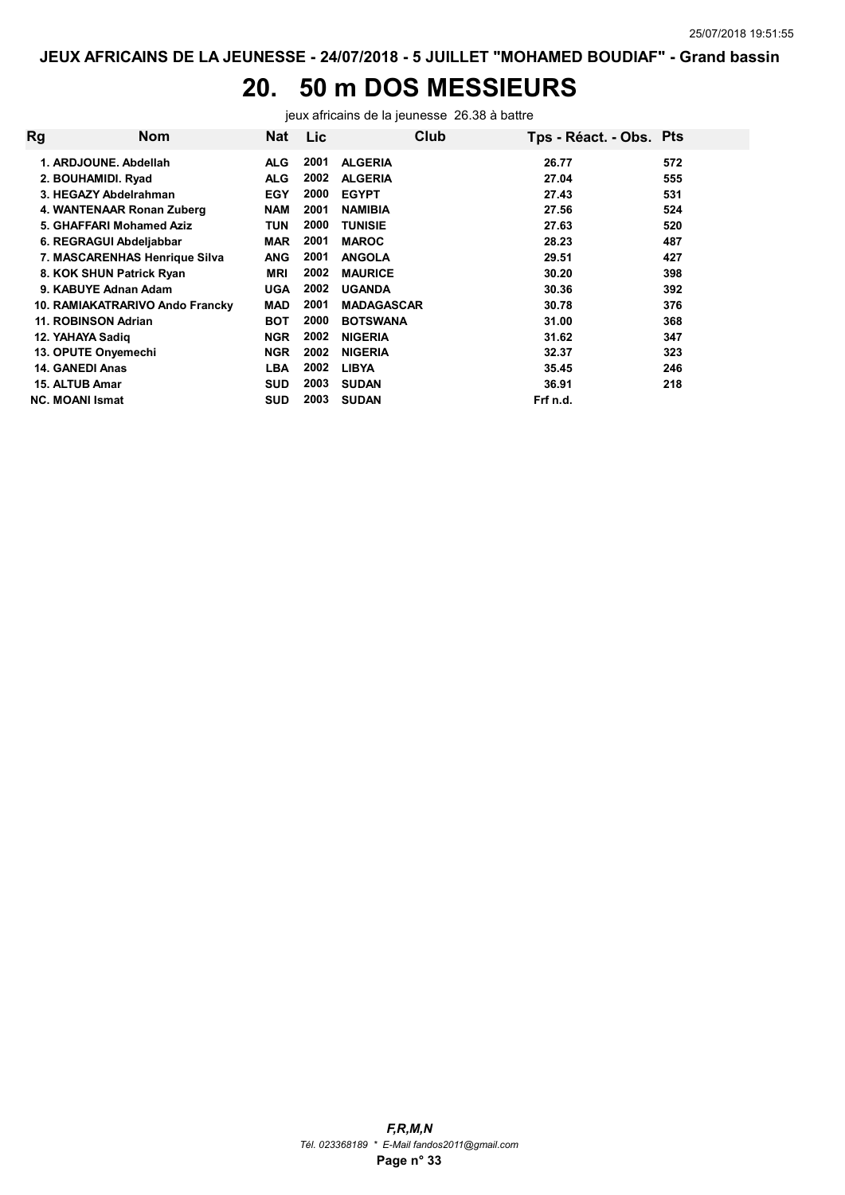# 20. 50 m DOS MESSIEURS

jeux africains de la jeunesse 26.38 à battre

| Rg | Nom                             | Nat        | <b>Lic</b> | Club              | Tps - Réact. - Obs. Pts |     |
|----|---------------------------------|------------|------------|-------------------|-------------------------|-----|
|    | 1. ARDJOUNE, Abdellah           | <b>ALG</b> | 2001       | <b>ALGERIA</b>    | 26.77                   | 572 |
|    | 2. BOUHAMIDI. Ryad              | <b>ALG</b> | 2002       | <b>ALGERIA</b>    | 27.04                   | 555 |
|    | 3. HEGAZY Abdelrahman           | <b>EGY</b> | 2000       | <b>EGYPT</b>      | 27.43                   | 531 |
|    | 4. WANTENAAR Ronan Zuberg       | <b>NAM</b> | 2001       | <b>NAMIBIA</b>    | 27.56                   | 524 |
|    | 5. GHAFFARI Mohamed Aziz        | <b>TUN</b> | 2000       | <b>TUNISIE</b>    | 27.63                   | 520 |
|    | 6. REGRAGUI Abdeljabbar         | <b>MAR</b> | 2001       | <b>MAROC</b>      | 28.23                   | 487 |
|    | 7. MASCARENHAS Henrique Silva   | <b>ANG</b> | 2001       | <b>ANGOLA</b>     | 29.51                   | 427 |
|    | 8. KOK SHUN Patrick Ryan        | <b>MRI</b> | 2002       | <b>MAURICE</b>    | 30.20                   | 398 |
|    | 9. KABUYE Adnan Adam            | <b>UGA</b> | 2002       | <b>UGANDA</b>     | 30.36                   | 392 |
|    | 10. RAMIAKATRARIVO Ando Francky | MAD        | 2001       | <b>MADAGASCAR</b> | 30.78                   | 376 |
|    | 11. ROBINSON Adrian             | <b>BOT</b> | 2000       | <b>BOTSWANA</b>   | 31.00                   | 368 |
|    | 12. YAHAYA Sadig                | <b>NGR</b> | 2002       | <b>NIGERIA</b>    | 31.62                   | 347 |
|    | 13. OPUTE Onyemechi             | <b>NGR</b> | 2002       | <b>NIGERIA</b>    | 32.37                   | 323 |
|    | 14. GANEDI Anas                 | <b>LBA</b> | 2002       | <b>LIBYA</b>      | 35.45                   | 246 |
|    | 15. ALTUB Amar                  | <b>SUD</b> | 2003       | <b>SUDAN</b>      | 36.91                   | 218 |
|    | <b>NC. MOANI Ismat</b>          | <b>SUD</b> | 2003       | <b>SUDAN</b>      | Frf n.d.                |     |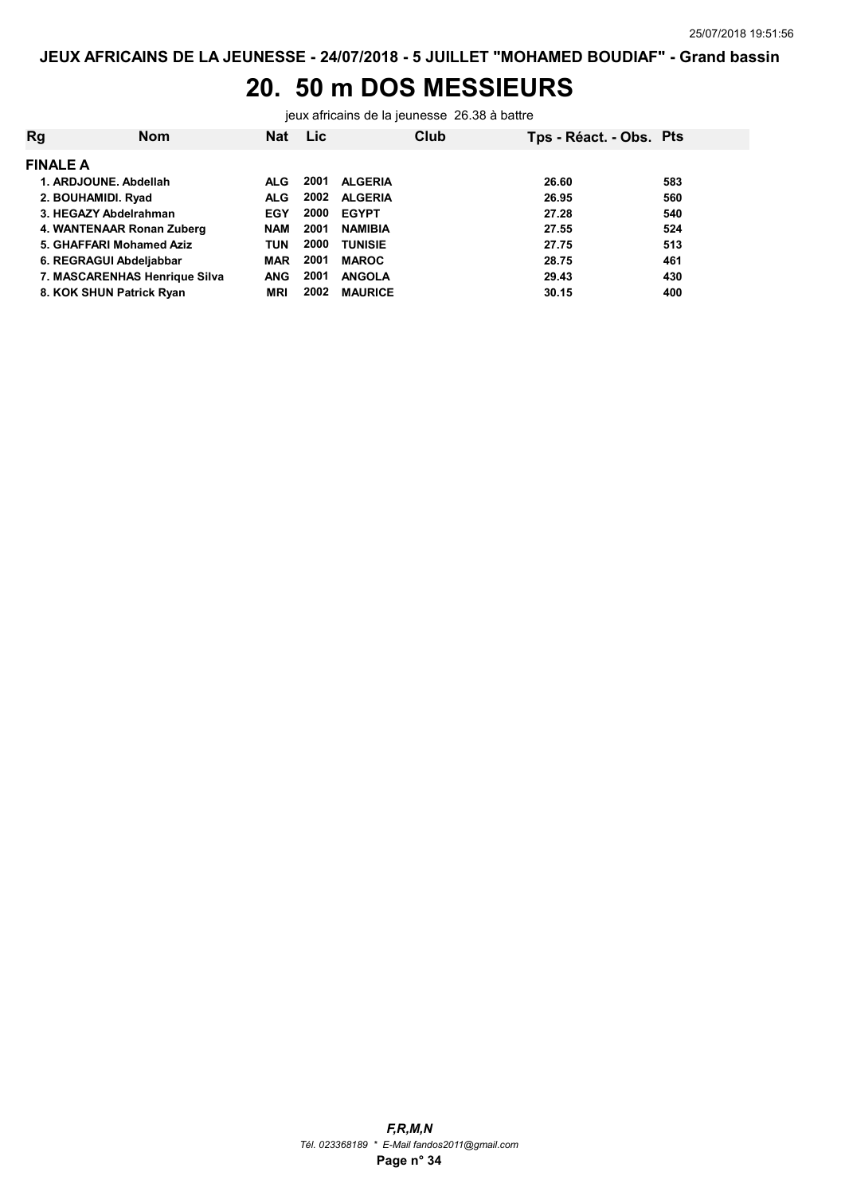# 20. 50 m DOS MESSIEURS

jeux africains de la jeunesse 26.38 à battre

| Rg                 | <b>Nom</b>                    | <b>Nat</b> | <b>Lic</b> | Club           | Tps - Réact. - Obs. Pts |     |
|--------------------|-------------------------------|------------|------------|----------------|-------------------------|-----|
| <b>FINALE A</b>    |                               |            |            |                |                         |     |
|                    | 1. ARDJOUNE, Abdellah         | <b>ALG</b> | 2001       | <b>ALGERIA</b> | 26.60                   | 583 |
| 2. BOUHAMIDI. Ryad |                               | <b>ALG</b> | 2002       | <b>ALGERIA</b> | 26.95                   | 560 |
|                    | 3. HEGAZY Abdelrahman         | <b>EGY</b> | 2000       | <b>EGYPT</b>   | 27.28                   | 540 |
|                    | 4. WANTENAAR Ronan Zuberg     | <b>NAM</b> | 2001       | <b>NAMIBIA</b> | 27.55                   | 524 |
|                    | 5. GHAFFARI Mohamed Aziz      | TUN        | 2000       | <b>TUNISIE</b> | 27.75                   | 513 |
|                    | 6. REGRAGUI Abdeljabbar       | <b>MAR</b> | 2001       | <b>MAROC</b>   | 28.75                   | 461 |
|                    | 7. MASCARENHAS Henrique Silva | <b>ANG</b> | 2001       | <b>ANGOLA</b>  | 29.43                   | 430 |
|                    | 8. KOK SHUN Patrick Ryan      | <b>MRI</b> | 2002       | <b>MAURICE</b> | 30.15                   | 400 |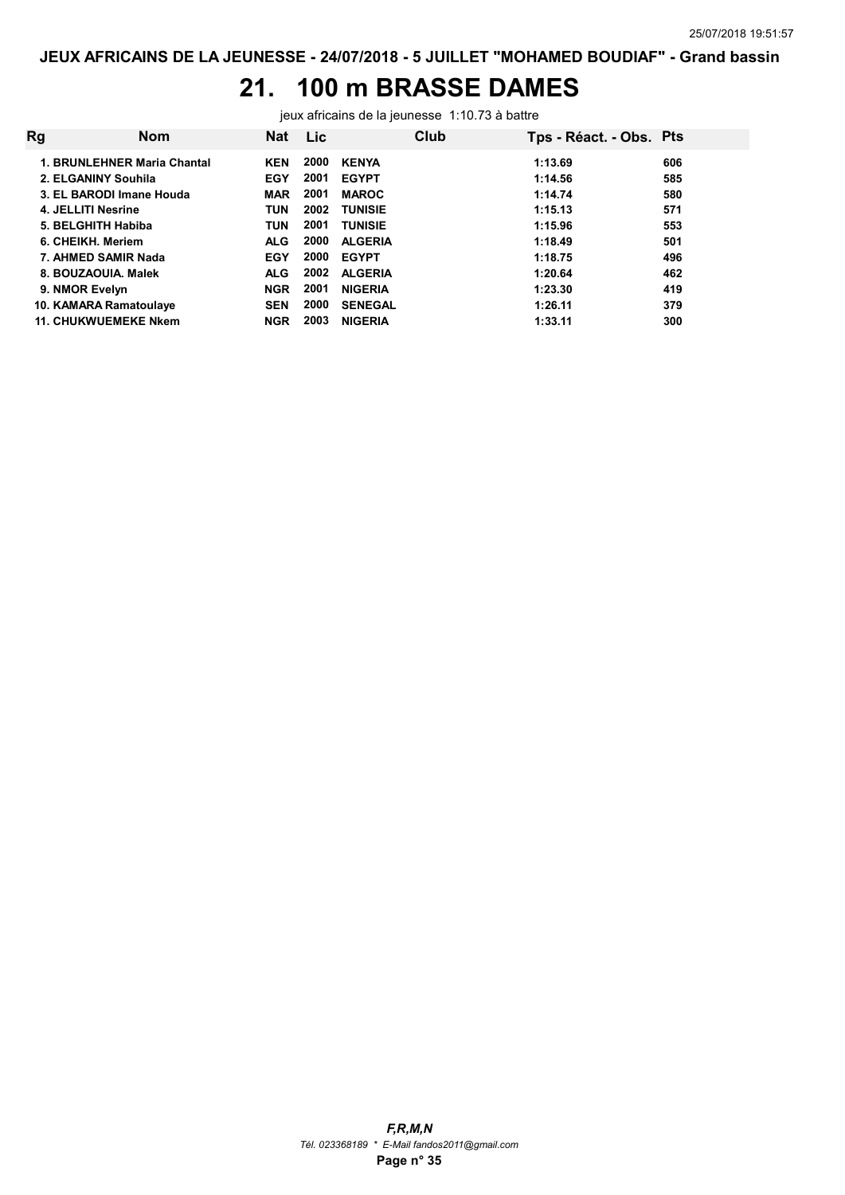## 21. 100 m BRASSE DAMES

jeux africains de la jeunesse 1:10.73 à battre

| Rg | <b>Nom</b>                  | <b>Nat</b> | Lic. |                | Club | Tps - Réact. - Obs. Pts |     |
|----|-----------------------------|------------|------|----------------|------|-------------------------|-----|
|    | 1. BRUNLEHNER Maria Chantal | <b>KEN</b> | 2000 | <b>KENYA</b>   |      | 1:13.69                 | 606 |
|    | 2. ELGANINY Souhila         | <b>EGY</b> | 2001 | <b>EGYPT</b>   |      | 1:14.56                 | 585 |
|    | 3. EL BARODI Imane Houda    | <b>MAR</b> | 2001 | <b>MAROC</b>   |      | 1:14.74                 | 580 |
|    | 4. JELLITI Nesrine          | <b>TUN</b> | 2002 | <b>TUNISIE</b> |      | 1:15.13                 | 571 |
|    | 5. BELGHITH Habiba          | <b>TUN</b> | 2001 | <b>TUNISIE</b> |      | 1:15.96                 | 553 |
|    | 6. CHEIKH, Meriem           | <b>ALG</b> | 2000 | <b>ALGERIA</b> |      | 1:18.49                 | 501 |
|    | 7. AHMED SAMIR Nada         | <b>EGY</b> | 2000 | <b>EGYPT</b>   |      | 1:18.75                 | 496 |
|    | 8. BOUZAOUIA, Malek         | <b>ALG</b> | 2002 | <b>ALGERIA</b> |      | 1:20.64                 | 462 |
|    | 9. NMOR Evelyn              | <b>NGR</b> | 2001 | <b>NIGERIA</b> |      | 1:23.30                 | 419 |
|    | 10. KAMARA Ramatoulaye      | <b>SEN</b> | 2000 | <b>SENEGAL</b> |      | 1:26.11                 | 379 |
|    | <b>11. CHUKWUEMEKE Nkem</b> | <b>NGR</b> | 2003 | <b>NIGERIA</b> |      | 1:33.11                 | 300 |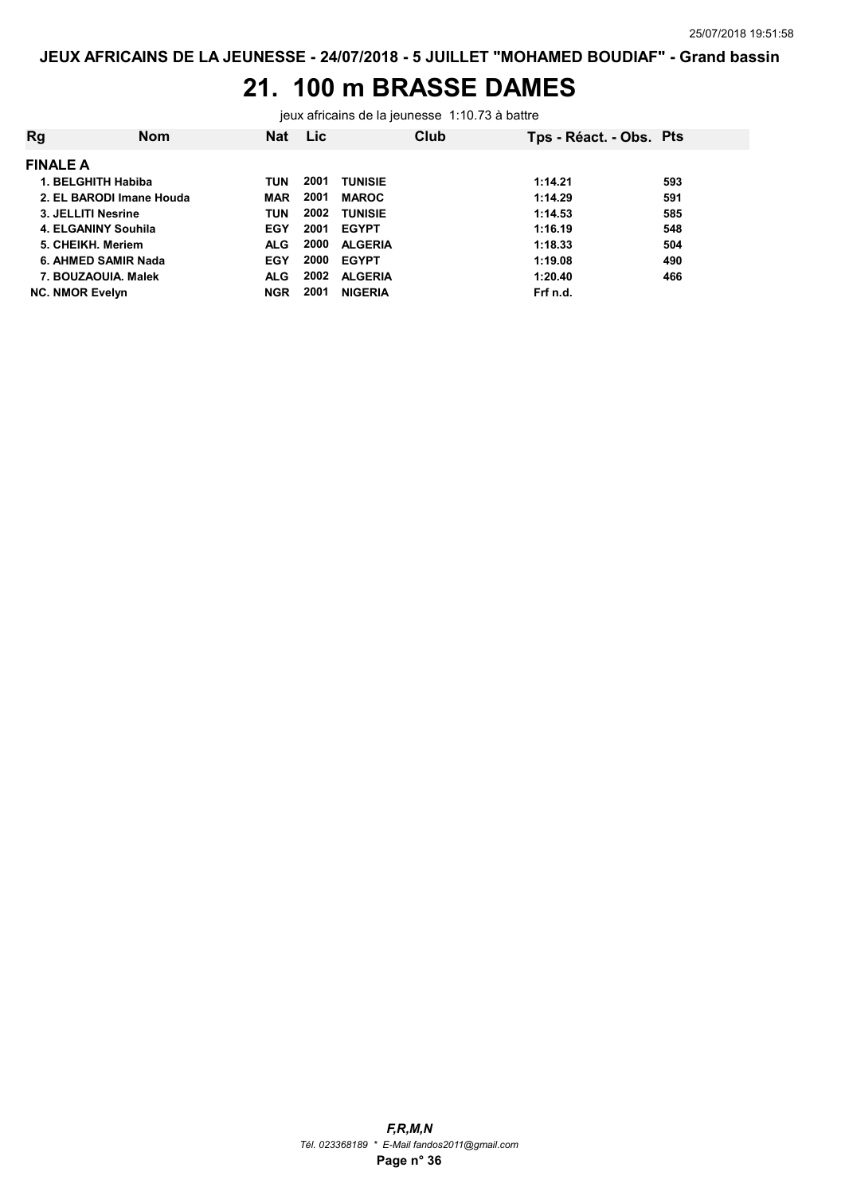# 21. 100 m BRASSE DAMES

jeux africains de la jeunesse 1:10.73 à battre

| Rg | <b>Nom</b>               | <b>Nat</b> | <b>Lic</b> | Club           | Tps - Réact. - Obs. Pts |     |
|----|--------------------------|------------|------------|----------------|-------------------------|-----|
|    | <b>FINALE A</b>          |            |            |                |                         |     |
|    | 1. BELGHITH Habiba       | TUN        | 2001       | <b>TUNISIE</b> | 1:14.21                 | 593 |
|    | 2. EL BARODI Imane Houda | <b>MAR</b> | 2001       | <b>MAROC</b>   | 1:14.29                 | 591 |
|    | 3. JELLITI Nesrine       | TUN        | 2002       | <b>TUNISIE</b> | 1:14.53                 | 585 |
|    | 4. ELGANINY Souhila      | <b>EGY</b> | 2001       | <b>EGYPT</b>   | 1:16.19                 | 548 |
|    | 5. CHEIKH. Meriem        | <b>ALG</b> | 2000       | <b>ALGERIA</b> | 1:18.33                 | 504 |
|    | 6. AHMED SAMIR Nada      | <b>EGY</b> | 2000       | <b>EGYPT</b>   | 1:19.08                 | 490 |
|    | 7. BOUZAOUIA, Malek      | <b>ALG</b> | 2002       | <b>ALGERIA</b> | 1:20.40                 | 466 |
|    | <b>NC. NMOR Evelyn</b>   | <b>NGR</b> | 2001       | <b>NIGERIA</b> | Frf n.d.                |     |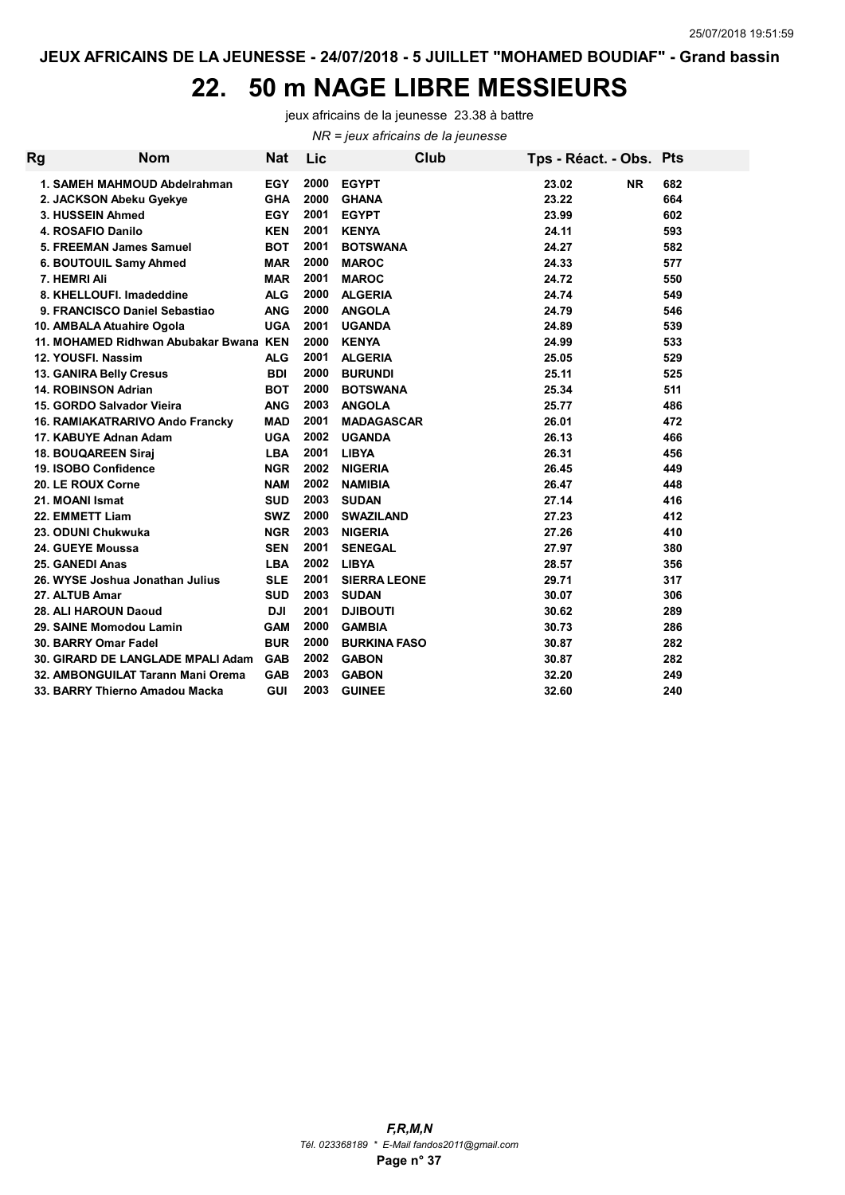## 22. 50 m NAGE LIBRE MESSIEURS

jeux africains de la jeunesse 23.38 à battre

NR = jeux africains de la jeunesse

| Rg | <b>Nom</b>                             | <b>Nat</b> | Lic  | Club                | Tps - Réact. - Obs. Pts |     |
|----|----------------------------------------|------------|------|---------------------|-------------------------|-----|
|    | 1. SAMEH MAHMOUD Abdelrahman           | <b>EGY</b> | 2000 | <b>EGYPT</b>        | 23.02<br><b>NR</b>      | 682 |
|    | 2. JACKSON Abeku Gyekye                | <b>GHA</b> | 2000 | <b>GHANA</b>        | 23.22                   | 664 |
|    | 3. HUSSEIN Ahmed                       | <b>EGY</b> | 2001 | <b>EGYPT</b>        | 23.99                   | 602 |
|    | 4. ROSAFIO Danilo                      | <b>KEN</b> | 2001 | <b>KENYA</b>        | 24.11                   | 593 |
|    | 5. FREEMAN James Samuel                | <b>BOT</b> | 2001 | <b>BOTSWANA</b>     | 24.27                   | 582 |
|    | 6. BOUTOUIL Samy Ahmed                 | <b>MAR</b> | 2000 | <b>MAROC</b>        | 24.33                   | 577 |
|    | 7. HEMRI Ali                           | <b>MAR</b> | 2001 | <b>MAROC</b>        | 24.72                   | 550 |
|    | 8. KHELLOUFI. Imadeddine               | <b>ALG</b> | 2000 | <b>ALGERIA</b>      | 24.74                   | 549 |
|    | 9. FRANCISCO Daniel Sebastiao          | <b>ANG</b> | 2000 | <b>ANGOLA</b>       | 24.79                   | 546 |
|    | 10. AMBALA Atuahire Ogola              | <b>UGA</b> | 2001 | <b>UGANDA</b>       | 24.89                   | 539 |
|    | 11. MOHAMED Ridhwan Abubakar Bwana KEN |            | 2000 | <b>KENYA</b>        | 24.99                   | 533 |
|    | 12. YOUSFI. Nassim                     | <b>ALG</b> | 2001 | <b>ALGERIA</b>      | 25.05                   | 529 |
|    | 13. GANIRA Belly Cresus                | <b>BDI</b> | 2000 | <b>BURUNDI</b>      | 25.11                   | 525 |
|    | 14. ROBINSON Adrian                    | <b>BOT</b> | 2000 | <b>BOTSWANA</b>     | 25.34                   | 511 |
|    | 15. GORDO Salvador Vieira              | <b>ANG</b> | 2003 | <b>ANGOLA</b>       | 25.77                   | 486 |
|    | 16. RAMIAKATRARIVO Ando Francky        | <b>MAD</b> | 2001 | <b>MADAGASCAR</b>   | 26.01                   | 472 |
|    | 17. KABUYE Adnan Adam                  | <b>UGA</b> | 2002 | <b>UGANDA</b>       | 26.13                   | 466 |
|    | <b>18. BOUQAREEN Siraj</b>             | <b>LBA</b> | 2001 | <b>LIBYA</b>        | 26.31                   | 456 |
|    | 19. ISOBO Confidence                   | <b>NGR</b> | 2002 | <b>NIGERIA</b>      | 26.45                   | 449 |
|    | 20. LE ROUX Corne                      | <b>NAM</b> | 2002 | <b>NAMIBIA</b>      | 26.47                   | 448 |
|    | 21. MOANI Ismat                        | <b>SUD</b> | 2003 | <b>SUDAN</b>        | 27.14                   | 416 |
|    | 22. EMMETT Liam                        | <b>SWZ</b> | 2000 | <b>SWAZILAND</b>    | 27.23                   | 412 |
|    | 23. ODUNI Chukwuka                     | <b>NGR</b> | 2003 | <b>NIGERIA</b>      | 27.26                   | 410 |
|    | 24. GUEYE Moussa                       | <b>SEN</b> | 2001 | <b>SENEGAL</b>      | 27.97                   | 380 |
|    | 25. GANEDI Anas                        | <b>LBA</b> | 2002 | <b>LIBYA</b>        | 28.57                   | 356 |
|    | 26. WYSE Joshua Jonathan Julius        | <b>SLE</b> | 2001 | <b>SIERRA LEONE</b> | 29.71                   | 317 |
|    | 27. ALTUB Amar                         | <b>SUD</b> | 2003 | <b>SUDAN</b>        | 30.07                   | 306 |
|    | 28. ALI HAROUN Daoud                   | <b>DJI</b> | 2001 | <b>DJIBOUTI</b>     | 30.62                   | 289 |
|    | 29. SAINE Momodou Lamin                | <b>GAM</b> | 2000 | <b>GAMBIA</b>       | 30.73                   | 286 |
|    | 30. BARRY Omar Fadel                   | <b>BUR</b> | 2000 | <b>BURKINA FASO</b> | 30.87                   | 282 |
|    | 30. GIRARD DE LANGLADE MPALI Adam      | <b>GAB</b> | 2002 | <b>GABON</b>        | 30.87                   | 282 |
|    | 32. AMBONGUILAT Tarann Mani Orema      | <b>GAB</b> | 2003 | <b>GABON</b>        | 32.20                   | 249 |
|    | 33. BARRY Thierno Amadou Macka         | <b>GUI</b> | 2003 | <b>GUINEE</b>       | 32.60                   | 240 |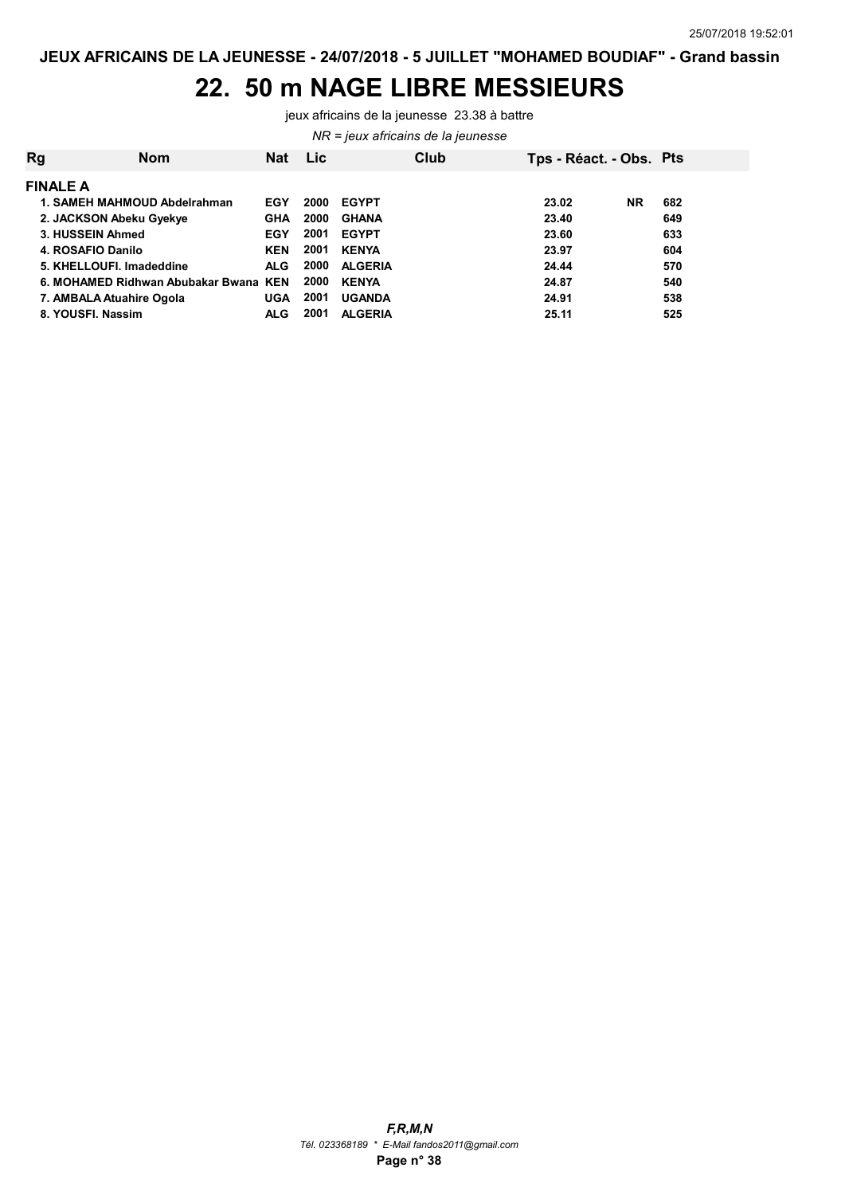#### 22. 50 m NAGE LIBRE MESSIEURS

jeux africains de la jeunesse 23.38 à battre

NR = jeux africains de la jeunesse

| Rg | <b>Nom</b>                        | Nat        | <b>Lic</b> | Club           | Tps - Réact. - Obs. Pts |           |     |
|----|-----------------------------------|------------|------------|----------------|-------------------------|-----------|-----|
|    | <b>FINALE A</b>                   |            |            |                |                         |           |     |
|    | 1. SAMEH MAHMOUD Abdelrahman      | EGY        | 2000       | <b>EGYPT</b>   | 23.02                   | <b>NR</b> | 682 |
|    | 2. JACKSON Abeku Gyekye           | <b>GHA</b> | 2000       | <b>GHANA</b>   | 23.40                   |           | 649 |
|    | 3. HUSSEIN Ahmed                  | <b>EGY</b> | 2001       | <b>EGYPT</b>   | 23.60                   |           | 633 |
|    | 4. ROSAFIO Danilo                 | <b>KEN</b> | 2001       | <b>KENYA</b>   | 23.97                   |           | 604 |
|    | 5. KHELLOUFI. Imadeddine          | <b>ALG</b> | 2000       | <b>ALGERIA</b> | 24.44                   |           | 570 |
|    | 6. MOHAMED Ridhwan Abubakar Bwana | KEN        | 2000       | <b>KENYA</b>   | 24.87                   |           | 540 |
|    | 7. AMBALA Atuahire Ogola          | <b>UGA</b> | 2001       | <b>UGANDA</b>  | 24.91                   |           | 538 |
|    | 8. YOUSFI, Nassim                 | <b>ALG</b> | 2001       | <b>ALGERIA</b> | 25.11                   |           | 525 |
|    |                                   |            |            |                |                         |           |     |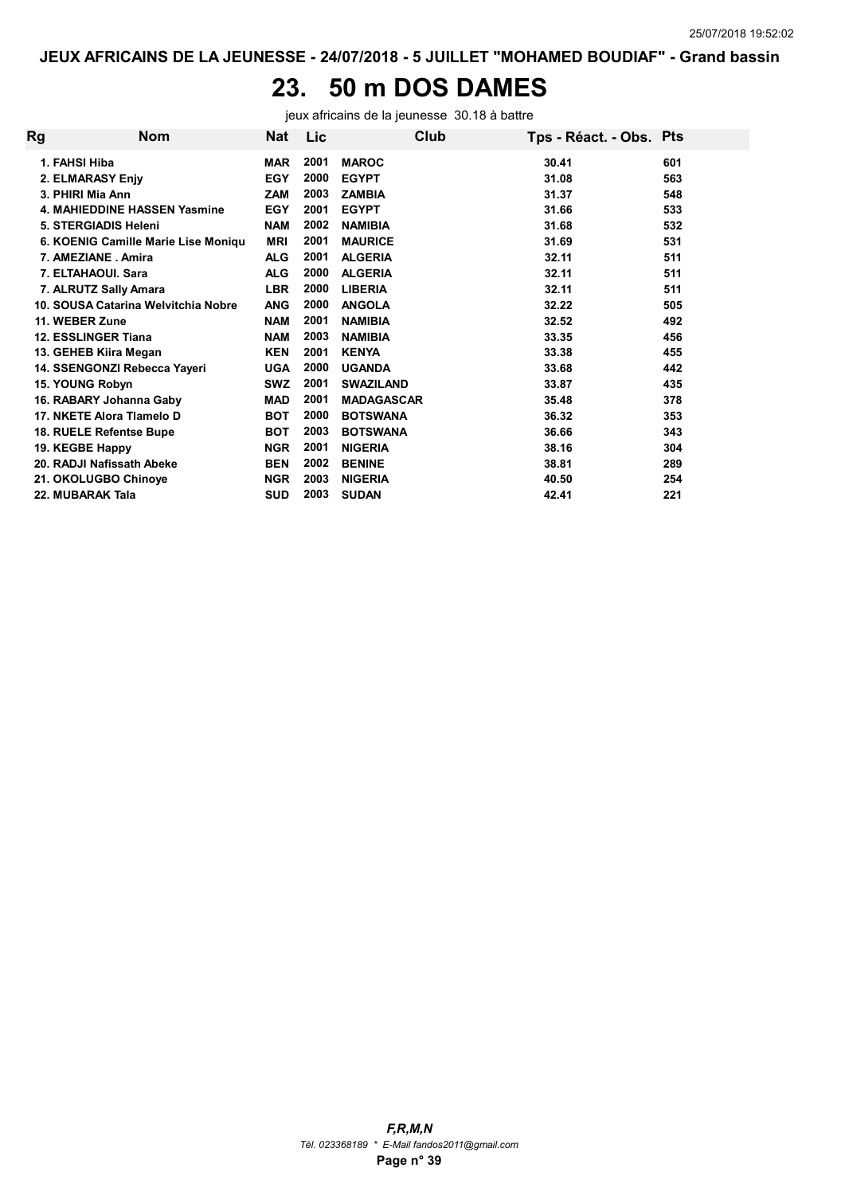# 23. 50 m DOS DAMES

jeux africains de la jeunesse 30.18 à battre

| Rg | <b>Nom</b>                          | Nat        | Lic  | Club              | Tps - Réact. - Obs. Pts |     |
|----|-------------------------------------|------------|------|-------------------|-------------------------|-----|
|    | 1. FAHSI Hiba                       | <b>MAR</b> | 2001 | <b>MAROC</b>      | 30.41                   | 601 |
|    | 2. ELMARASY Enjy                    | <b>EGY</b> | 2000 | <b>EGYPT</b>      | 31.08                   | 563 |
|    | 3. PHIRI Mia Ann                    | <b>ZAM</b> | 2003 | <b>ZAMBIA</b>     | 31.37                   | 548 |
|    | <b>4. MAHIEDDINE HASSEN Yasmine</b> | <b>EGY</b> | 2001 | <b>EGYPT</b>      | 31.66                   | 533 |
|    | 5. STERGIADIS Heleni                | <b>NAM</b> | 2002 | <b>NAMIBIA</b>    | 31.68                   | 532 |
|    | 6. KOENIG Camille Marie Lise Moniqu | <b>MRI</b> | 2001 | <b>MAURICE</b>    | 31.69                   | 531 |
|    | 7. AMEZIANE . Amira                 | <b>ALG</b> | 2001 | <b>ALGERIA</b>    | 32.11                   | 511 |
|    | 7. ELTAHAOUI, Sara                  | <b>ALG</b> | 2000 | <b>ALGERIA</b>    | 32.11                   | 511 |
|    | 7. ALRUTZ Sally Amara               | <b>LBR</b> | 2000 | <b>LIBERIA</b>    | 32.11                   | 511 |
|    | 10. SOUSA Catarina Welvitchia Nobre | <b>ANG</b> | 2000 | <b>ANGOLA</b>     | 32.22                   | 505 |
|    | 11. WEBER Zune                      | <b>NAM</b> | 2001 | <b>NAMIBIA</b>    | 32.52                   | 492 |
|    | 12. ESSLINGER Tiana                 | <b>NAM</b> | 2003 | <b>NAMIBIA</b>    | 33.35                   | 456 |
|    | 13. GEHEB Kiira Megan               | <b>KEN</b> | 2001 | <b>KENYA</b>      | 33.38                   | 455 |
|    | 14. SSENGONZI Rebecca Yayeri        | <b>UGA</b> | 2000 | <b>UGANDA</b>     | 33.68                   | 442 |
|    | 15. YOUNG Robyn                     | <b>SWZ</b> | 2001 | <b>SWAZILAND</b>  | 33.87                   | 435 |
|    | 16. RABARY Johanna Gaby             | <b>MAD</b> | 2001 | <b>MADAGASCAR</b> | 35.48                   | 378 |
|    | 17. NKETE Alora Tlamelo D           | <b>BOT</b> | 2000 | <b>BOTSWANA</b>   | 36.32                   | 353 |
|    | 18. RUELE Refentse Bupe             | <b>BOT</b> | 2003 | <b>BOTSWANA</b>   | 36.66                   | 343 |
|    | 19. KEGBE Happy                     | <b>NGR</b> | 2001 | <b>NIGERIA</b>    | 38.16                   | 304 |
|    | 20. RADJI Nafissath Abeke           | <b>BEN</b> | 2002 | <b>BENINE</b>     | 38.81                   | 289 |
|    | 21. OKOLUGBO Chinoye                | <b>NGR</b> | 2003 | <b>NIGERIA</b>    | 40.50                   | 254 |
|    | 22. MUBARAK Tala                    | <b>SUD</b> | 2003 | <b>SUDAN</b>      | 42.41                   | 221 |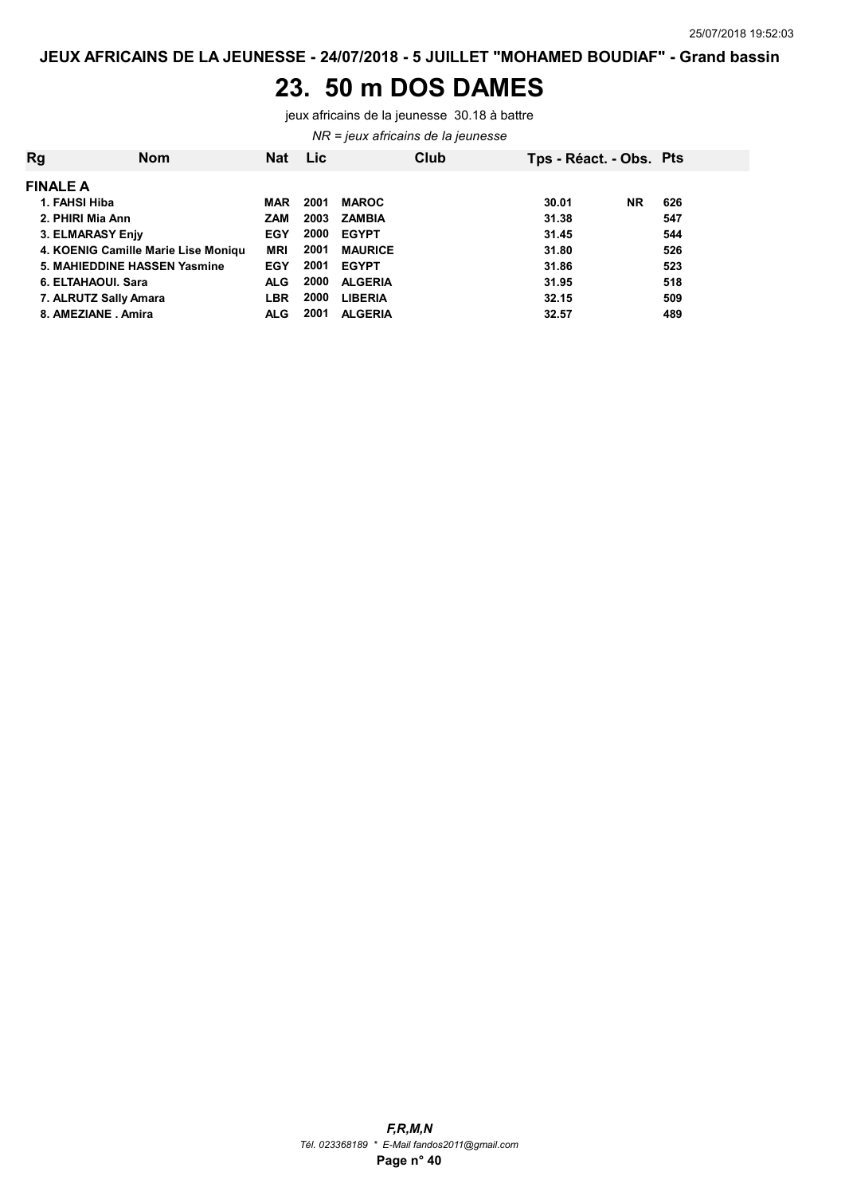#### 23. 50 m DOS DAMES

jeux africains de la jeunesse 30.18 à battre

NR = jeux africains de la jeunesse

| <b>Rg</b>                    | <b>Nom</b>                          | <b>Nat</b> | <b>Lic</b> |                | Club | Tps - Réact. - Obs. Pts |           |     |
|------------------------------|-------------------------------------|------------|------------|----------------|------|-------------------------|-----------|-----|
| <b>FINALE A</b>              |                                     |            |            |                |      |                         |           |     |
| 1. FAHSI Hiba                |                                     | <b>MAR</b> | 2001       | <b>MAROC</b>   |      | 30.01                   | <b>NR</b> | 626 |
| 2. PHIRI Mia Ann             |                                     | <b>ZAM</b> | 2003       | ZAMBIA         |      | 31.38                   |           | 547 |
| 3. ELMARASY Enjy             |                                     | EGY        | 2000       | <b>EGYPT</b>   |      | 31.45                   |           | 544 |
|                              | 4. KOENIG Camille Marie Lise Moniqu | <b>MRI</b> | 2001       | <b>MAURICE</b> |      | 31.80                   |           | 526 |
| 5. MAHIEDDINE HASSEN Yasmine |                                     | <b>EGY</b> | 2001       | <b>EGYPT</b>   |      | 31.86                   |           | 523 |
| 6. ELTAHAOUI. Sara           |                                     | <b>ALG</b> | 2000       | <b>ALGERIA</b> |      | 31.95                   |           | 518 |
| 7. ALRUTZ Sally Amara        |                                     | <b>LBR</b> | 2000       | <b>LIBERIA</b> |      | 32.15                   |           | 509 |
| 8. AMEZIANE . Amira          |                                     | <b>ALG</b> | 2001       | <b>ALGERIA</b> |      | 32.57                   |           | 489 |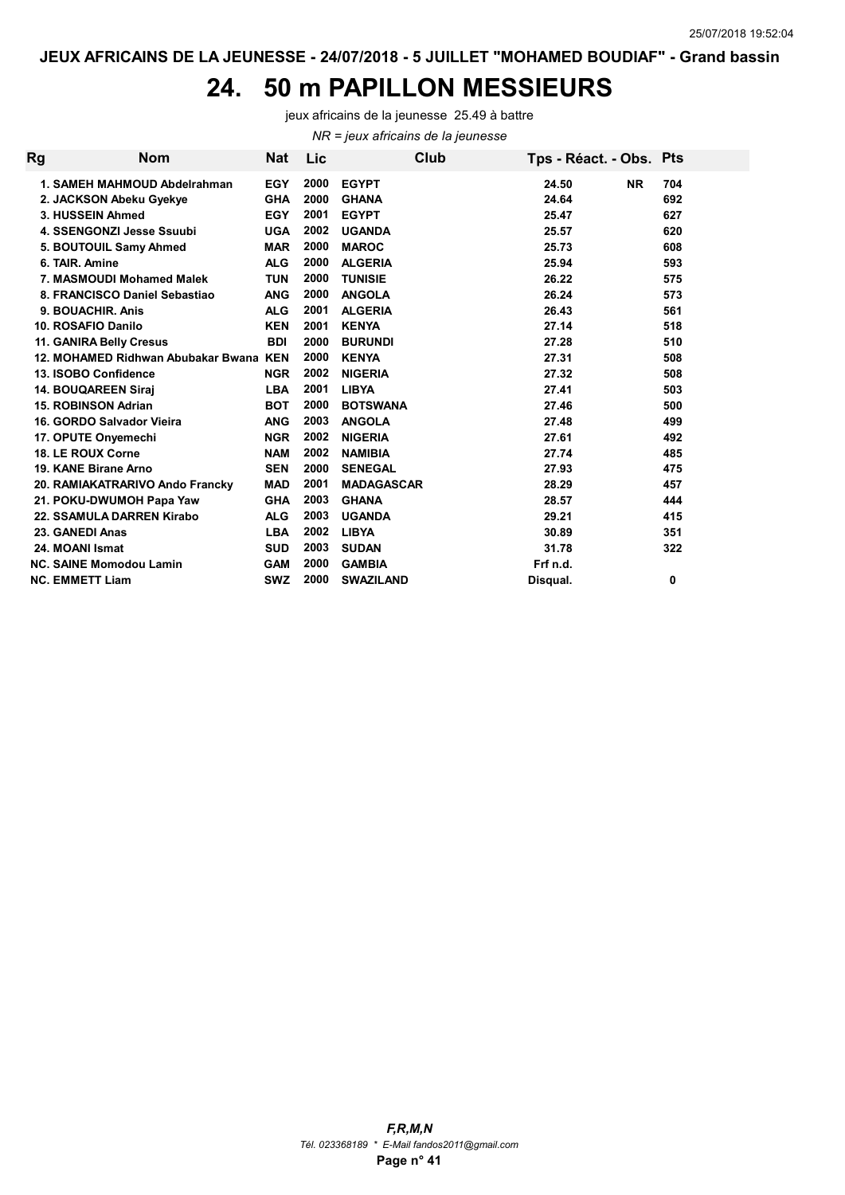#### 24. 50 m PAPILLON MESSIEURS

NR = jeux africains de la jeunesse jeux africains de la jeunesse 25.49 à battre

Rg Mom Nat Lic Club Tps - Réact. - Obs. Pts 1. SAMEH MAHMOUD Abdelrahman EGY 704 2000 EGYPT 24.50 NR 2. JACKSON Abeku Gyekye GHA 692 2000 GHANA 24.64 3. HUSSEIN Ahmed EGY 627 2001 EGYPT 25.47 4. SSENGONZI Jesse Ssuubi UGA 620 2002 UGANDA 25.57 5. BOUTOUIL Samy Ahmed MAR 608 2000 MAROC 25.73 6. TAIR. Amine ALG 593 2000 ALGERIA 25.94 7. MASMOUDI Mohamed Malek TUN 2000 TUNISIE 26.22 2002 275 8. FRANCISCO Daniel Sebastiao ang 2000 ANGOLA 26.24 26.24 573 9. BOUACHIR. Anis ALG 561 2001 ALGERIA 26.43 10. ROSAFIO Danilo KEN 518 2001 KENYA 27.14 11. GANIRA Belly Cresus BDI 510 2000 BURUNDI 27.28 12. MOHAMED Ridhwan Abubakar Bwana KEN 2000 KENYA 27.31 27.31 27.31 13. ISOBO Confidence  $NGR$  2002 NIGERIA 27.32 27.32 508 14. BOUQAREEN Siraj LBA 503 2001 LIBYA 27.41 15. ROBINSON Adrian BOT 500 2000 BOTSWANA 27.46 16. GORDO Salvador Vieira ANG 499 2003 ANGOLA 27.48 17. OPUTE Onyemechi NGR 492 2002 NIGERIA 27.61 18. LE ROUX Corne NAM 485 2002 NAMIBIA 27.74 19. KANE Birane Arno SEN 475 2000 SENEGAL 27.93 20. RAMIAKATRARIVO Ando Francky MAD 457 2001 MADAGASCAR 28.29 21. POKU-DWUMOH Papa Yaw GHA 2003 GHANA 2008 28.57 28.57 22. SSAMULA DARREN Kirabo ALG 415 2003 UGANDA 29.21 23. GANEDI Anas LBA 351 2002 LIBYA 30.89 24. MOANI Ismat SUD 322 2003 SUDAN 31.78 NC. SAINE Momodou Lamin GAM 2000 GAMBIA Frf n.d. NC. EMMETT Liam SWZ 0 2000 SWAZILAND Disqual.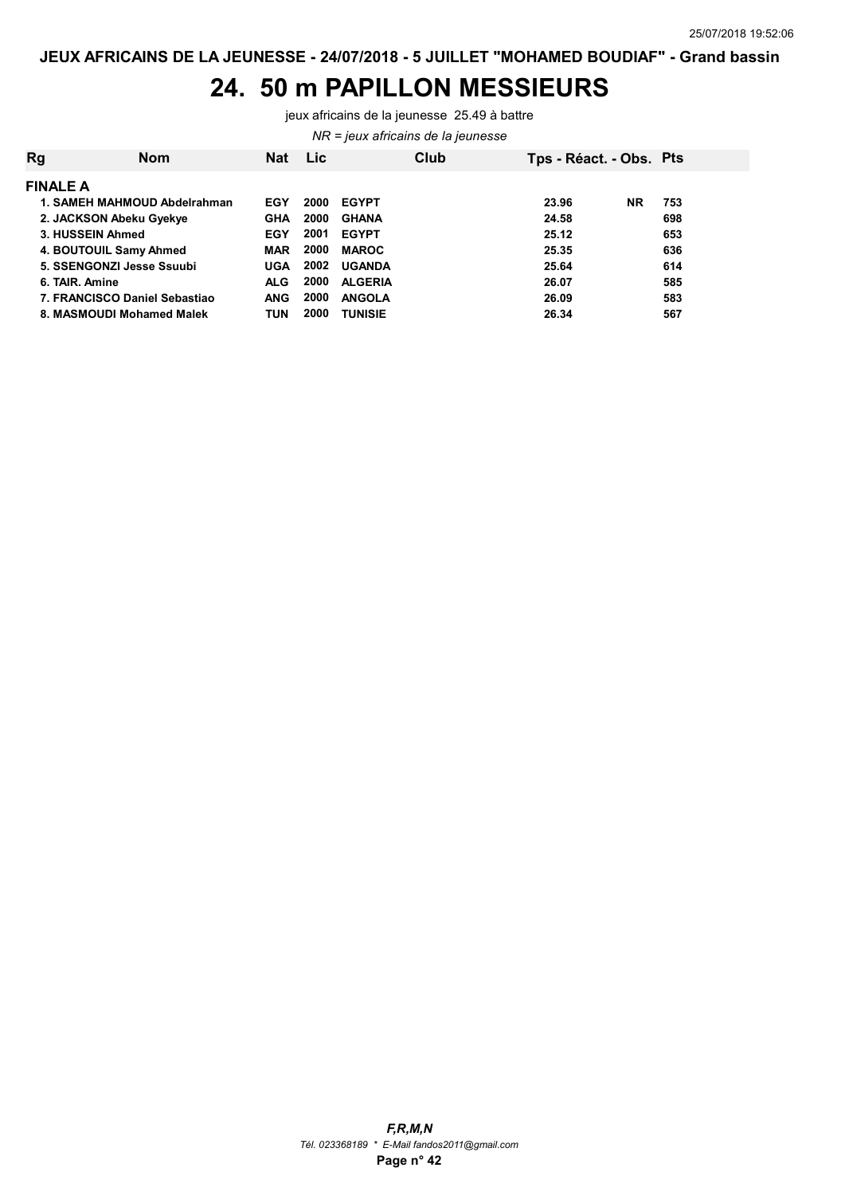#### 24. 50 m PAPILLON MESSIEURS

jeux africains de la jeunesse 25.49 à battre

NR = jeux africains de la jeunesse

| Rg              | <b>Nom</b>                    | <b>Nat</b> | Lic  |                | Club | Tps - Réact. - Obs. Pts |           |     |  |
|-----------------|-------------------------------|------------|------|----------------|------|-------------------------|-----------|-----|--|
| <b>FINALE A</b> |                               |            |      |                |      |                         |           |     |  |
|                 | 1. SAMEH MAHMOUD Abdelrahman  | EGY        | 2000 | <b>EGYPT</b>   |      | 23.96                   | <b>NR</b> | 753 |  |
|                 | 2. JACKSON Abeku Gyekye       | <b>GHA</b> | 2000 | <b>GHANA</b>   |      | 24.58                   |           | 698 |  |
|                 | 3. HUSSEIN Ahmed              | <b>EGY</b> | 2001 | <b>EGYPT</b>   |      | 25.12                   |           | 653 |  |
|                 | 4. BOUTOUIL Samy Ahmed        | <b>MAR</b> | 2000 | <b>MAROC</b>   |      | 25.35                   |           | 636 |  |
|                 | 5. SSENGONZI Jesse Ssuubi     | <b>UGA</b> | 2002 | <b>UGANDA</b>  |      | 25.64                   |           | 614 |  |
|                 | 6. TAIR. Amine                | <b>ALG</b> | 2000 | <b>ALGERIA</b> |      | 26.07                   |           | 585 |  |
|                 | 7. FRANCISCO Daniel Sebastiao | ANG        | 2000 | <b>ANGOLA</b>  |      | 26.09                   |           | 583 |  |
|                 | 8. MASMOUDI Mohamed Malek     | TUN        | 2000 | <b>TUNISIE</b> |      | 26.34                   |           | 567 |  |
|                 |                               |            |      |                |      |                         |           |     |  |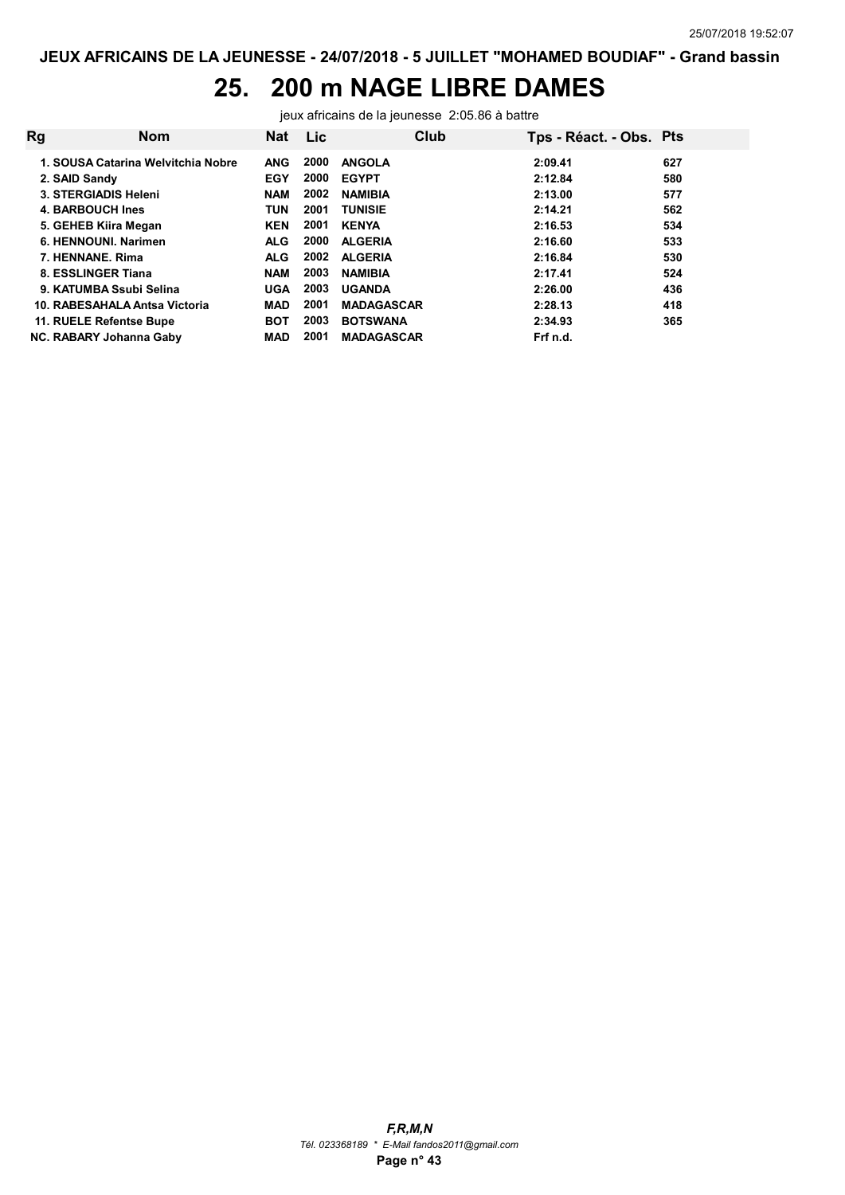## 25. 200 m NAGE LIBRE DAMES

jeux africains de la jeunesse 2:05.86 à battre

| <b>Rg</b> | <b>Nom</b>                         | Nat        | Lic  | Club              | Tps - Réact. - Obs. Pts |     |
|-----------|------------------------------------|------------|------|-------------------|-------------------------|-----|
|           | 1. SOUSA Catarina Welvitchia Nobre | <b>ANG</b> | 2000 | <b>ANGOLA</b>     | 2:09.41                 | 627 |
|           | 2. SAID Sandy                      | <b>EGY</b> | 2000 | <b>EGYPT</b>      | 2:12.84                 | 580 |
|           | 3. STERGIADIS Heleni               | <b>NAM</b> | 2002 | <b>NAMIBIA</b>    | 2:13.00                 | 577 |
|           | 4. BARBOUCH Ines                   | TUN        | 2001 | <b>TUNISIE</b>    | 2:14.21                 | 562 |
|           | 5. GEHEB Kiira Megan               | <b>KEN</b> | 2001 | <b>KENYA</b>      | 2:16.53                 | 534 |
|           | 6. HENNOUNI, Narimen               | <b>ALG</b> | 2000 | <b>ALGERIA</b>    | 2:16.60                 | 533 |
|           | 7. HENNANE, Rima                   | <b>ALG</b> | 2002 | <b>ALGERIA</b>    | 2:16.84                 | 530 |
|           | 8. ESSLINGER Tiana                 | <b>NAM</b> | 2003 | <b>NAMIBIA</b>    | 2:17.41                 | 524 |
|           | 9. KATUMBA Ssubi Selina            | <b>UGA</b> | 2003 | <b>UGANDA</b>     | 2:26.00                 | 436 |
|           | 10. RABESAHALA Antsa Victoria      | <b>MAD</b> | 2001 | <b>MADAGASCAR</b> | 2:28.13                 | 418 |
|           | 11. RUELE Refentse Bupe            | <b>BOT</b> | 2003 | <b>BOTSWANA</b>   | 2:34.93                 | 365 |
|           | NC. RABARY Johanna Gaby            | <b>MAD</b> | 2001 | <b>MADAGASCAR</b> | Frf n.d.                |     |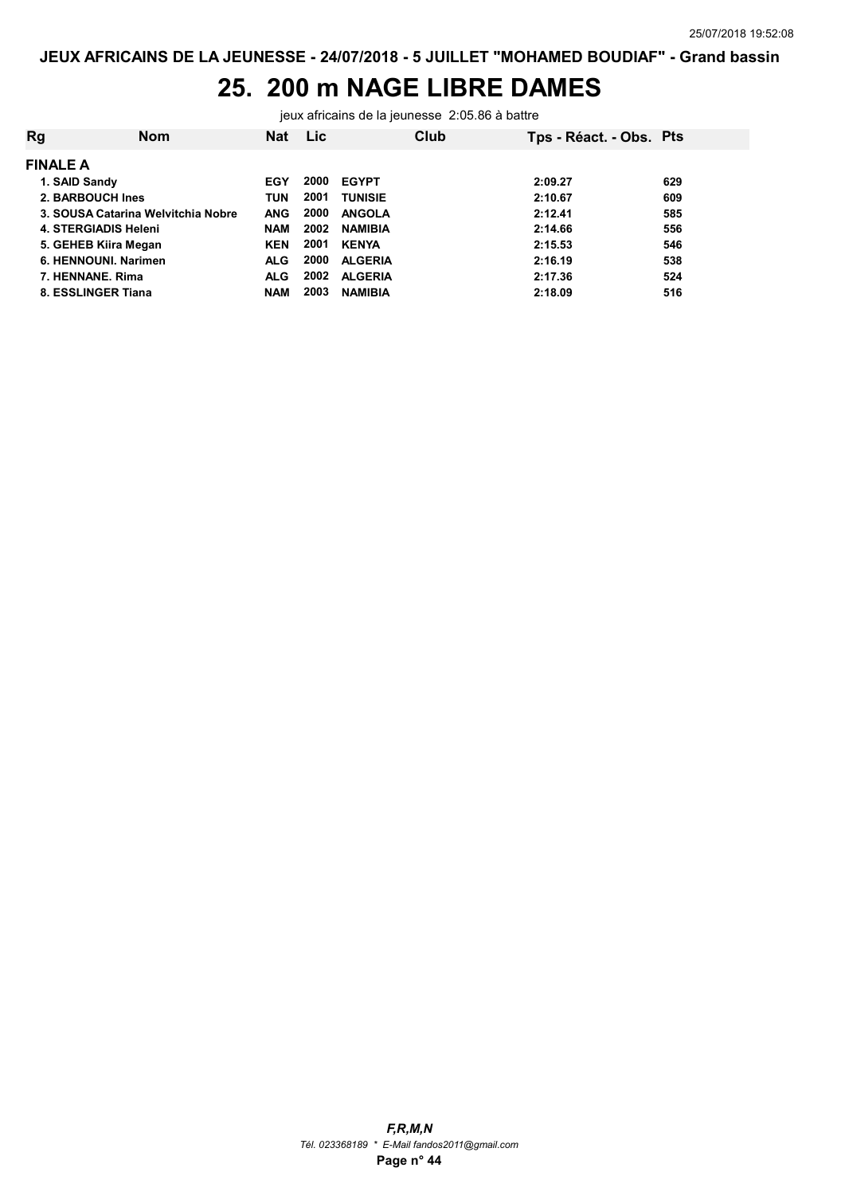#### 25. 200 m NAGE LIBRE DAMES

jeux africains de la jeunesse 2:05.86 à battre

| <b>Rg</b>            | <b>Nom</b>                         | Nat        | <b>Lic</b> |                | Club | Tps - Réact. - Obs. Pts |     |
|----------------------|------------------------------------|------------|------------|----------------|------|-------------------------|-----|
| <b>FINALE A</b>      |                                    |            |            |                |      |                         |     |
| 1. SAID Sandy        |                                    | EGY        | 2000       | <b>EGYPT</b>   |      | 2:09.27                 | 629 |
| 2. BARBOUCH Ines     |                                    | <b>TUN</b> | 2001       | <b>TUNISIE</b> |      | 2:10.67                 | 609 |
|                      | 3. SOUSA Catarina Welvitchia Nobre | <b>ANG</b> | 2000       | <b>ANGOLA</b>  |      | 2:12.41                 | 585 |
| 4. STERGIADIS Heleni |                                    | <b>NAM</b> | 2002       | <b>NAMIBIA</b> |      | 2:14.66                 | 556 |
| 5. GEHEB Kiira Megan |                                    | <b>KEN</b> | 2001       | <b>KENYA</b>   |      | 2:15.53                 | 546 |
| 6. HENNOUNI, Narimen |                                    | <b>ALG</b> | 2000       | <b>ALGERIA</b> |      | 2:16.19                 | 538 |
| 7. HENNANE, Rima     |                                    | <b>ALG</b> | 2002       | <b>ALGERIA</b> |      | 2:17.36                 | 524 |
| 8. ESSLINGER Tiana   |                                    | <b>NAM</b> | 2003       | <b>NAMIBIA</b> |      | 2:18.09                 | 516 |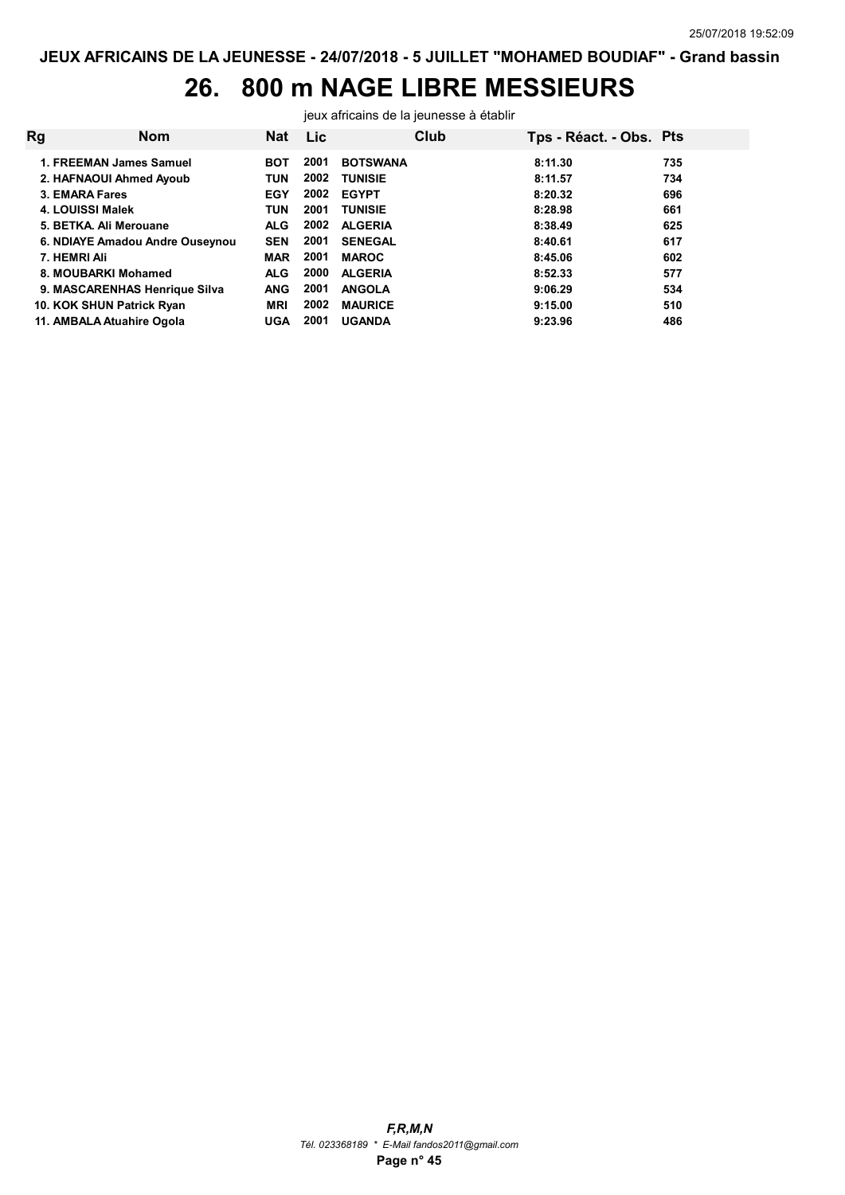## 26. 800 m NAGE LIBRE MESSIEURS

jeux africains de la jeunesse à établir

| Rg | <b>Nom</b>                      | <b>Nat</b> | <b>Lic</b> | Club            | Tps - Réact. - Obs. Pts |     |
|----|---------------------------------|------------|------------|-----------------|-------------------------|-----|
|    | 1. FREEMAN James Samuel         | <b>BOT</b> | 2001       | <b>BOTSWANA</b> | 8:11.30                 | 735 |
|    | 2. HAFNAOUI Ahmed Ayoub         | TUN        | 2002       | <b>TUNISIE</b>  | 8:11.57                 | 734 |
|    | 3. EMARA Fares                  | <b>EGY</b> | 2002       | <b>EGYPT</b>    | 8:20.32                 | 696 |
|    | 4. LOUISSI Malek                | <b>TUN</b> | 2001       | <b>TUNISIE</b>  | 8:28.98                 | 661 |
|    | 5. BETKA, Ali Merouane          | <b>ALG</b> | 2002       | <b>ALGERIA</b>  | 8:38.49                 | 625 |
|    | 6. NDIAYE Amadou Andre Ouseynou | <b>SEN</b> | 2001       | <b>SENEGAL</b>  | 8:40.61                 | 617 |
|    | 7. HEMRI Ali                    | <b>MAR</b> | 2001       | <b>MAROC</b>    | 8:45.06                 | 602 |
|    | 8. MOUBARKI Mohamed             | <b>ALG</b> | 2000       | <b>ALGERIA</b>  | 8:52.33                 | 577 |
|    | 9. MASCARENHAS Henrique Silva   | <b>ANG</b> | 2001       | <b>ANGOLA</b>   | 9:06.29                 | 534 |
|    | 10. KOK SHUN Patrick Ryan       | <b>MRI</b> | 2002       | <b>MAURICE</b>  | 9:15.00                 | 510 |
|    | 11. AMBALA Atuahire Ogola       | <b>UGA</b> | 2001       | <b>UGANDA</b>   | 9:23.96                 | 486 |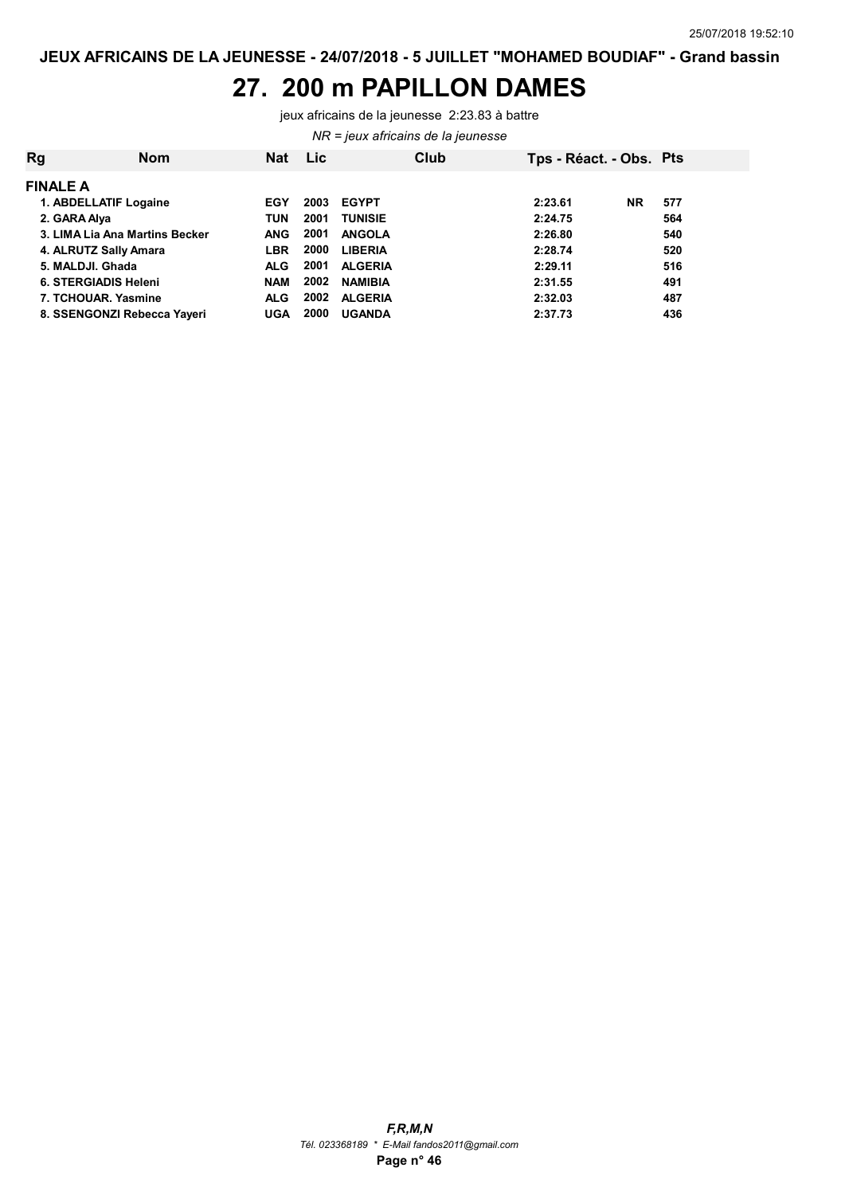#### 27. 200 m PAPILLON DAMES

jeux africains de la jeunesse 2:23.83 à battre

NR = jeux africains de la jeunesse

| Rg                             | <b>Nom</b> | <b>Nat</b> | <b>Lic</b> |                | Club | Tps - Réact. - Obs. Pts |           |     |
|--------------------------------|------------|------------|------------|----------------|------|-------------------------|-----------|-----|
| <b>FINALE A</b>                |            |            |            |                |      |                         |           |     |
| 1. ABDELLATIF Logaine          |            | EGY        | 2003       | <b>EGYPT</b>   |      | 2:23.61                 | <b>NR</b> | 577 |
| 2. GARA Alya                   |            | <b>TUN</b> | 2001       | <b>TUNISIE</b> |      | 2:24.75                 |           | 564 |
| 3. LIMA Lia Ana Martins Becker |            | <b>ANG</b> | 2001       | <b>ANGOLA</b>  |      | 2:26.80                 |           | 540 |
| 4. ALRUTZ Sally Amara          |            | <b>LBR</b> | 2000       | <b>LIBERIA</b> |      | 2:28.74                 |           | 520 |
| 5. MALDJI. Ghada               |            | <b>ALG</b> | 2001       | <b>ALGERIA</b> |      | 2:29.11                 |           | 516 |
| <b>6. STERGIADIS Heleni</b>    |            | <b>NAM</b> | 2002       | <b>NAMIBIA</b> |      | 2:31.55                 |           | 491 |
| 7. TCHOUAR, Yasmine            |            | <b>ALG</b> | 2002       | <b>ALGERIA</b> |      | 2:32.03                 |           | 487 |
| 8. SSENGONZI Rebecca Yayeri    |            | <b>UGA</b> | 2000       | <b>UGANDA</b>  |      | 2:37.73                 |           | 436 |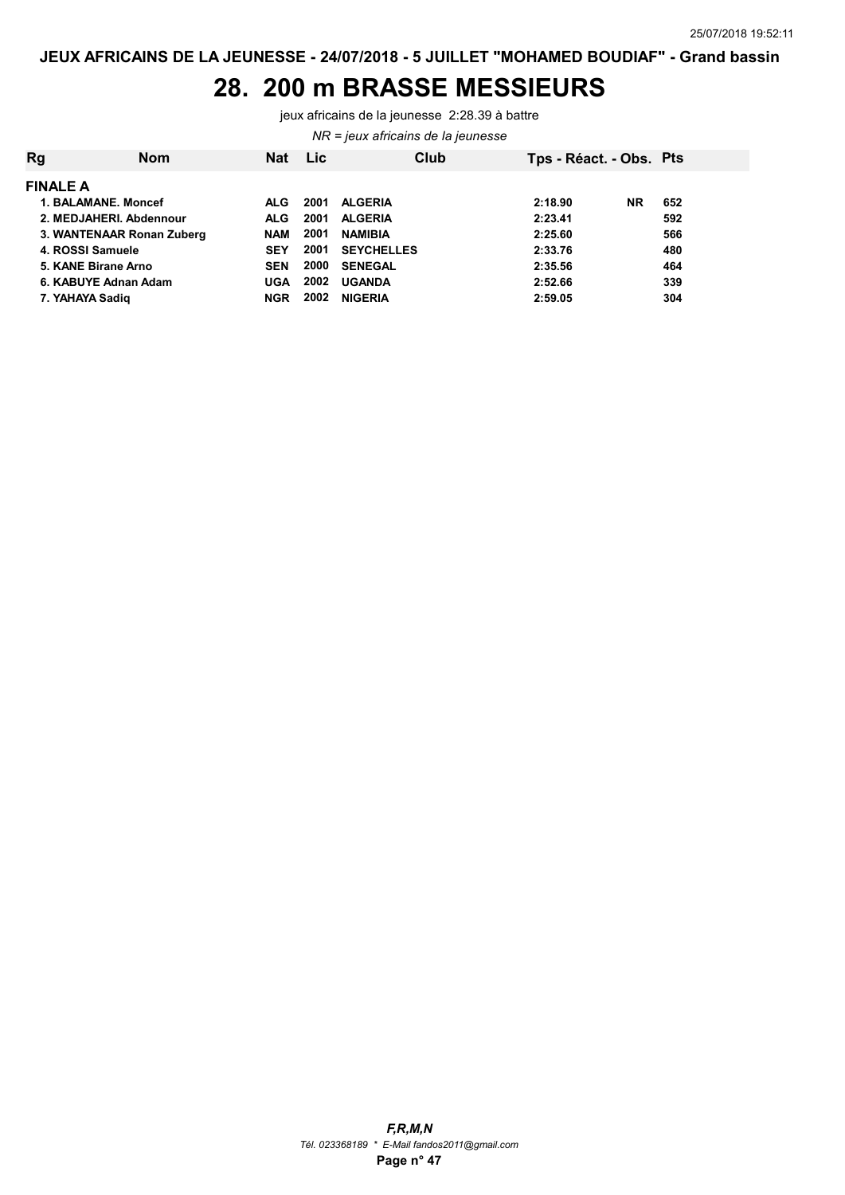#### 28. 200 m BRASSE MESSIEURS

jeux africains de la jeunesse 2:28.39 à battre

NR = jeux africains de la jeunesse

| <b>Rg</b> | <b>Nom</b>                | <b>Nat</b> | <b>Lic</b> | Club              | Tps - Réact. - Obs. Pts |           |     |  |  |  |  |  |  |
|-----------|---------------------------|------------|------------|-------------------|-------------------------|-----------|-----|--|--|--|--|--|--|
|           | <b>FINALE A</b>           |            |            |                   |                         |           |     |  |  |  |  |  |  |
|           | 1. BALAMANE, Moncef       | <b>ALG</b> | 2001       | <b>ALGERIA</b>    | 2:18.90                 | <b>NR</b> | 652 |  |  |  |  |  |  |
|           | 2. MEDJAHERI. Abdennour   | ALG.       | 2001       | <b>ALGERIA</b>    | 2:23.41                 |           | 592 |  |  |  |  |  |  |
|           | 3. WANTENAAR Ronan Zuberg | <b>NAM</b> | 2001       | <b>NAMIBIA</b>    | 2:25.60                 |           | 566 |  |  |  |  |  |  |
|           | 4. ROSSI Samuele          | <b>SEY</b> | 2001       | <b>SEYCHELLES</b> | 2:33.76                 |           | 480 |  |  |  |  |  |  |
|           | 5. KANE Birane Arno       | <b>SEN</b> | 2000       | <b>SENEGAL</b>    | 2:35.56                 |           | 464 |  |  |  |  |  |  |
|           | 6. KABUYE Adnan Adam      | UGA        | 2002       | <b>UGANDA</b>     | 2:52.66                 |           | 339 |  |  |  |  |  |  |
|           | 7. YAHAYA Sadig           | NGR        | 2002       | <b>NIGERIA</b>    | 2:59.05                 |           | 304 |  |  |  |  |  |  |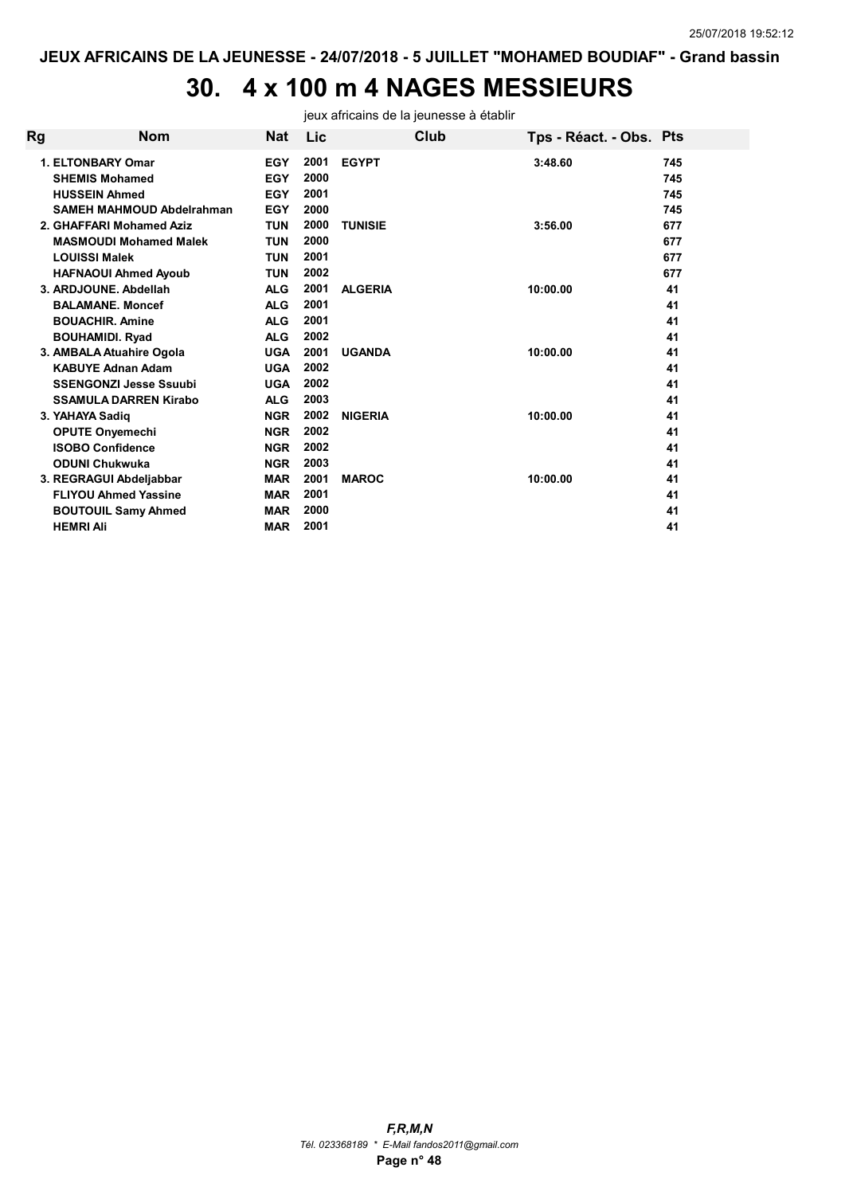# 30. 4 x 100 m 4 NAGES MESSIEURS

jeux africains de la jeunesse à établir

| Rg | <b>Nom</b>                       | <b>Nat</b> | Lic  |                | Club | Tps - Réact. - Obs. Pts |     |
|----|----------------------------------|------------|------|----------------|------|-------------------------|-----|
|    | 1. ELTONBARY Omar                | <b>EGY</b> | 2001 | <b>EGYPT</b>   |      | 3:48.60                 | 745 |
|    | <b>SHEMIS Mohamed</b>            | <b>EGY</b> | 2000 |                |      |                         | 745 |
|    | <b>HUSSEIN Ahmed</b>             | <b>EGY</b> | 2001 |                |      |                         | 745 |
|    | <b>SAMEH MAHMOUD Abdelrahman</b> | <b>EGY</b> | 2000 |                |      |                         | 745 |
|    | 2. GHAFFARI Mohamed Aziz         | <b>TUN</b> | 2000 | <b>TUNISIE</b> |      | 3:56.00                 | 677 |
|    | <b>MASMOUDI Mohamed Malek</b>    | <b>TUN</b> | 2000 |                |      |                         | 677 |
|    | <b>LOUISSI Malek</b>             | <b>TUN</b> | 2001 |                |      |                         | 677 |
|    | <b>HAFNAOUI Ahmed Ayoub</b>      | <b>TUN</b> | 2002 |                |      |                         | 677 |
|    | 3. ARDJOUNE, Abdellah            | <b>ALG</b> | 2001 | <b>ALGERIA</b> |      | 10:00.00                | 41  |
|    | <b>BALAMANE, Moncef</b>          | <b>ALG</b> | 2001 |                |      |                         | 41  |
|    | <b>BOUACHIR, Amine</b>           | <b>ALG</b> | 2001 |                |      |                         | 41  |
|    | <b>BOUHAMIDI. Ryad</b>           | <b>ALG</b> | 2002 |                |      |                         | 41  |
|    | 3. AMBALA Atuahire Ogola         | <b>UGA</b> | 2001 | <b>UGANDA</b>  |      | 10:00.00                | 41  |
|    | <b>KABUYE Adnan Adam</b>         | <b>UGA</b> | 2002 |                |      |                         | 41  |
|    | <b>SSENGONZI Jesse Ssuubi</b>    | <b>UGA</b> | 2002 |                |      |                         | 41  |
|    | SSAMULA DARREN Kirabo            | <b>ALG</b> | 2003 |                |      |                         | 41  |
|    | 3. YAHAYA Sadig                  | <b>NGR</b> | 2002 | <b>NIGERIA</b> |      | 10:00.00                | 41  |
|    | <b>OPUTE Onyemechi</b>           | <b>NGR</b> | 2002 |                |      |                         | 41  |
|    | <b>ISOBO Confidence</b>          | <b>NGR</b> | 2002 |                |      |                         | 41  |
|    | <b>ODUNI Chukwuka</b>            | <b>NGR</b> | 2003 |                |      |                         | 41  |
|    | 3. REGRAGUI Abdeljabbar          | <b>MAR</b> | 2001 | <b>MAROC</b>   |      | 10:00.00                | 41  |
|    | <b>FLIYOU Ahmed Yassine</b>      | <b>MAR</b> | 2001 |                |      |                         | 41  |
|    | <b>BOUTOUIL Samy Ahmed</b>       | <b>MAR</b> | 2000 |                |      |                         | 41  |
|    | <b>HEMRI Ali</b>                 | <b>MAR</b> | 2001 |                |      |                         | 41  |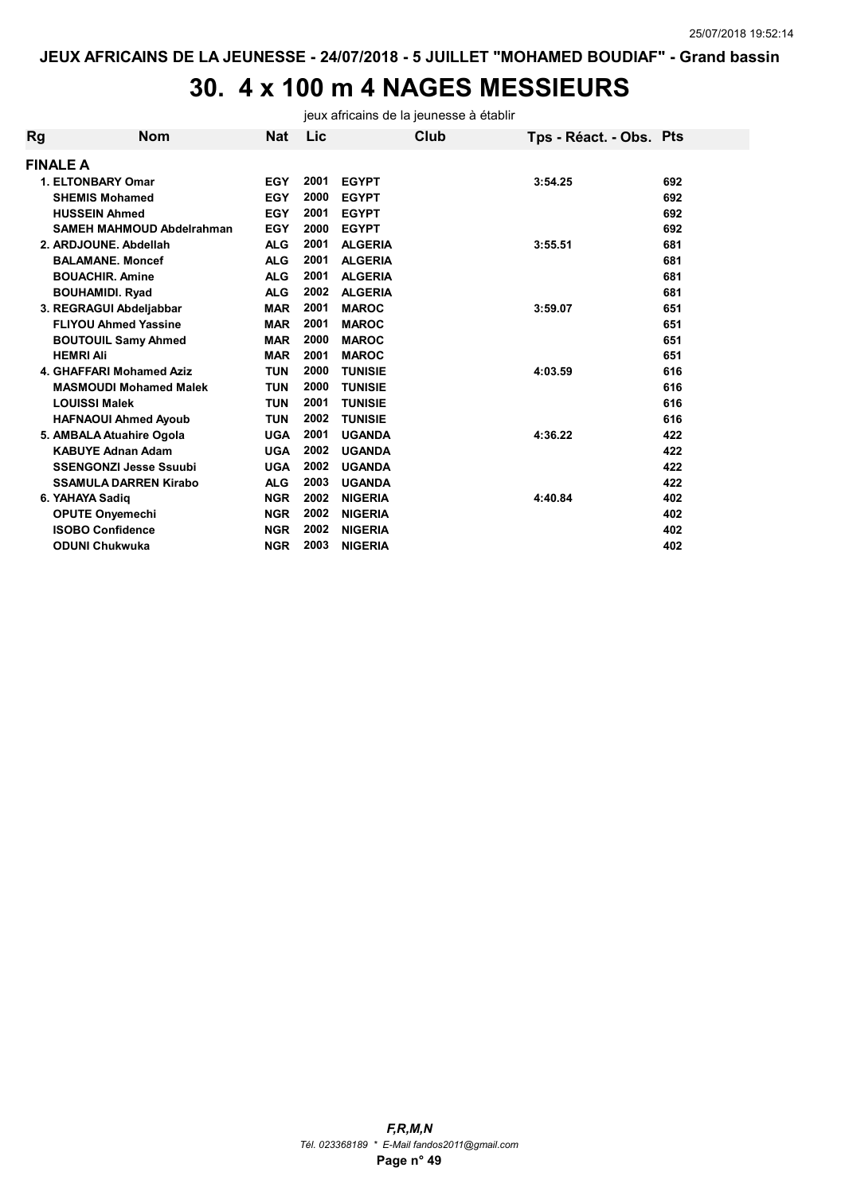# 30. 4 x 100 m 4 NAGES MESSIEURS

jeux africains de la jeunesse à établir

| Rg | <b>Nom</b>                       | <b>Nat</b> | Lic  |                | Club | Tps - Réact. - Obs. Pts |     |
|----|----------------------------------|------------|------|----------------|------|-------------------------|-----|
|    | <b>FINALE A</b>                  |            |      |                |      |                         |     |
|    | <b>1. ELTONBARY Omar</b>         | <b>EGY</b> | 2001 | <b>EGYPT</b>   |      | 3:54.25                 | 692 |
|    | <b>SHEMIS Mohamed</b>            | <b>EGY</b> | 2000 | <b>EGYPT</b>   |      |                         | 692 |
|    | <b>HUSSEIN Ahmed</b>             | <b>EGY</b> | 2001 | <b>EGYPT</b>   |      |                         | 692 |
|    | <b>SAMEH MAHMOUD Abdelrahman</b> | <b>EGY</b> | 2000 | <b>EGYPT</b>   |      |                         | 692 |
|    | 2. ARDJOUNE. Abdellah            | <b>ALG</b> | 2001 | <b>ALGERIA</b> |      | 3:55.51                 | 681 |
|    | <b>BALAMANE, Moncef</b>          | <b>ALG</b> | 2001 | <b>ALGERIA</b> |      |                         | 681 |
|    | <b>BOUACHIR, Amine</b>           | <b>ALG</b> | 2001 | <b>ALGERIA</b> |      |                         | 681 |
|    | <b>BOUHAMIDI. Ryad</b>           | <b>ALG</b> | 2002 | <b>ALGERIA</b> |      |                         | 681 |
|    | 3. REGRAGUI Abdeljabbar          | <b>MAR</b> | 2001 | <b>MAROC</b>   |      | 3:59.07                 | 651 |
|    | <b>FLIYOU Ahmed Yassine</b>      | <b>MAR</b> | 2001 | <b>MAROC</b>   |      |                         | 651 |
|    | <b>BOUTOUIL Samy Ahmed</b>       | <b>MAR</b> | 2000 | <b>MAROC</b>   |      |                         | 651 |
|    | <b>HEMRI Ali</b>                 | <b>MAR</b> | 2001 | <b>MAROC</b>   |      |                         | 651 |
|    | 4. GHAFFARI Mohamed Aziz         | TUN        | 2000 | <b>TUNISIE</b> |      | 4:03.59                 | 616 |
|    | <b>MASMOUDI Mohamed Malek</b>    | <b>TUN</b> | 2000 | <b>TUNISIE</b> |      |                         | 616 |
|    | <b>LOUISSI Malek</b>             | TUN        | 2001 | <b>TUNISIE</b> |      |                         | 616 |
|    | <b>HAFNAOUI Ahmed Ayoub</b>      | TUN        | 2002 | <b>TUNISIE</b> |      |                         | 616 |
|    | 5. AMBALA Atuahire Ogola         | <b>UGA</b> | 2001 | <b>UGANDA</b>  |      | 4:36.22                 | 422 |
|    | <b>KABUYE Adnan Adam</b>         | <b>UGA</b> | 2002 | <b>UGANDA</b>  |      |                         | 422 |
|    | <b>SSENGONZI Jesse Ssuubi</b>    | <b>UGA</b> | 2002 | <b>UGANDA</b>  |      |                         | 422 |
|    | <b>SSAMULA DARREN Kirabo</b>     | <b>ALG</b> | 2003 | <b>UGANDA</b>  |      |                         | 422 |
|    | 6. YAHAYA Sadig                  | <b>NGR</b> | 2002 | <b>NIGERIA</b> |      | 4:40.84                 | 402 |
|    | <b>OPUTE Onyemechi</b>           | <b>NGR</b> | 2002 | <b>NIGERIA</b> |      |                         | 402 |
|    | <b>ISOBO Confidence</b>          | <b>NGR</b> | 2002 | <b>NIGERIA</b> |      |                         | 402 |
|    | <b>ODUNI Chukwuka</b>            | <b>NGR</b> | 2003 | <b>NIGERIA</b> |      |                         | 402 |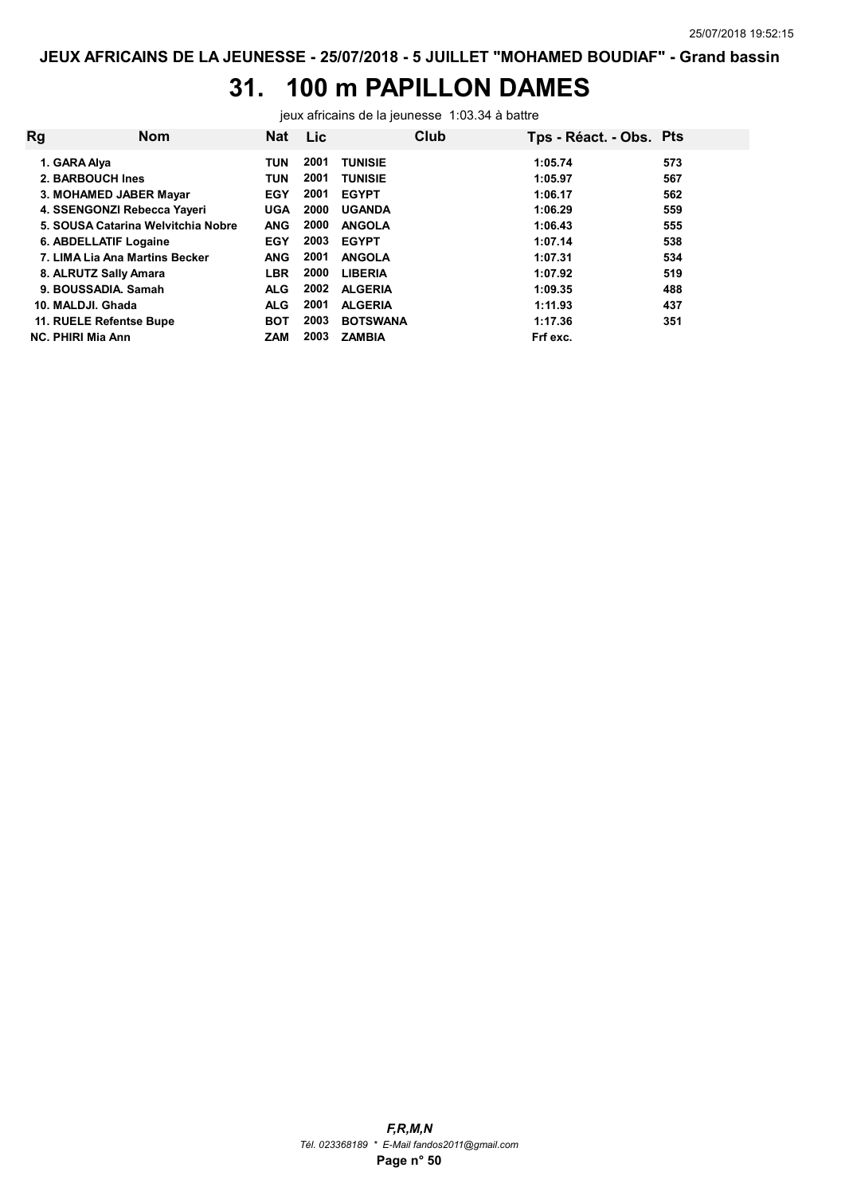## 31. 100 m PAPILLON DAMES

jeux africains de la jeunesse 1:03.34 à battre

| <b>Rg</b> | <b>Nom</b>                         | <b>Nat</b> | <b>Lic</b> | Club            | Tps - Réact. - Obs. Pts |     |
|-----------|------------------------------------|------------|------------|-----------------|-------------------------|-----|
|           | 1. GARA Alya                       | <b>TUN</b> | 2001       | <b>TUNISIE</b>  | 1:05.74                 | 573 |
|           | 2. BARBOUCH Ines                   | <b>TUN</b> | 2001       | <b>TUNISIE</b>  | 1:05.97                 | 567 |
|           | 3. MOHAMED JABER Mayar             | <b>EGY</b> | 2001       | <b>EGYPT</b>    | 1:06.17                 | 562 |
|           | 4. SSENGONZI Rebecca Yayeri        | <b>UGA</b> | 2000       | <b>UGANDA</b>   | 1:06.29                 | 559 |
|           | 5. SOUSA Catarina Welvitchia Nobre | <b>ANG</b> | 2000       | <b>ANGOLA</b>   | 1:06.43                 | 555 |
|           | 6. ABDELLATIF Logaine              | <b>EGY</b> | 2003       | <b>EGYPT</b>    | 1:07.14                 | 538 |
|           | 7. LIMA Lia Ana Martins Becker     | <b>ANG</b> | 2001       | <b>ANGOLA</b>   | 1:07.31                 | 534 |
|           | 8. ALRUTZ Sally Amara              | <b>LBR</b> | 2000       | <b>LIBERIA</b>  | 1:07.92                 | 519 |
|           | 9. BOUSSADIA, Samah                | <b>ALG</b> | 2002       | <b>ALGERIA</b>  | 1:09.35                 | 488 |
|           | 10. MALDJI. Ghada                  | <b>ALG</b> | 2001       | <b>ALGERIA</b>  | 1:11.93                 | 437 |
|           | 11. RUELE Refentse Bupe            | <b>BOT</b> | 2003       | <b>BOTSWANA</b> | 1:17.36                 | 351 |
|           | <b>NC. PHIRI Mia Ann</b>           | <b>ZAM</b> | 2003       | <b>ZAMBIA</b>   | Frf exc.                |     |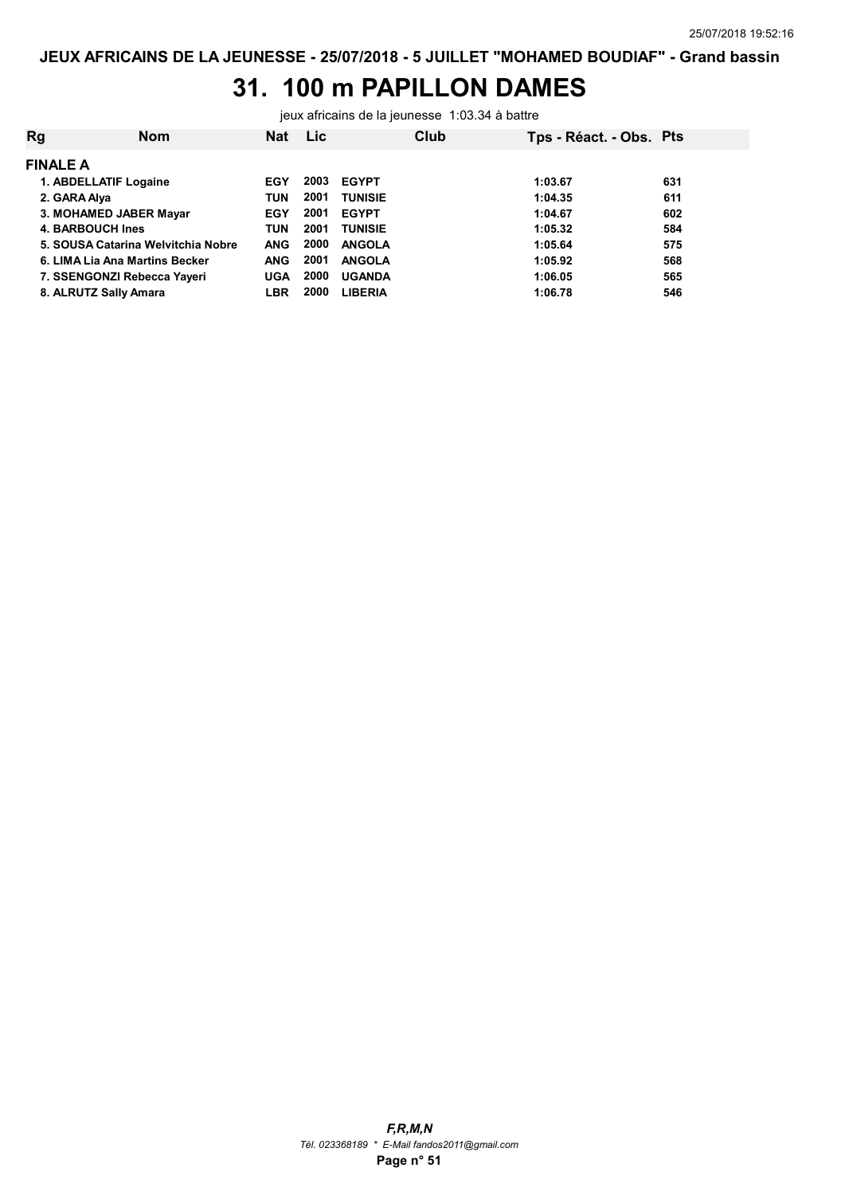## 31. 100 m PAPILLON DAMES

jeux africains de la jeunesse 1:03.34 à battre

| Rg               | <b>Nom</b>                         | <b>Nat</b> | <b>Lic</b> |                | Club | Tps - Réact. - Obs. Pts |     |
|------------------|------------------------------------|------------|------------|----------------|------|-------------------------|-----|
| <b>FINALE A</b>  |                                    |            |            |                |      |                         |     |
|                  | 1. ABDELLATIF Logaine              | EGY        | 2003       | <b>EGYPT</b>   |      | 1:03.67                 | 631 |
| 2. GARA Alya     |                                    | <b>TUN</b> | 2001       | <b>TUNISIE</b> |      | 1:04.35                 | 611 |
|                  | 3. MOHAMED JABER Mayar             | <b>EGY</b> | 2001       | <b>EGYPT</b>   |      | 1:04.67                 | 602 |
| 4. BARBOUCH Ines |                                    | <b>TUN</b> | 2001       | <b>TUNISIE</b> |      | 1:05.32                 | 584 |
|                  | 5. SOUSA Catarina Welvitchia Nobre | <b>ANG</b> | 2000       | <b>ANGOLA</b>  |      | 1:05.64                 | 575 |
|                  | 6. LIMA Lia Ana Martins Becker     | <b>ANG</b> | 2001       | <b>ANGOLA</b>  |      | 1:05.92                 | 568 |
|                  | 7. SSENGONZI Rebecca Yayeri        | <b>UGA</b> | 2000       | <b>UGANDA</b>  |      | 1:06.05                 | 565 |
|                  | 8. ALRUTZ Sally Amara              | LBR        | 2000       | <b>LIBERIA</b> |      | 1:06.78                 | 546 |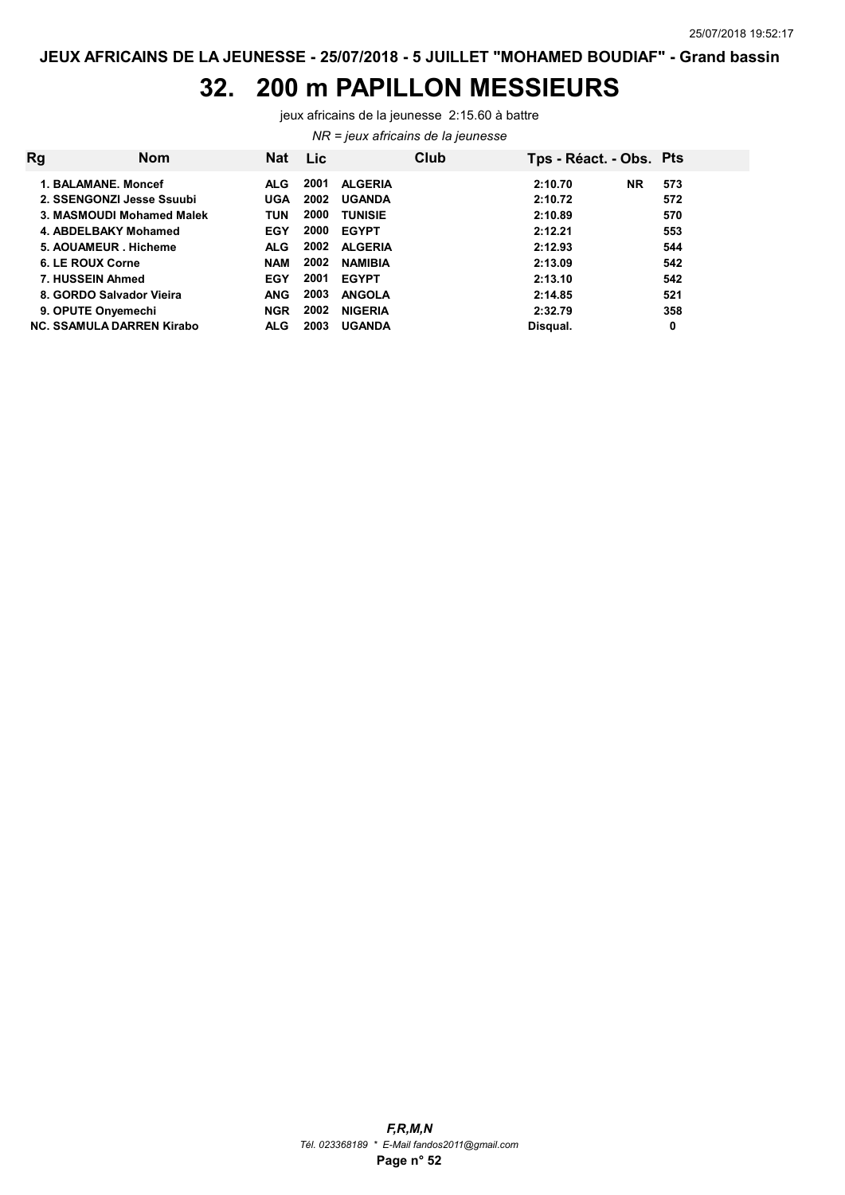#### 32. 200 m PAPILLON MESSIEURS

jeux africains de la jeunesse 2:15.60 à battre

NR = jeux africains de la jeunesse

| Rg                               | <b>Nom</b> | Nat        | Lic  |                | Club | Tps - Réact. - Obs. Pts |           |     |
|----------------------------------|------------|------------|------|----------------|------|-------------------------|-----------|-----|
| 1. BALAMANE, Moncef              |            | ALG.       | 2001 | <b>ALGERIA</b> |      | 2:10.70                 | <b>NR</b> | 573 |
| 2. SSENGONZI Jesse Ssuubi        |            | <b>UGA</b> | 2002 | <b>UGANDA</b>  |      | 2:10.72                 |           | 572 |
| 3. MASMOUDI Mohamed Malek        |            | <b>TUN</b> | 2000 | <b>TUNISIE</b> |      | 2:10.89                 |           | 570 |
| 4. ABDELBAKY Mohamed             |            | <b>EGY</b> | 2000 | <b>EGYPT</b>   |      | 2:12.21                 |           | 553 |
| 5. AOUAMEUR . Hicheme            |            | <b>ALG</b> | 2002 | <b>ALGERIA</b> |      | 2:12.93                 |           | 544 |
| 6. LE ROUX Corne                 |            | <b>NAM</b> | 2002 | <b>NAMIBIA</b> |      | 2:13.09                 |           | 542 |
| 7. HUSSEIN Ahmed                 |            | <b>EGY</b> | 2001 | <b>EGYPT</b>   |      | 2:13.10                 |           | 542 |
| 8. GORDO Salvador Vieira         |            | <b>ANG</b> | 2003 | <b>ANGOLA</b>  |      | 2:14.85                 |           | 521 |
| 9. OPUTE Onyemechi               |            | <b>NGR</b> | 2002 | <b>NIGERIA</b> |      | 2:32.79                 |           | 358 |
| <b>NC. SSAMULA DARREN Kirabo</b> |            | <b>ALG</b> | 2003 | <b>UGANDA</b>  |      | Disqual.                |           | 0   |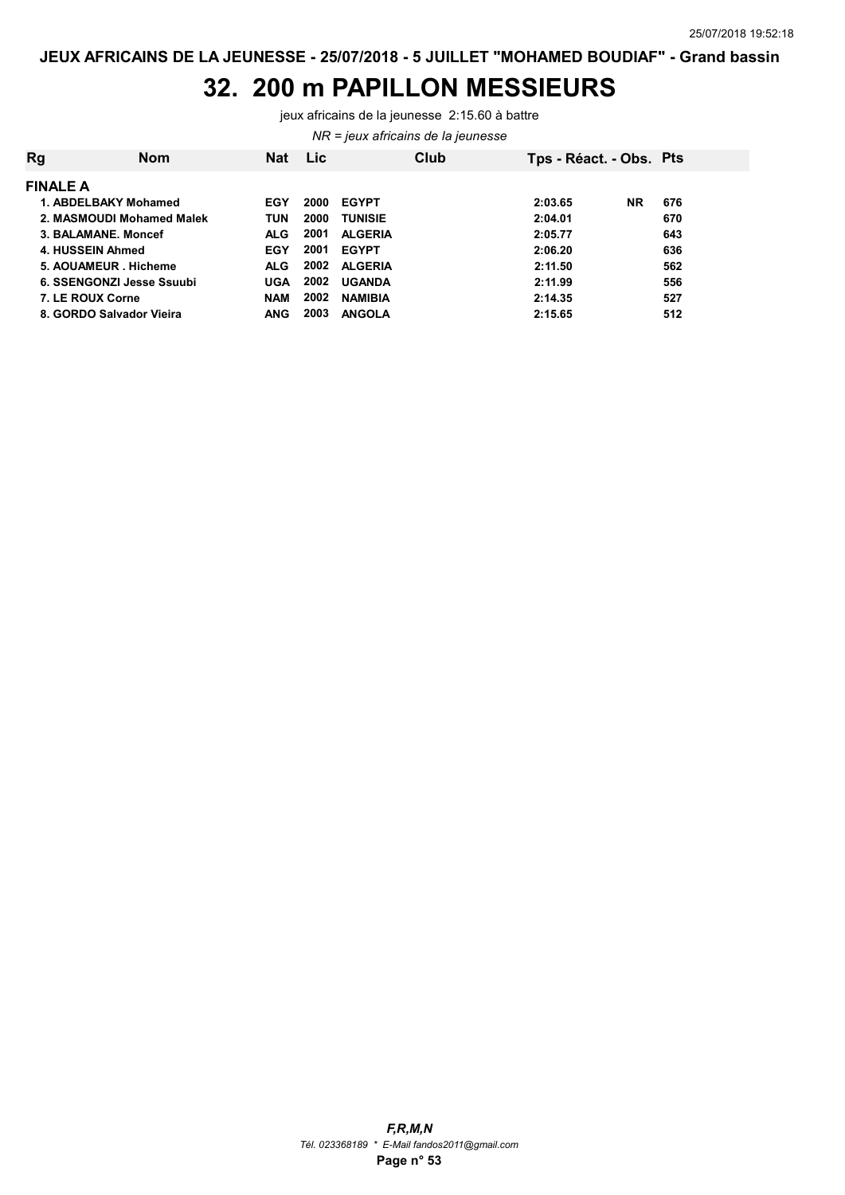#### 32. 200 m PAPILLON MESSIEURS

jeux africains de la jeunesse 2:15.60 à battre

NR = jeux africains de la jeunesse

| <b>Rg</b>                 | <b>Nom</b> | <b>Nat</b> | <b>Lic</b> |                | Club | Tps - Réact. - Obs. Pts |           |     |
|---------------------------|------------|------------|------------|----------------|------|-------------------------|-----------|-----|
| <b>FINALE A</b>           |            |            |            |                |      |                         |           |     |
| 1. ABDELBAKY Mohamed      |            | EGY        | 2000       | <b>EGYPT</b>   |      | 2:03.65                 | <b>NR</b> | 676 |
| 2. MASMOUDI Mohamed Malek |            | <b>TUN</b> | 2000       | <b>TUNISIE</b> |      | 2:04.01                 |           | 670 |
| 3. BALAMANE, Moncef       |            | <b>ALG</b> | 2001       | <b>ALGERIA</b> |      | 2:05.77                 |           | 643 |
| 4. HUSSEIN Ahmed          |            | EGY        | 2001       | <b>EGYPT</b>   |      | 2:06.20                 |           | 636 |
| 5. AOUAMEUR Hicheme       |            | ALG.       | 2002       | <b>ALGERIA</b> |      | 2:11.50                 |           | 562 |
| 6. SSENGONZI Jesse Ssuubi |            | UGA        | 2002       | <b>UGANDA</b>  |      | 2:11.99                 |           | 556 |
| 7. LE ROUX Corne          |            | <b>NAM</b> | 2002       | <b>NAMIBIA</b> |      | 2:14.35                 |           | 527 |
| 8. GORDO Salvador Vieira  |            | <b>ANG</b> | 2003       | <b>ANGOLA</b>  |      | 2:15.65                 |           | 512 |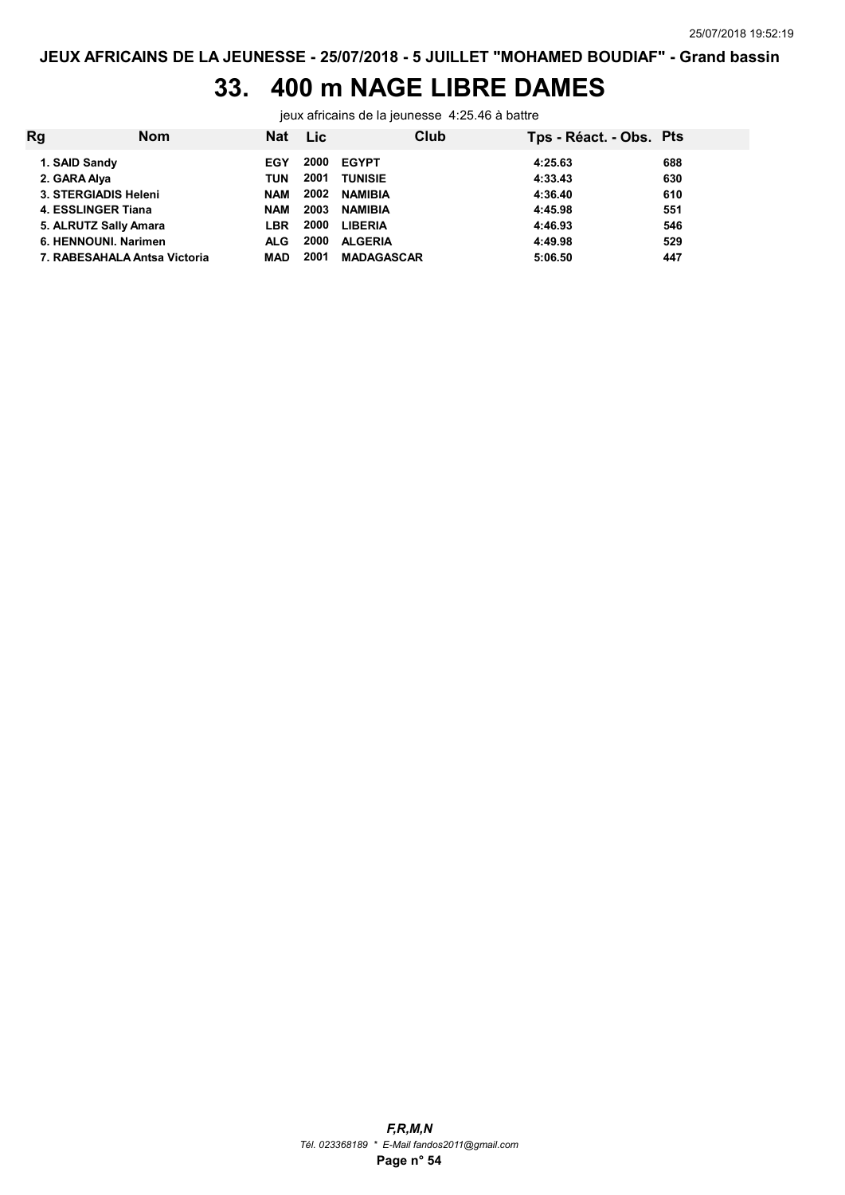## 33. 400 m NAGE LIBRE DAMES

jeux africains de la jeunesse 4:25.46 à battre

| Rg            | <b>Nom</b>                   | <b>Nat</b> | Lic  | Club              | Tps - Réact. - Obs. Pts |     |
|---------------|------------------------------|------------|------|-------------------|-------------------------|-----|
| 1. SAID Sandy |                              | EGY        | 2000 | <b>EGYPT</b>      | 4:25.63                 | 688 |
| 2. GARA Alya  |                              | TUN        | 2001 | <b>TUNISIE</b>    | 4:33.43                 | 630 |
|               | 3. STERGIADIS Heleni         | <b>NAM</b> | 2002 | <b>NAMIBIA</b>    | 4:36.40                 | 610 |
|               | 4. ESSLINGER Tiana           | <b>NAM</b> | 2003 | <b>NAMIBIA</b>    | 4:45.98                 | 551 |
|               | 5. ALRUTZ Sally Amara        | LBR        | 2000 | <b>LIBERIA</b>    | 4:46.93                 | 546 |
|               | 6. HENNOUNI, Narimen         | <b>ALG</b> | 2000 | <b>ALGERIA</b>    | 4:49.98                 | 529 |
|               | 7. RABESAHALA Antsa Victoria | MAD        | 2001 | <b>MADAGASCAR</b> | 5:06.50                 | 447 |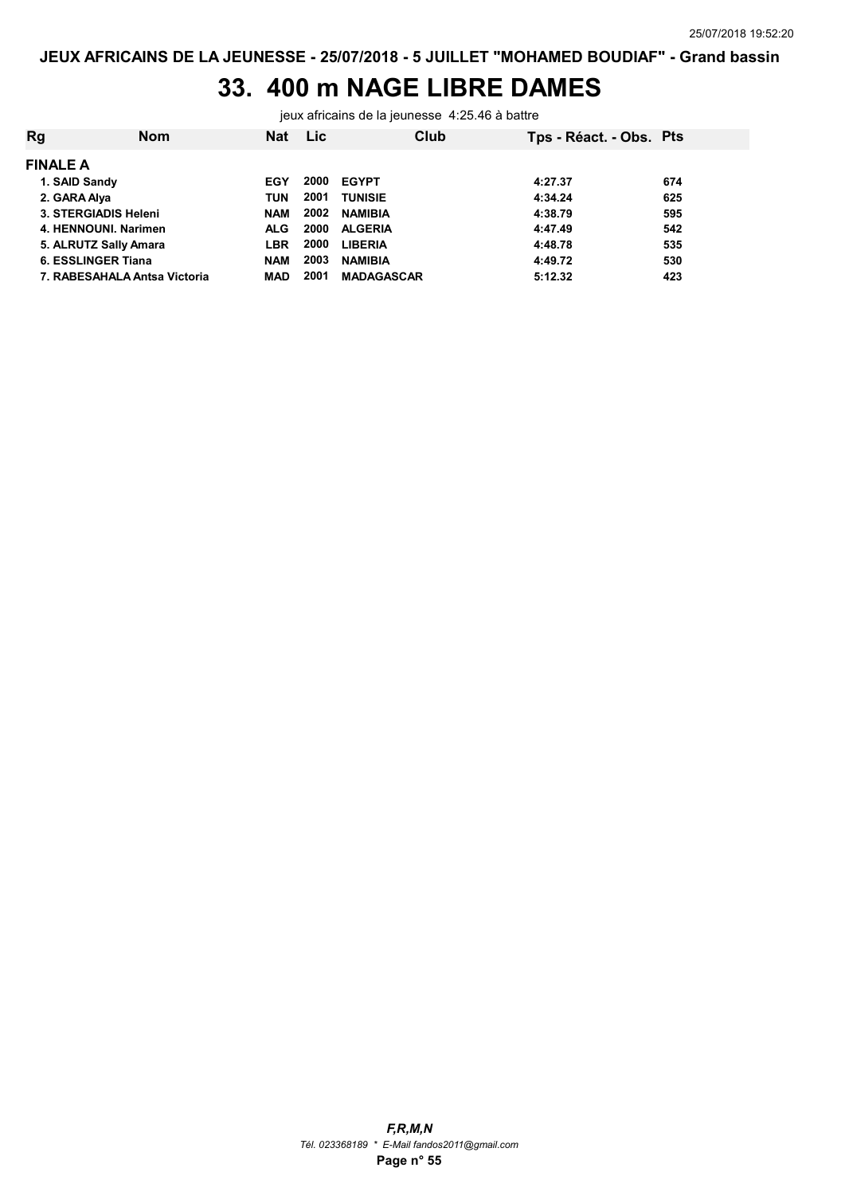### 33. 400 m NAGE LIBRE DAMES

jeux africains de la jeunesse 4:25.46 à battre

| Rg                        | <b>Nom</b>                   | <b>Nat</b> | <b>Lic</b> |                   | Club | Tps - Réact. - Obs. Pts |     |
|---------------------------|------------------------------|------------|------------|-------------------|------|-------------------------|-----|
| <b>FINALE A</b>           |                              |            |            |                   |      |                         |     |
| 1. SAID Sandy             |                              | EGY        | 2000       | <b>EGYPT</b>      |      | 4:27.37                 | 674 |
| 2. GARA Alya              |                              | TUN        | 2001       | <b>TUNISIE</b>    |      | 4:34.24                 | 625 |
| 3. STERGIADIS Heleni      |                              | <b>NAM</b> | 2002       | <b>NAMIBIA</b>    |      | 4:38.79                 | 595 |
| 4. HENNOUNI, Narimen      |                              | <b>ALG</b> | 2000       | <b>ALGERIA</b>    |      | 4:47.49                 | 542 |
| 5. ALRUTZ Sally Amara     |                              | <b>LBR</b> | 2000       | <b>LIBERIA</b>    |      | 4:48.78                 | 535 |
| <b>6. ESSLINGER Tiana</b> |                              | <b>NAM</b> | 2003       | <b>NAMIBIA</b>    |      | 4:49.72                 | 530 |
|                           | 7. RABESAHALA Antsa Victoria | MAD        | 2001       | <b>MADAGASCAR</b> |      | 5:12.32                 | 423 |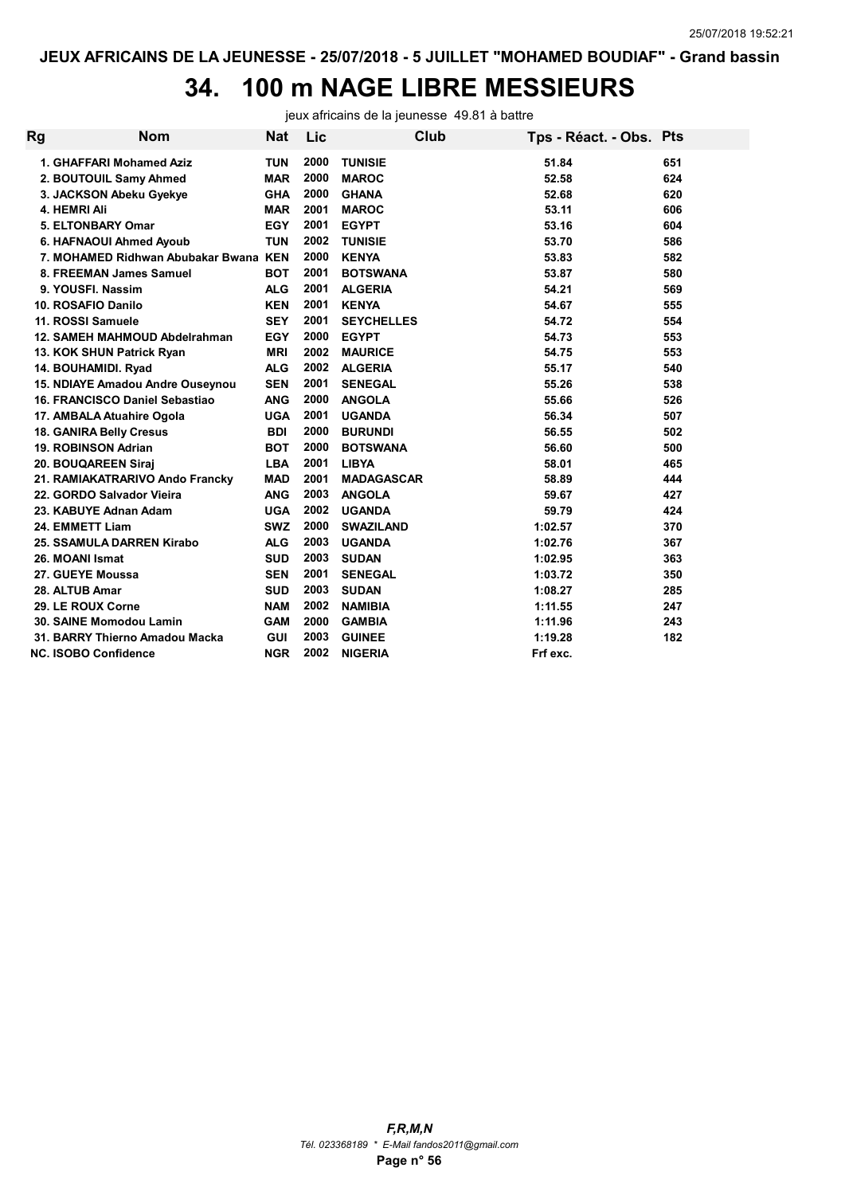### 34. 100 m NAGE LIBRE MESSIEURS

jeux africains de la jeunesse 49.81 à battre

| Rg | <b>Nom</b>                        | <b>Nat</b> | Lic  | Club              | Tps - Réact. - Obs. Pts |     |
|----|-----------------------------------|------------|------|-------------------|-------------------------|-----|
|    | 1. GHAFFARI Mohamed Aziz          | <b>TUN</b> | 2000 | <b>TUNISIE</b>    | 51.84                   | 651 |
|    | 2. BOUTOUIL Samy Ahmed            | <b>MAR</b> | 2000 | <b>MAROC</b>      | 52.58                   | 624 |
|    | 3. JACKSON Abeku Gyekye           | <b>GHA</b> | 2000 | <b>GHANA</b>      | 52.68                   | 620 |
|    | 4. HEMRI Ali                      | <b>MAR</b> | 2001 | <b>MAROC</b>      | 53.11                   | 606 |
|    | <b>5. ELTONBARY Omar</b>          | <b>EGY</b> | 2001 | <b>EGYPT</b>      | 53.16                   | 604 |
|    | 6. HAFNAOUI Ahmed Ayoub           | <b>TUN</b> | 2002 | <b>TUNISIE</b>    | 53.70                   | 586 |
|    | 7. MOHAMED Ridhwan Abubakar Bwana | <b>KEN</b> | 2000 | <b>KENYA</b>      | 53.83                   | 582 |
|    | 8. FREEMAN James Samuel           | <b>BOT</b> | 2001 | <b>BOTSWANA</b>   | 53.87                   | 580 |
|    | 9. YOUSFI. Nassim                 | <b>ALG</b> | 2001 | <b>ALGERIA</b>    | 54.21                   | 569 |
|    | 10. ROSAFIO Danilo                | <b>KEN</b> | 2001 | <b>KENYA</b>      | 54.67                   | 555 |
|    | 11. ROSSI Samuele                 | <b>SEY</b> | 2001 | <b>SEYCHELLES</b> | 54.72                   | 554 |
|    | 12. SAMEH MAHMOUD Abdelrahman     | <b>EGY</b> | 2000 | <b>EGYPT</b>      | 54.73                   | 553 |
|    | 13. KOK SHUN Patrick Ryan         | <b>MRI</b> | 2002 | <b>MAURICE</b>    | 54.75                   | 553 |
|    | 14. BOUHAMIDI. Ryad               | <b>ALG</b> | 2002 | <b>ALGERIA</b>    | 55.17                   | 540 |
|    | 15. NDIAYE Amadou Andre Ouseynou  | <b>SEN</b> | 2001 | <b>SENEGAL</b>    | 55.26                   | 538 |
|    | 16. FRANCISCO Daniel Sebastiao    | <b>ANG</b> | 2000 | <b>ANGOLA</b>     | 55.66                   | 526 |
|    | 17. AMBALA Atuahire Ogola         | <b>UGA</b> | 2001 | <b>UGANDA</b>     | 56.34                   | 507 |
|    | <b>18. GANIRA Belly Cresus</b>    | <b>BDI</b> | 2000 | <b>BURUNDI</b>    | 56.55                   | 502 |
|    | 19. ROBINSON Adrian               | <b>BOT</b> | 2000 | <b>BOTSWANA</b>   | 56.60                   | 500 |
|    | 20. BOUQAREEN Siraj               | <b>LBA</b> | 2001 | <b>LIBYA</b>      | 58.01                   | 465 |
|    | 21. RAMIAKATRARIVO Ando Francky   | <b>MAD</b> | 2001 | <b>MADAGASCAR</b> | 58.89                   | 444 |
|    | 22. GORDO Salvador Vieira         | <b>ANG</b> | 2003 | <b>ANGOLA</b>     | 59.67                   | 427 |
|    | 23. KABUYE Adnan Adam             | <b>UGA</b> | 2002 | <b>UGANDA</b>     | 59.79                   | 424 |
|    | 24. EMMETT Liam                   | <b>SWZ</b> | 2000 | <b>SWAZILAND</b>  | 1:02.57                 | 370 |
|    | 25. SSAMULA DARREN Kirabo         | <b>ALG</b> | 2003 | <b>UGANDA</b>     | 1:02.76                 | 367 |
|    | 26. MOANI Ismat                   | <b>SUD</b> | 2003 | <b>SUDAN</b>      | 1:02.95                 | 363 |
|    | 27. GUEYE Moussa                  | <b>SEN</b> | 2001 | <b>SENEGAL</b>    | 1:03.72                 | 350 |
|    | 28. ALTUB Amar                    | <b>SUD</b> | 2003 | <b>SUDAN</b>      | 1:08.27                 | 285 |
|    | 29. LE ROUX Corne                 | <b>NAM</b> | 2002 | <b>NAMIBIA</b>    | 1:11.55                 | 247 |
|    | 30. SAINE Momodou Lamin           | <b>GAM</b> | 2000 | <b>GAMBIA</b>     | 1:11.96                 | 243 |
|    | 31. BARRY Thierno Amadou Macka    | <b>GUI</b> | 2003 | <b>GUINEE</b>     | 1:19.28                 | 182 |
|    | <b>NC. ISOBO Confidence</b>       | <b>NGR</b> | 2002 | <b>NIGERIA</b>    | Frf exc.                |     |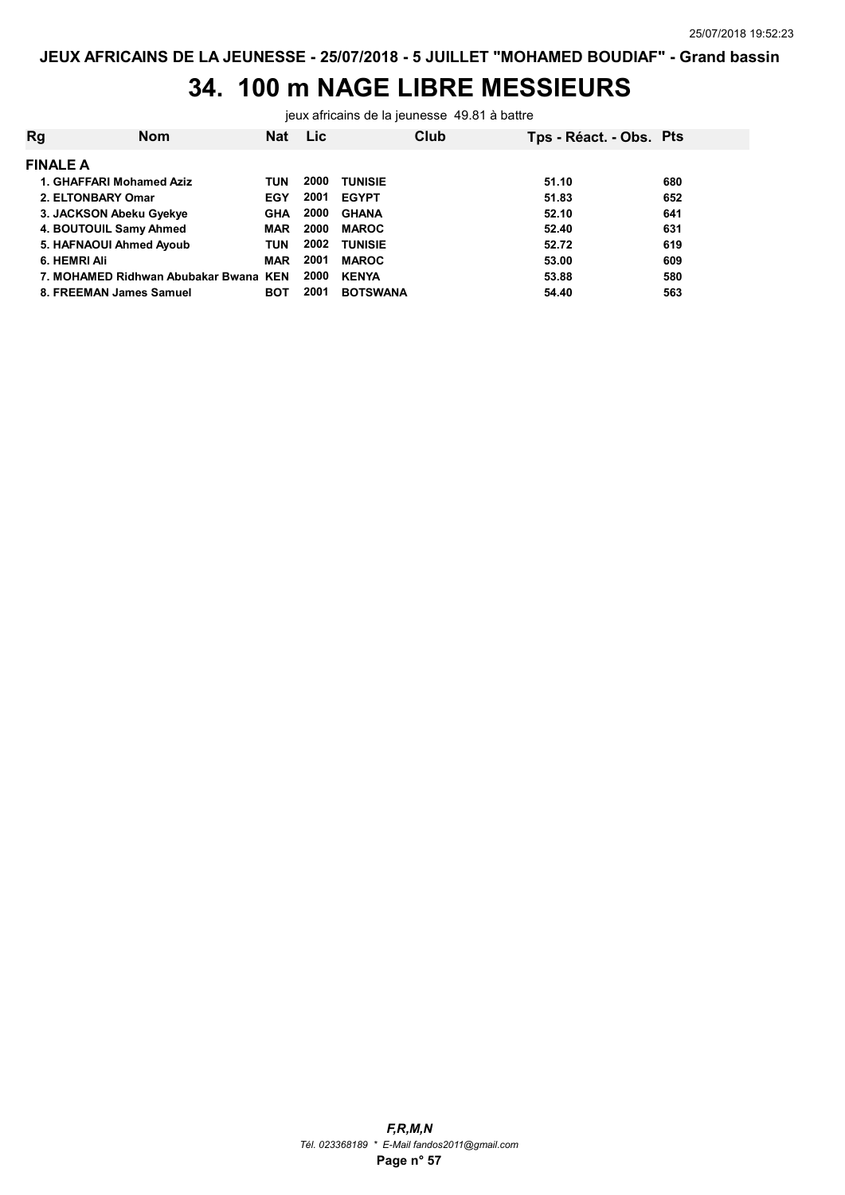## 34. 100 m NAGE LIBRE MESSIEURS

jeux africains de la jeunesse 49.81 à battre

| 680 |
|-----|
| 652 |
| 641 |
| 631 |
| 619 |
| 609 |
| 580 |
| 563 |
|     |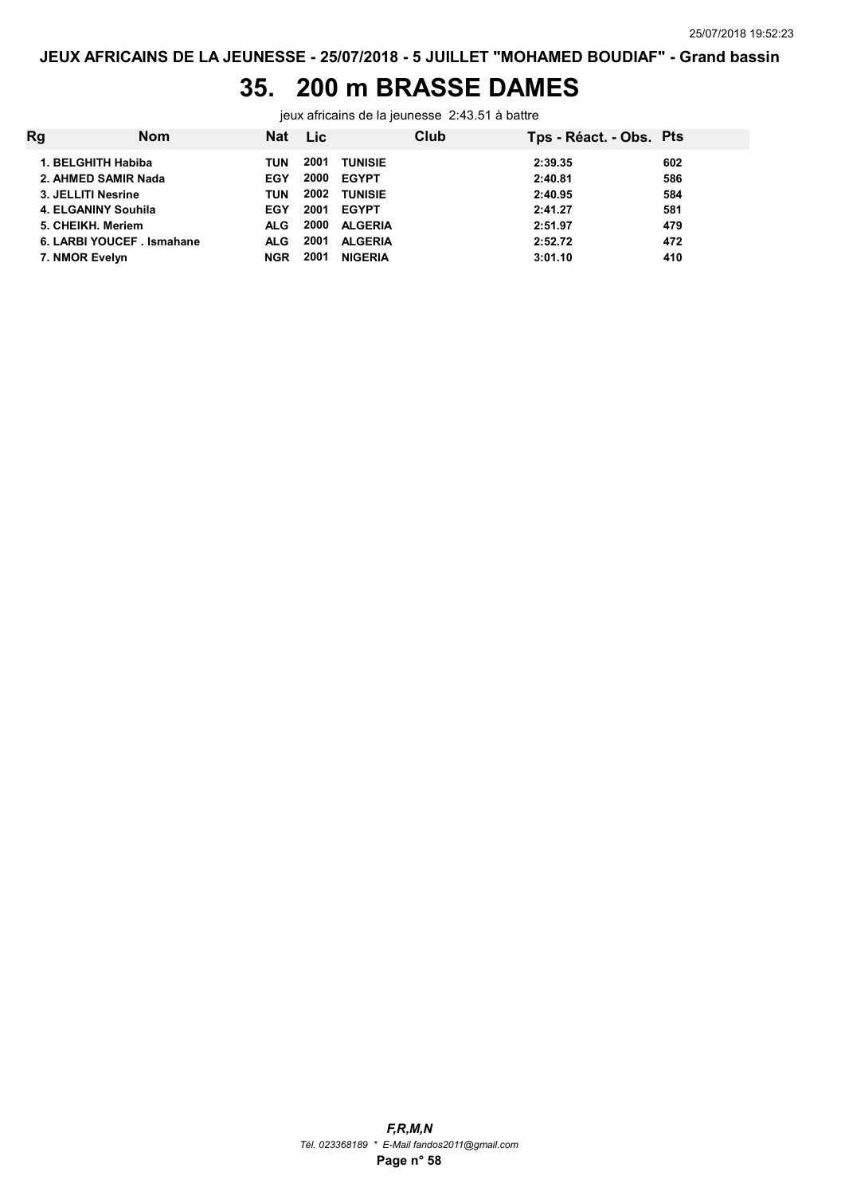## 35. 200 m BRASSE DAMES

jeux africains de la jeunesse 2:43.51 à battre

| Rg<br>Club<br><b>Nom</b><br>Nat Lic<br>Tps - Réact. - Obs. Pts                                                                                                                                                                                                                                                                                                                                                                                                                                           |                                               |
|----------------------------------------------------------------------------------------------------------------------------------------------------------------------------------------------------------------------------------------------------------------------------------------------------------------------------------------------------------------------------------------------------------------------------------------------------------------------------------------------------------|-----------------------------------------------|
| 2001<br>1. BELGHITH Habiba<br><b>TUNISIE</b><br>2:39.35<br>TUN<br>2000<br>2. AHMED SAMIR Nada<br><b>EGYPT</b><br><b>EGY</b><br>2:40.81<br>2002<br>3. JELLITI Nesrine<br><b>TUNISIE</b><br>2:40.95<br>TUN<br>2001<br><b>EGYPT</b><br>2:41.27<br>4. ELGANINY Souhila<br><b>EGY</b><br>2000<br><b>ALGERIA</b><br>5. CHEIKH. Meriem<br>2:51.97<br><b>ALG</b><br>2001<br><b>ALGERIA</b><br>2:52.72<br>6. LARBI YOUCEF . Ismahane<br>ALG.<br>2001<br>7. NMOR Evelyn<br><b>NIGERIA</b><br>3:01.10<br><b>NGR</b> | 602<br>586<br>584<br>581<br>479<br>472<br>410 |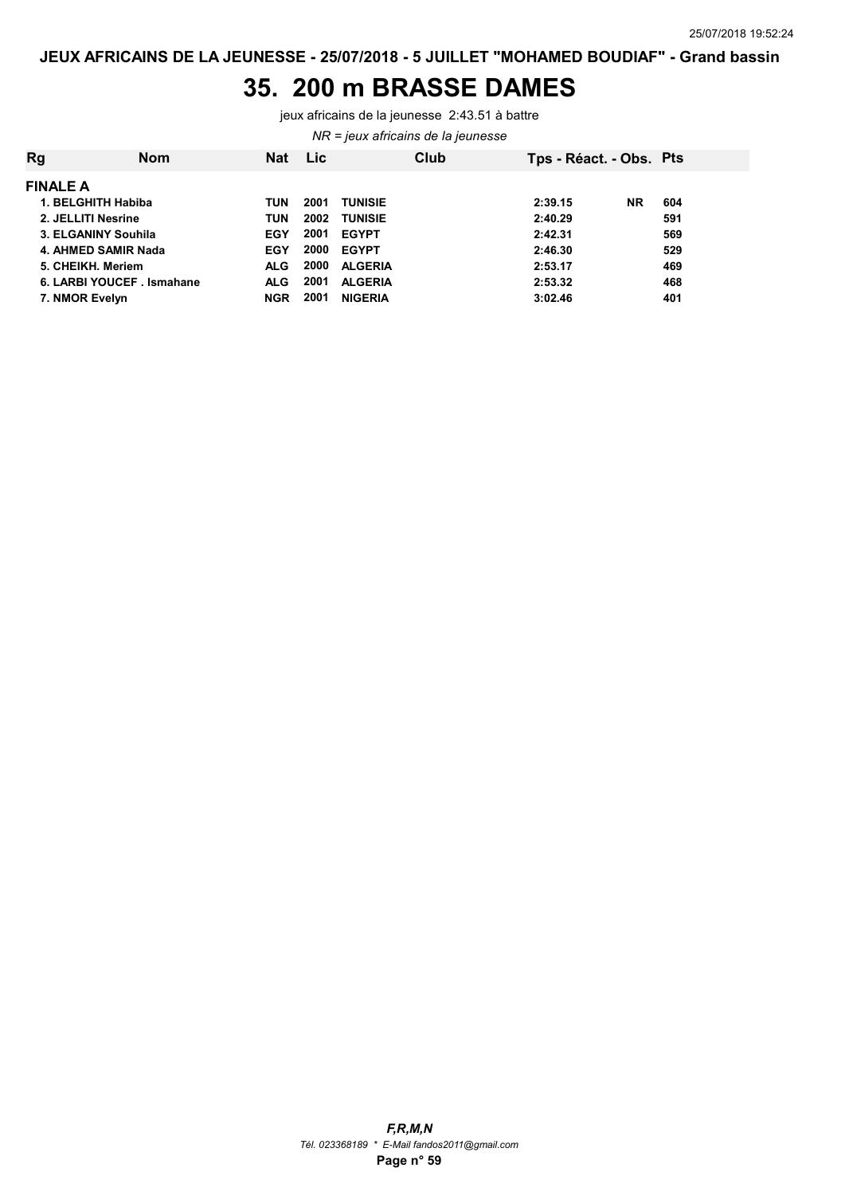#### 35. 200 m BRASSE DAMES

jeux africains de la jeunesse 2:43.51 à battre

#### NR = jeux africains de la jeunesse

| Rg                 | <b>Nom</b>                 | <b>Nat</b> | Lic  | Club           | Tps - Réact. - Obs. Pts |           |     |
|--------------------|----------------------------|------------|------|----------------|-------------------------|-----------|-----|
| <b>FINALE A</b>    |                            |            |      |                |                         |           |     |
|                    | 1. BELGHITH Habiba         | TUN        | 2001 | <b>TUNISIE</b> | 2:39.15                 | <b>NR</b> | 604 |
| 2. JELLITI Nesrine |                            | TUN        | 2002 | <b>TUNISIE</b> | 2:40.29                 |           | 591 |
|                    | 3. ELGANINY Souhila        | <b>EGY</b> | 2001 | <b>EGYPT</b>   | 2:42.31                 |           | 569 |
|                    | 4. AHMED SAMIR Nada        | <b>EGY</b> | 2000 | <b>EGYPT</b>   | 2:46.30                 |           | 529 |
| 5. CHEIKH. Meriem  |                            | <b>ALG</b> | 2000 | <b>ALGERIA</b> | 2:53.17                 |           | 469 |
|                    | 6. LARBI YOUCEF . Ismahane | <b>ALG</b> | 2001 | <b>ALGERIA</b> | 2:53.32                 |           | 468 |
| 7. NMOR Evelyn     |                            | <b>NGR</b> | 2001 | <b>NIGERIA</b> | 3:02.46                 |           | 401 |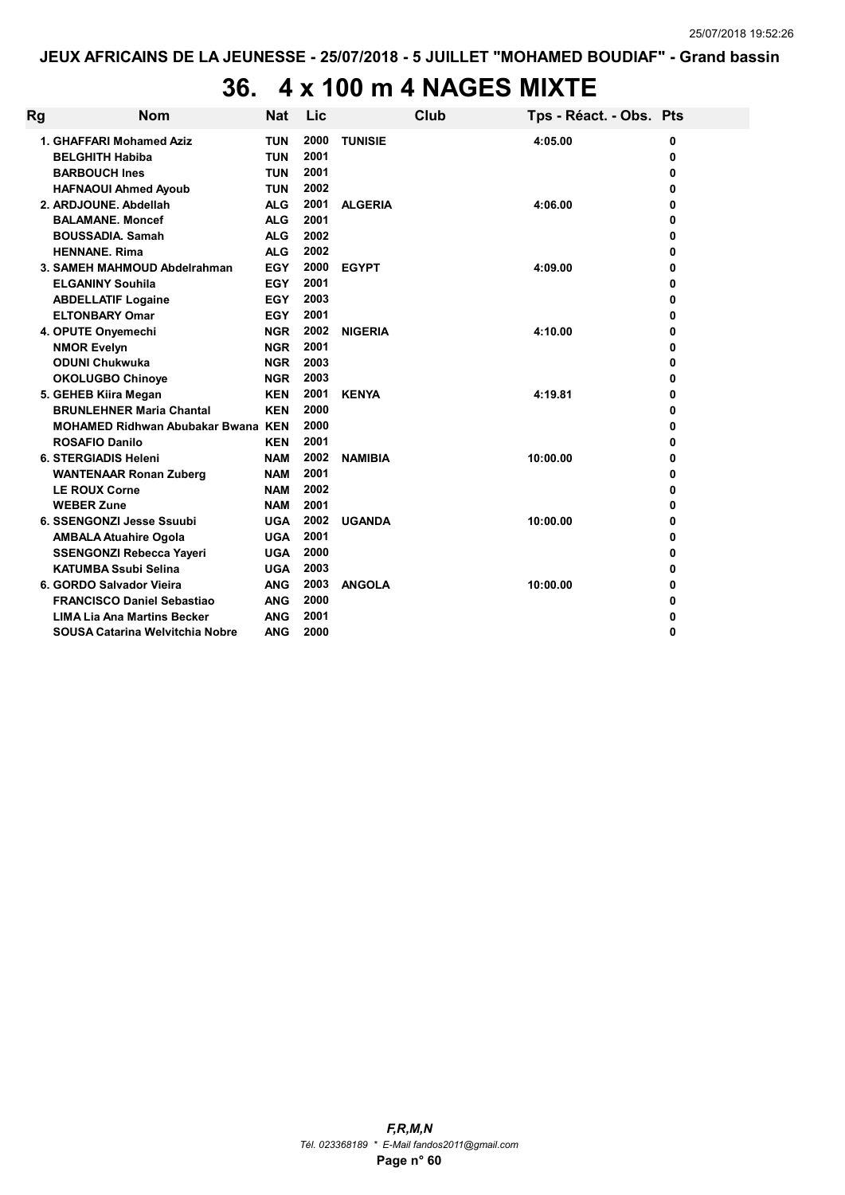# 36. 4 x 100 m 4 NAGES MIXTE

| Rg | <b>Nom</b>                                | <b>Nat</b> | Lic          |                | Club | Tps - Réact. - Obs. Pts |   |
|----|-------------------------------------------|------------|--------------|----------------|------|-------------------------|---|
|    | 1. GHAFFARI Mohamed Aziz                  | <b>TUN</b> | 2000         | <b>TUNISIE</b> |      | 4:05.00                 | 0 |
|    | <b>BELGHITH Habiba</b>                    | <b>TUN</b> | 2001         |                |      |                         | 0 |
|    | <b>BARBOUCH Ines</b>                      | <b>TUN</b> | 2001         |                |      |                         | 0 |
|    | <b>HAFNAOUI Ahmed Ayoub</b>               | <b>TUN</b> | 2002         |                |      |                         | 0 |
|    | 2. ARDJOUNE, Abdellah                     | <b>ALG</b> | 2001         | <b>ALGERIA</b> |      | 4:06.00                 | 0 |
|    | <b>BALAMANE, Moncef</b>                   | <b>ALG</b> | 2001         |                |      |                         | 0 |
|    | <b>BOUSSADIA, Samah</b>                   | <b>ALG</b> | 2002         |                |      |                         | 0 |
|    | <b>HENNANE, Rima</b>                      | <b>ALG</b> | 2002         |                |      |                         | 0 |
|    | 3. SAMEH MAHMOUD Abdelrahman              | <b>EGY</b> | 2000         | <b>EGYPT</b>   |      | 4:09.00                 | 0 |
|    | <b>ELGANINY Souhila</b>                   | <b>EGY</b> | 2001         |                |      |                         | 0 |
|    | <b>ABDELLATIF Logaine</b>                 | <b>EGY</b> | 2003         |                |      |                         | 0 |
|    | <b>ELTONBARY Omar</b>                     | <b>EGY</b> | 2001         |                |      |                         | 0 |
|    | 4. OPUTE Onyemechi                        | <b>NGR</b> | 2002         | <b>NIGERIA</b> |      | 4:10.00                 | 0 |
|    | <b>NMOR Evelyn</b>                        | <b>NGR</b> | 2001         |                |      |                         | 0 |
|    | <b>ODUNI Chukwuka</b>                     | <b>NGR</b> | 2003         |                |      |                         | 0 |
|    | <b>OKOLUGBO Chinoye</b>                   | <b>NGR</b> | 2003         |                |      |                         | 0 |
|    | 5. GEHEB Kiira Megan                      | <b>KEN</b> | 2001         | <b>KENYA</b>   |      | 4:19.81                 | 0 |
|    | <b>BRUNLEHNER Maria Chantal</b>           | <b>KEN</b> | 2000         |                |      |                         | 0 |
|    | <b>MOHAMED Ridhwan Abubakar Bwana KEN</b> |            | 2000         |                |      |                         | 0 |
|    | <b>ROSAFIO Danilo</b>                     | <b>KEN</b> | 2001         |                |      |                         | 0 |
|    | <b>6. STERGIADIS Heleni</b>               | <b>NAM</b> | 2002         | <b>NAMIBIA</b> |      | 10:00.00                | 0 |
|    | <b>WANTENAAR Ronan Zuberg</b>             | <b>NAM</b> | 2001         |                |      |                         | 0 |
|    | <b>LE ROUX Corne</b>                      | <b>NAM</b> | 2002         |                |      |                         | 0 |
|    | <b>WEBER Zune</b>                         | <b>NAM</b> | 2001         |                |      |                         | 0 |
|    | 6. SSENGONZI Jesse Ssuubi                 | <b>UGA</b> | 2002         | <b>UGANDA</b>  |      | 10:00.00                | 0 |
|    | <b>AMBALA Atuahire Ogola</b>              | <b>UGA</b> | 2001         |                |      |                         | 0 |
|    | <b>SSENGONZI Rebecca Yayeri</b>           | <b>UGA</b> | 2000         |                |      |                         | 0 |
|    | <b>KATUMBA Ssubi Selina</b>               | <b>UGA</b> | 2003         |                |      |                         | 0 |
|    | 6. GORDO Salvador Vieira                  | <b>ANG</b> | 2003         | <b>ANGOLA</b>  |      | 10:00.00                | 0 |
|    | <b>FRANCISCO Daniel Sebastiao</b>         | <b>ANG</b> | 2000<br>2001 |                |      |                         | 0 |
|    | <b>LIMA Lia Ana Martins Becker</b>        | <b>ANG</b> |              |                |      |                         | 0 |
|    | SOUSA Catarina Welvitchia Nobre           | <b>ANG</b> | 2000         |                |      |                         | 0 |